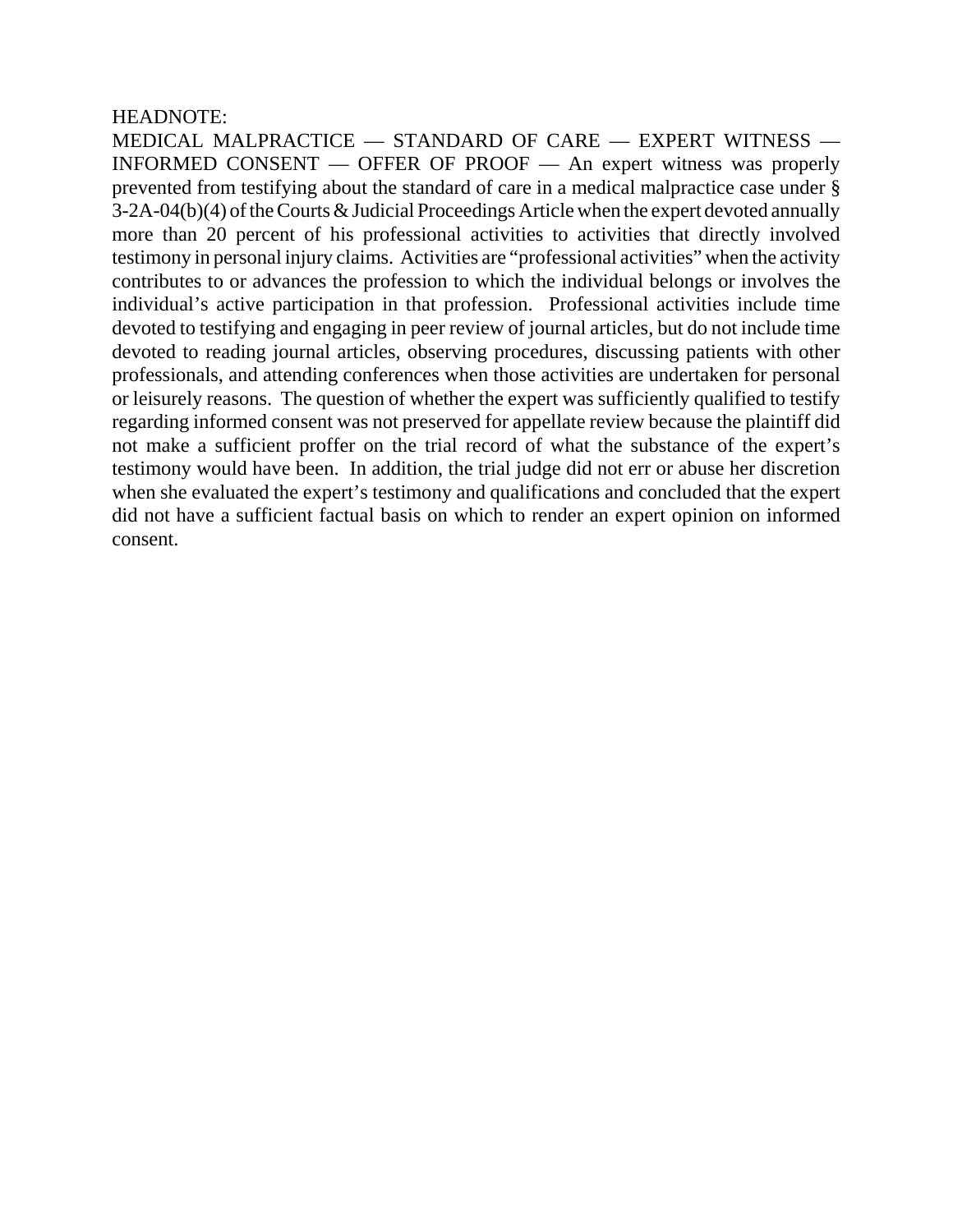### HEADNOTE:

MEDICAL MALPRACTICE — STANDARD OF CARE — EXPERT WITNESS — INFORMED CONSENT — OFFER OF PROOF — An expert witness was properly prevented from testifying about the standard of care in a medical malpractice case under § 3-2A-04(b)(4) of the Courts & Judicial Proceedings Article when the expert devoted annually more than 20 percent of his professional activities to activities that directly involved testimony in personal injury claims. Activities are "professional activities" when the activity contributes to or advances the profession to which the individual belongs or involves the individual's active participation in that profession. Professional activities include time devoted to testifying and engaging in peer review of journal articles, but do not include time devoted to reading journal articles, observing procedures, discussing patients with other professionals, and attending conferences when those activities are undertaken for personal or leisurely reasons. The question of whether the expert was sufficiently qualified to testify regarding informed consent was not preserved for appellate review because the plaintiff did not make a sufficient proffer on the trial record of what the substance of the expert's testimony would have been. In addition, the trial judge did not err or abuse her discretion when she evaluated the expert's testimony and qualifications and concluded that the expert did not have a sufficient factual basis on which to render an expert opinion on informed consent.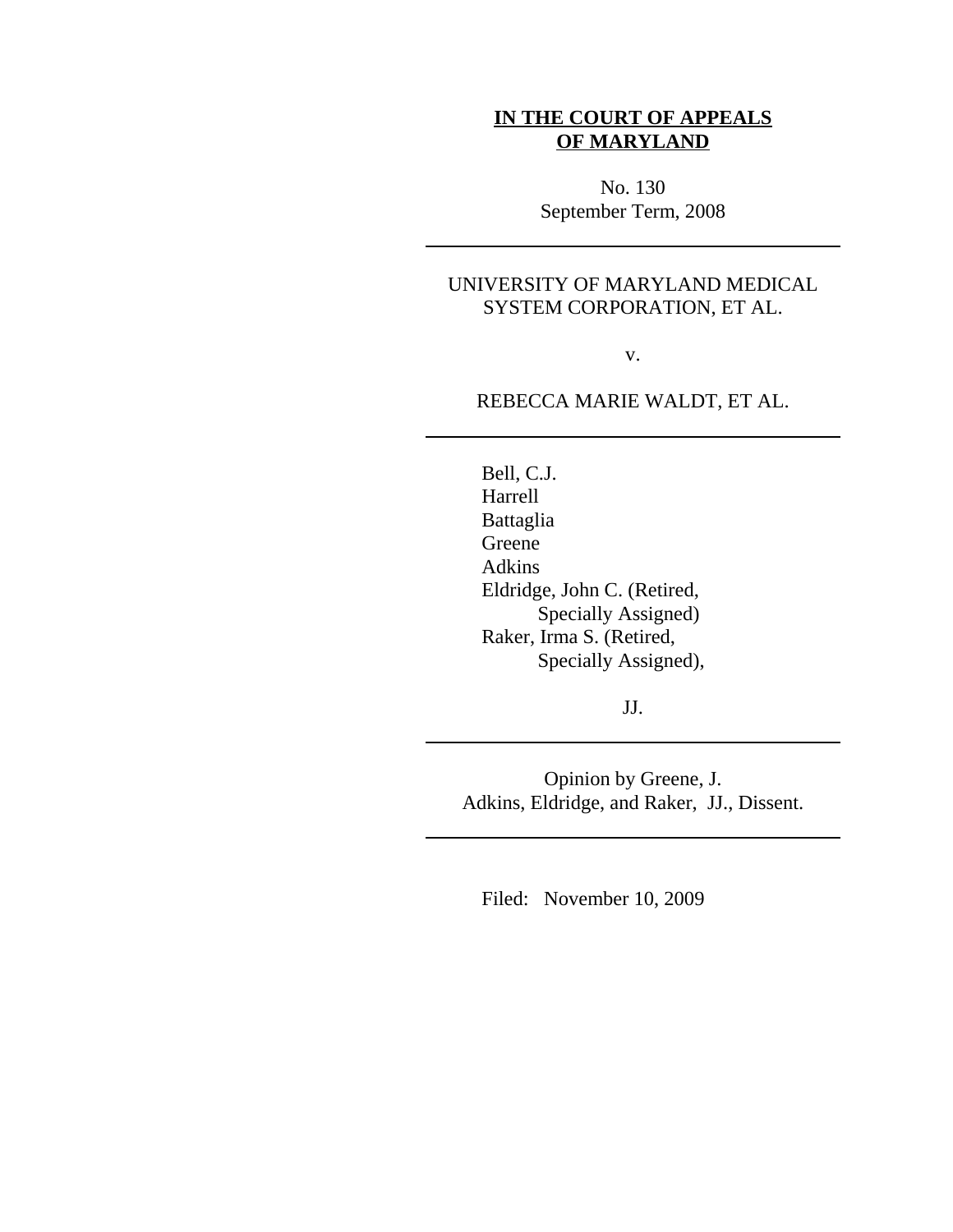## **IN THE COURT OF APPEALS OF MARYLAND**

No. 130 September Term, 2008

# UNIVERSITY OF MARYLAND MEDICAL SYSTEM CORPORATION, ET AL.

v.

## REBECCA MARIE WALDT, ET AL.

Bell, C.J. Harrell Battaglia Greene Adkins Eldridge, John C. (Retired, Specially Assigned) Raker, Irma S. (Retired, Specially Assigned),

JJ.

Opinion by Greene, J. Adkins, Eldridge, and Raker, JJ., Dissent.

Filed: November 10, 2009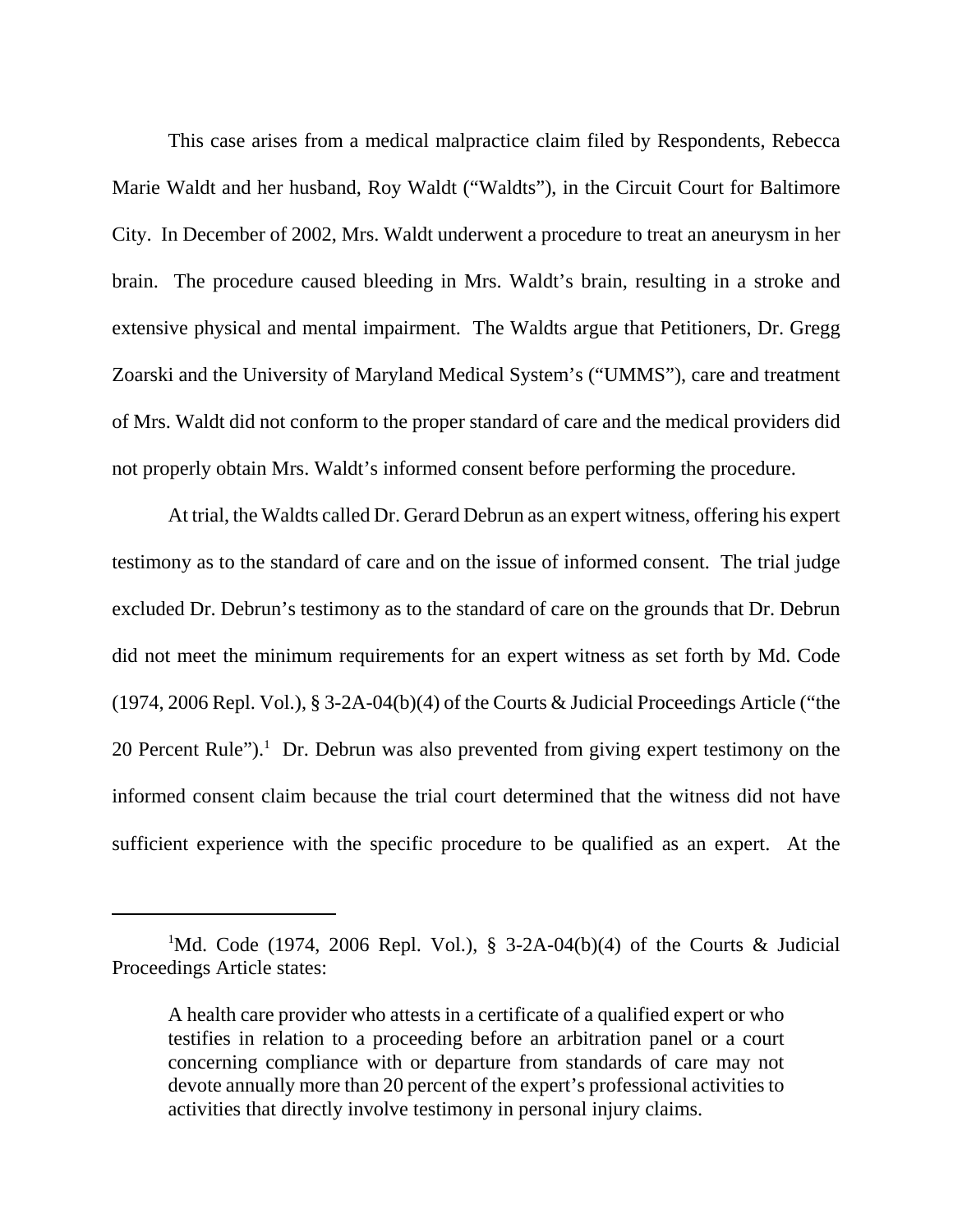This case arises from a medical malpractice claim filed by Respondents, Rebecca Marie Waldt and her husband, Roy Waldt ("Waldts"), in the Circuit Court for Baltimore City. In December of 2002, Mrs. Waldt underwent a procedure to treat an aneurysm in her brain. The procedure caused bleeding in Mrs. Waldt's brain, resulting in a stroke and extensive physical and mental impairment. The Waldts argue that Petitioners, Dr. Gregg Zoarski and the University of Maryland Medical System's ("UMMS"), care and treatment of Mrs. Waldt did not conform to the proper standard of care and the medical providers did not properly obtain Mrs. Waldt's informed consent before performing the procedure.

At trial, the Waldts called Dr. Gerard Debrun as an expert witness, offering his expert testimony as to the standard of care and on the issue of informed consent. The trial judge excluded Dr. Debrun's testimony as to the standard of care on the grounds that Dr. Debrun did not meet the minimum requirements for an expert witness as set forth by Md. Code (1974, 2006 Repl. Vol.), § 3-2A-04(b)(4) of the Courts & Judicial Proceedings Article ("the 20 Percent Rule").<sup>1</sup> Dr. Debrun was also prevented from giving expert testimony on the informed consent claim because the trial court determined that the witness did not have sufficient experience with the specific procedure to be qualified as an expert. At the

<sup>&</sup>lt;sup>1</sup>Md. Code (1974, 2006 Repl. Vol.), § 3-2A-04(b)(4) of the Courts & Judicial Proceedings Article states:

A health care provider who attests in a certificate of a qualified expert or who testifies in relation to a proceeding before an arbitration panel or a court concerning compliance with or departure from standards of care may not devote annually more than 20 percent of the expert's professional activities to activities that directly involve testimony in personal injury claims.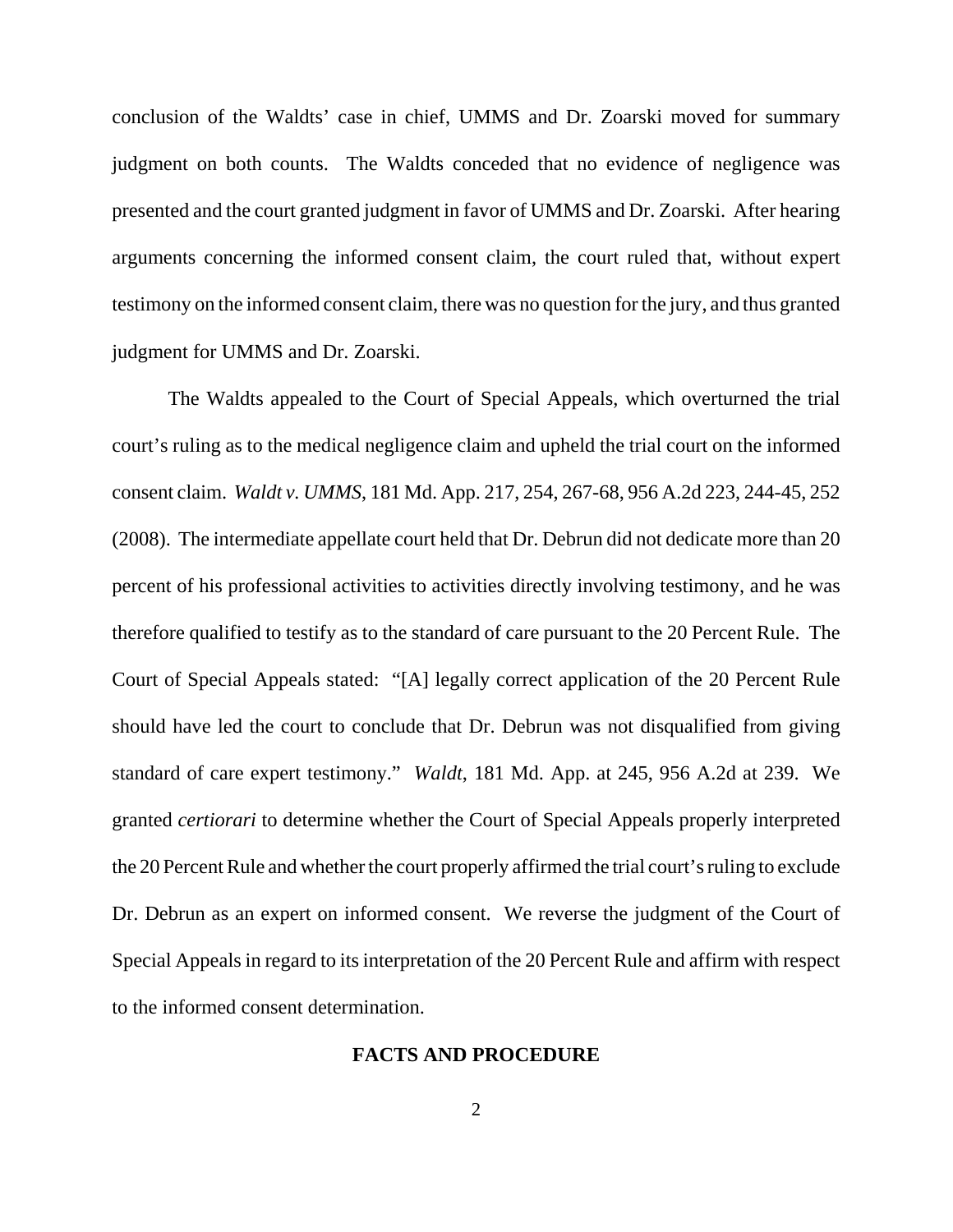conclusion of the Waldts' case in chief, UMMS and Dr. Zoarski moved for summary judgment on both counts. The Waldts conceded that no evidence of negligence was presented and the court granted judgment in favor of UMMS and Dr. Zoarski. After hearing arguments concerning the informed consent claim, the court ruled that, without expert testimony on the informed consent claim, there was no question for the jury, and thus granted judgment for UMMS and Dr. Zoarski.

The Waldts appealed to the Court of Special Appeals, which overturned the trial court's ruling as to the medical negligence claim and upheld the trial court on the informed consent claim. *Waldt v. UMMS*, 181 Md. App. 217, 254, 267-68, 956 A.2d 223, 244-45, 252 (2008). The intermediate appellate court held that Dr. Debrun did not dedicate more than 20 percent of his professional activities to activities directly involving testimony, and he was therefore qualified to testify as to the standard of care pursuant to the 20 Percent Rule. The Court of Special Appeals stated: "[A] legally correct application of the 20 Percent Rule should have led the court to conclude that Dr. Debrun was not disqualified from giving standard of care expert testimony." *Waldt*, 181 Md. App. at 245, 956 A.2d at 239. We granted *certiorari* to determine whether the Court of Special Appeals properly interpreted the 20 Percent Rule and whether the court properly affirmed the trial court's ruling to exclude Dr. Debrun as an expert on informed consent. We reverse the judgment of the Court of Special Appeals in regard to its interpretation of the 20 Percent Rule and affirm with respect to the informed consent determination.

### **FACTS AND PROCEDURE**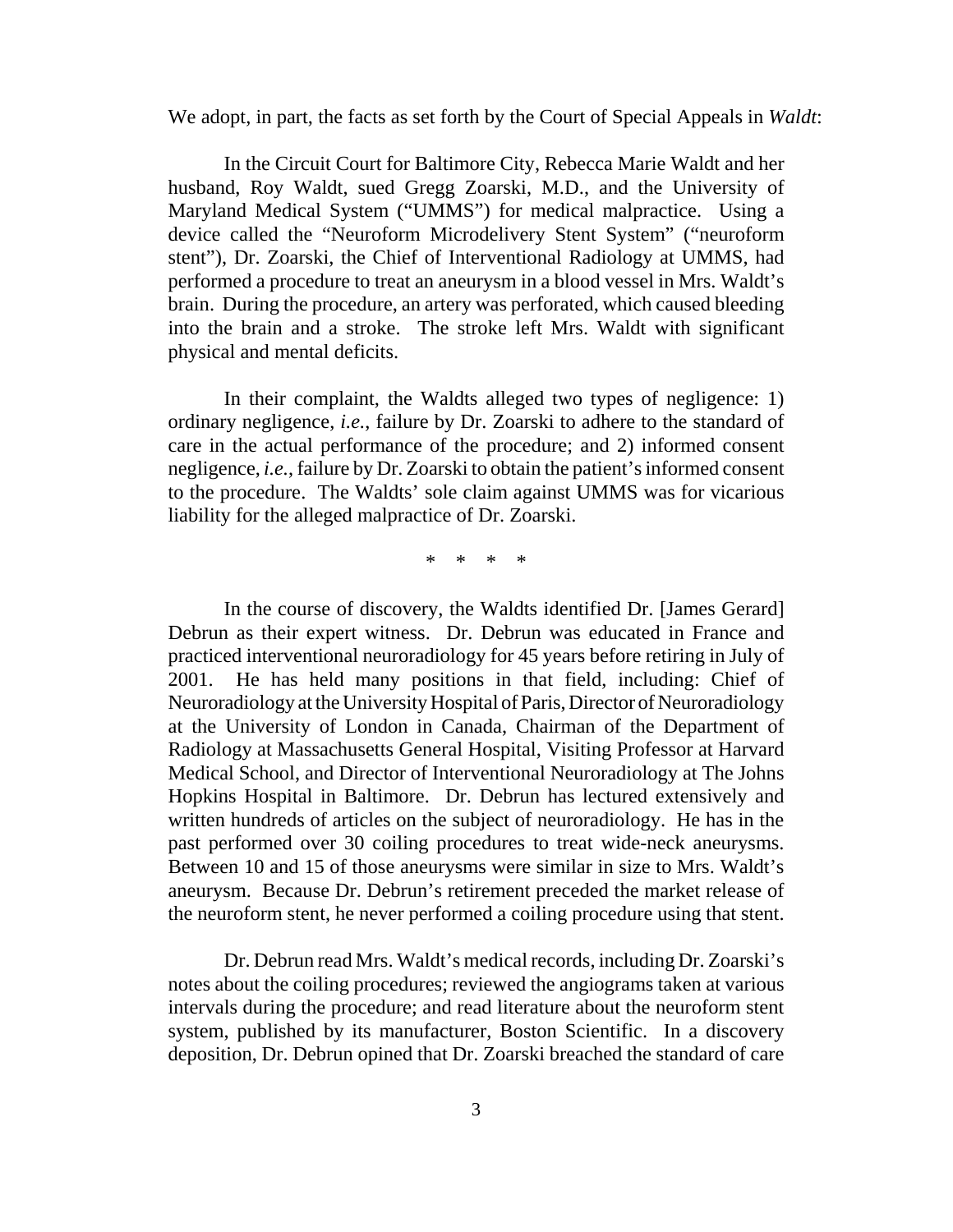We adopt, in part, the facts as set forth by the Court of Special Appeals in *Waldt*:

In the Circuit Court for Baltimore City, Rebecca Marie Waldt and her husband, Roy Waldt, sued Gregg Zoarski, M.D., and the University of Maryland Medical System ("UMMS") for medical malpractice. Using a device called the "Neuroform Microdelivery Stent System" ("neuroform stent"), Dr. Zoarski, the Chief of Interventional Radiology at UMMS, had performed a procedure to treat an aneurysm in a blood vessel in Mrs. Waldt's brain. During the procedure, an artery was perforated, which caused bleeding into the brain and a stroke. The stroke left Mrs. Waldt with significant physical and mental deficits.

In their complaint, the Waldts alleged two types of negligence: 1) ordinary negligence, *i.e.*, failure by Dr. Zoarski to adhere to the standard of care in the actual performance of the procedure; and 2) informed consent negligence, *i.e.*, failure by Dr. Zoarski to obtain the patient's informed consent to the procedure. The Waldts' sole claim against UMMS was for vicarious liability for the alleged malpractice of Dr. Zoarski.

\* \* \* \*

In the course of discovery, the Waldts identified Dr. [James Gerard] Debrun as their expert witness. Dr. Debrun was educated in France and practiced interventional neuroradiology for 45 years before retiring in July of 2001. He has held many positions in that field, including: Chief of Neuroradiology at the University Hospital of Paris, Director of Neuroradiology at the University of London in Canada, Chairman of the Department of Radiology at Massachusetts General Hospital, Visiting Professor at Harvard Medical School, and Director of Interventional Neuroradiology at The Johns Hopkins Hospital in Baltimore. Dr. Debrun has lectured extensively and written hundreds of articles on the subject of neuroradiology. He has in the past performed over 30 coiling procedures to treat wide-neck aneurysms. Between 10 and 15 of those aneurysms were similar in size to Mrs. Waldt's aneurysm. Because Dr. Debrun's retirement preceded the market release of the neuroform stent, he never performed a coiling procedure using that stent.

Dr. Debrun read Mrs. Waldt's medical records, including Dr. Zoarski's notes about the coiling procedures; reviewed the angiograms taken at various intervals during the procedure; and read literature about the neuroform stent system, published by its manufacturer, Boston Scientific. In a discovery deposition, Dr. Debrun opined that Dr. Zoarski breached the standard of care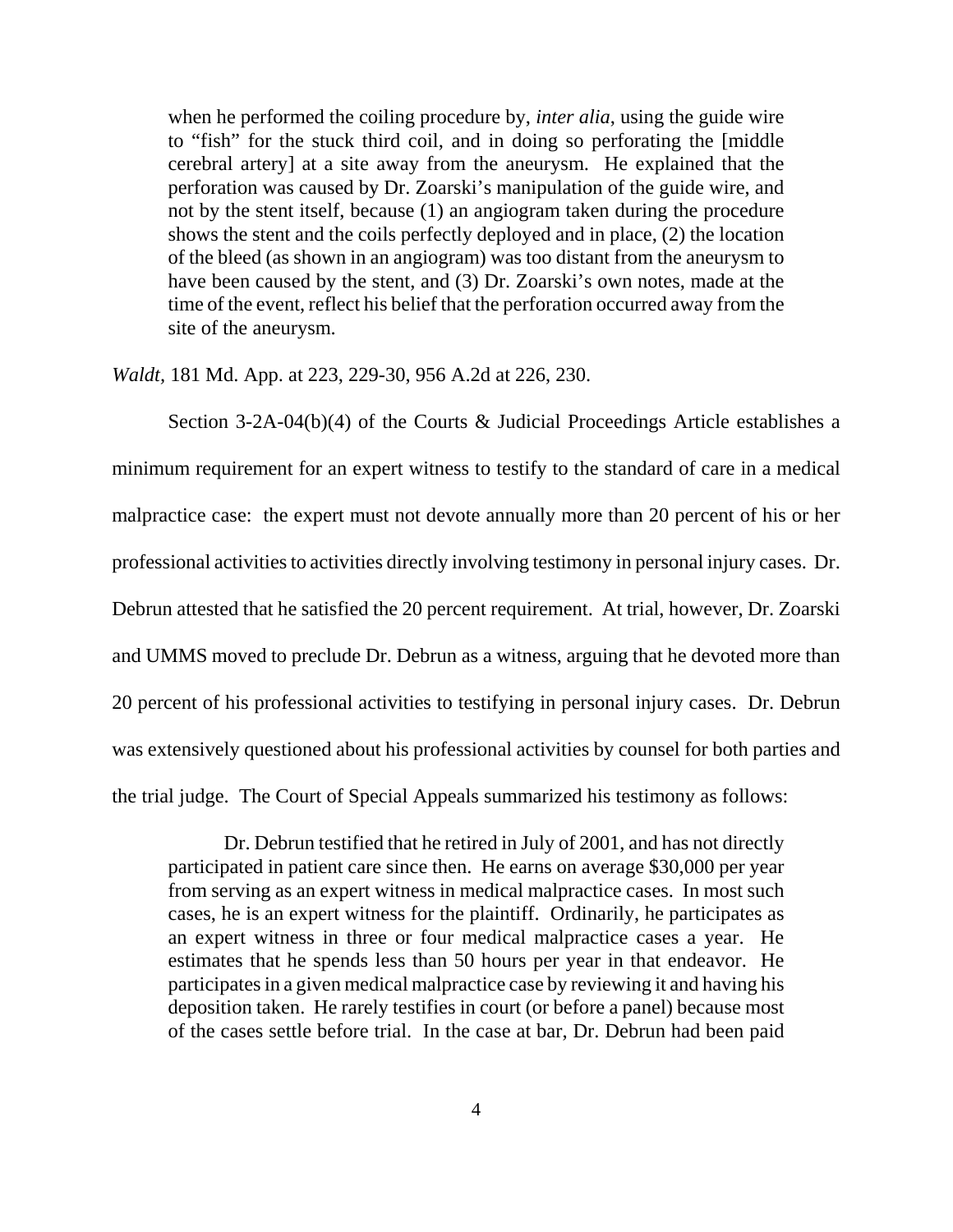when he performed the coiling procedure by, *inter alia*, using the guide wire to "fish" for the stuck third coil, and in doing so perforating the [middle cerebral artery] at a site away from the aneurysm. He explained that the perforation was caused by Dr. Zoarski's manipulation of the guide wire, and not by the stent itself, because (1) an angiogram taken during the procedure shows the stent and the coils perfectly deployed and in place, (2) the location of the bleed (as shown in an angiogram) was too distant from the aneurysm to have been caused by the stent, and (3) Dr. Zoarski's own notes, made at the time of the event, reflect his belief that the perforation occurred away from the site of the aneurysm.

*Waldt,* 181 Md. App. at 223, 229-30, 956 A.2d at 226, 230.

Section 3-2A-04(b)(4) of the Courts & Judicial Proceedings Article establishes a minimum requirement for an expert witness to testify to the standard of care in a medical malpractice case: the expert must not devote annually more than 20 percent of his or her professional activities to activities directly involving testimony in personal injury cases. Dr. Debrun attested that he satisfied the 20 percent requirement. At trial, however, Dr. Zoarski and UMMS moved to preclude Dr. Debrun as a witness, arguing that he devoted more than 20 percent of his professional activities to testifying in personal injury cases. Dr. Debrun was extensively questioned about his professional activities by counsel for both parties and the trial judge. The Court of Special Appeals summarized his testimony as follows:

Dr. Debrun testified that he retired in July of 2001, and has not directly participated in patient care since then. He earns on average \$30,000 per year from serving as an expert witness in medical malpractice cases. In most such cases, he is an expert witness for the plaintiff. Ordinarily, he participates as an expert witness in three or four medical malpractice cases a year. He estimates that he spends less than 50 hours per year in that endeavor. He participates in a given medical malpractice case by reviewing it and having his deposition taken. He rarely testifies in court (or before a panel) because most of the cases settle before trial. In the case at bar, Dr. Debrun had been paid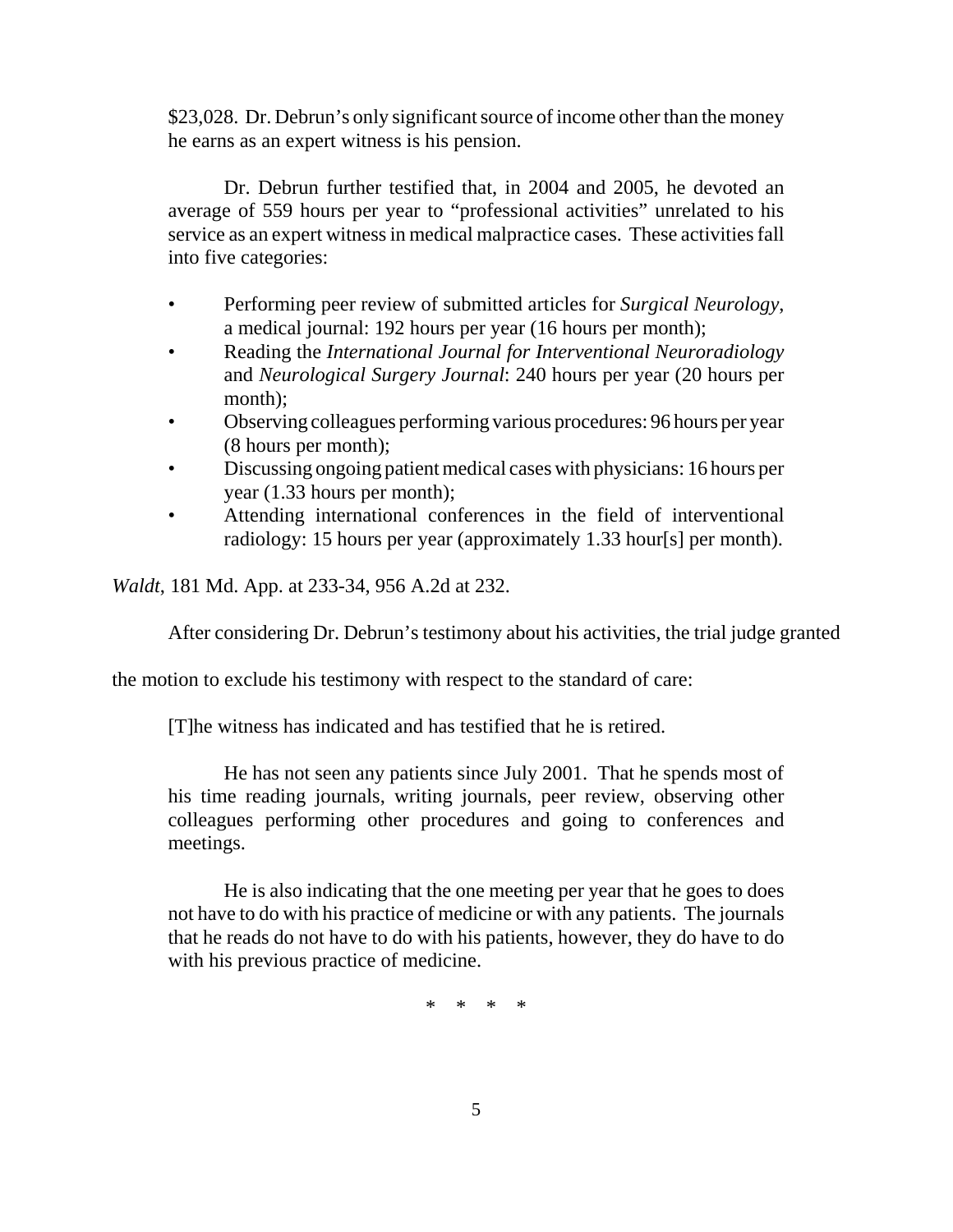\$23,028. Dr. Debrun's only significant source of income other than the money he earns as an expert witness is his pension.

Dr. Debrun further testified that, in 2004 and 2005, he devoted an average of 559 hours per year to "professional activities" unrelated to his service as an expert witness in medical malpractice cases. These activities fall into five categories:

- Performing peer review of submitted articles for *Surgical Neurology*, a medical journal: 192 hours per year (16 hours per month);
- Reading the *International Journal for Interventional Neuroradiology* and *Neurological Surgery Journal*: 240 hours per year (20 hours per month);
- Observing colleagues performing various procedures: 96 hours per year (8 hours per month);
- Discussing ongoing patient medical cases with physicians: 16 hours per year (1.33 hours per month);
- Attending international conferences in the field of interventional radiology: 15 hours per year (approximately 1.33 hour[s] per month).

*Waldt*, 181 Md. App. at 233-34, 956 A.2d at 232.

After considering Dr. Debrun's testimony about his activities, the trial judge granted

the motion to exclude his testimony with respect to the standard of care:

[T]he witness has indicated and has testified that he is retired.

He has not seen any patients since July 2001. That he spends most of his time reading journals, writing journals, peer review, observing other colleagues performing other procedures and going to conferences and meetings.

He is also indicating that the one meeting per year that he goes to does not have to do with his practice of medicine or with any patients. The journals that he reads do not have to do with his patients, however, they do have to do with his previous practice of medicine.

\* \* \* \*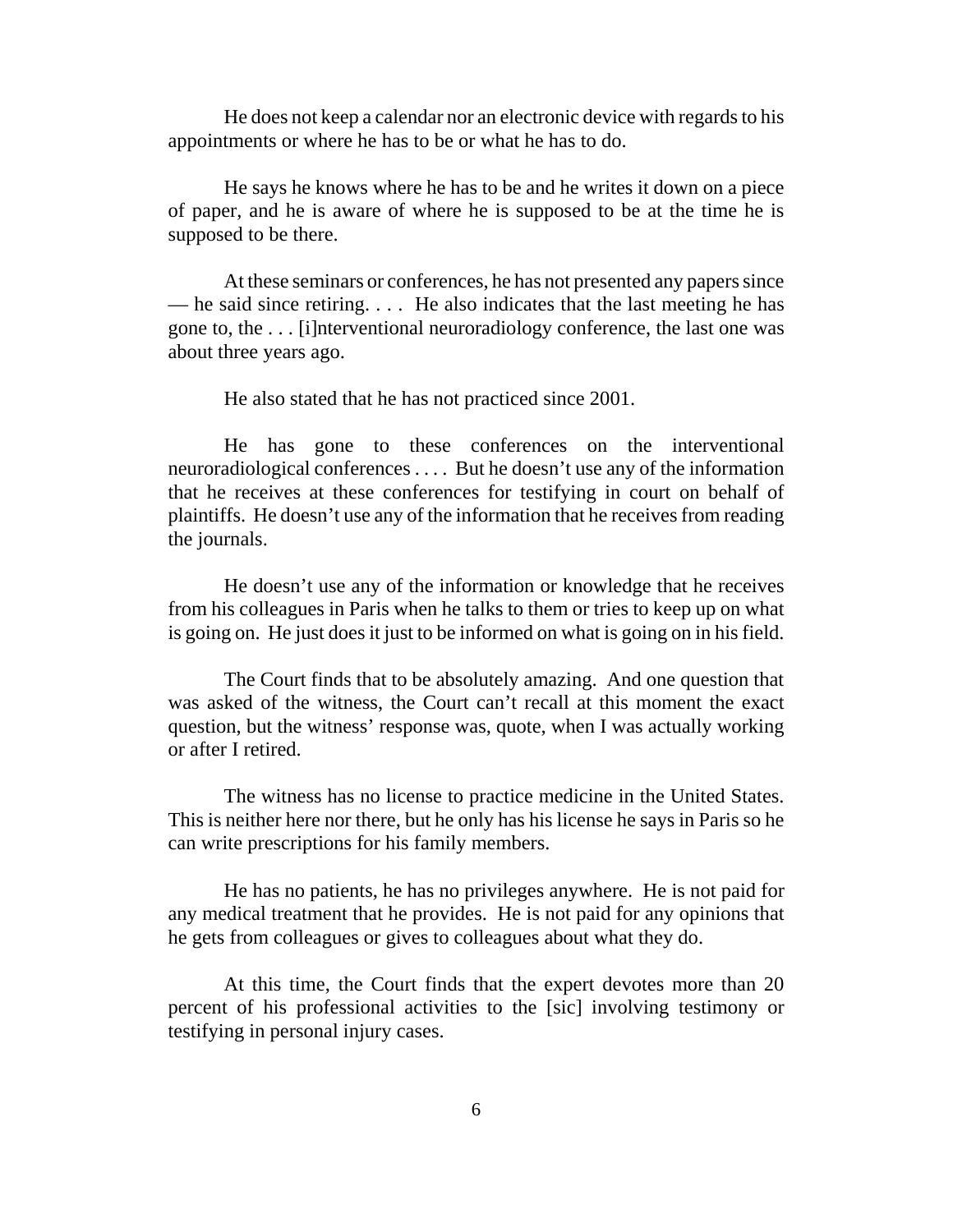He does not keep a calendar nor an electronic device with regards to his appointments or where he has to be or what he has to do.

He says he knows where he has to be and he writes it down on a piece of paper, and he is aware of where he is supposed to be at the time he is supposed to be there.

At these seminars or conferences, he has not presented any papers since — he said since retiring. . . . He also indicates that the last meeting he has gone to, the . . . [i]nterventional neuroradiology conference, the last one was about three years ago.

He also stated that he has not practiced since 2001.

He has gone to these conferences on the interventional neuroradiological conferences . . . . But he doesn't use any of the information that he receives at these conferences for testifying in court on behalf of plaintiffs. He doesn't use any of the information that he receives from reading the journals.

He doesn't use any of the information or knowledge that he receives from his colleagues in Paris when he talks to them or tries to keep up on what is going on. He just does it just to be informed on what is going on in his field.

The Court finds that to be absolutely amazing. And one question that was asked of the witness, the Court can't recall at this moment the exact question, but the witness' response was, quote, when I was actually working or after I retired.

The witness has no license to practice medicine in the United States. This is neither here nor there, but he only has his license he says in Paris so he can write prescriptions for his family members.

He has no patients, he has no privileges anywhere. He is not paid for any medical treatment that he provides. He is not paid for any opinions that he gets from colleagues or gives to colleagues about what they do.

At this time, the Court finds that the expert devotes more than 20 percent of his professional activities to the [sic] involving testimony or testifying in personal injury cases.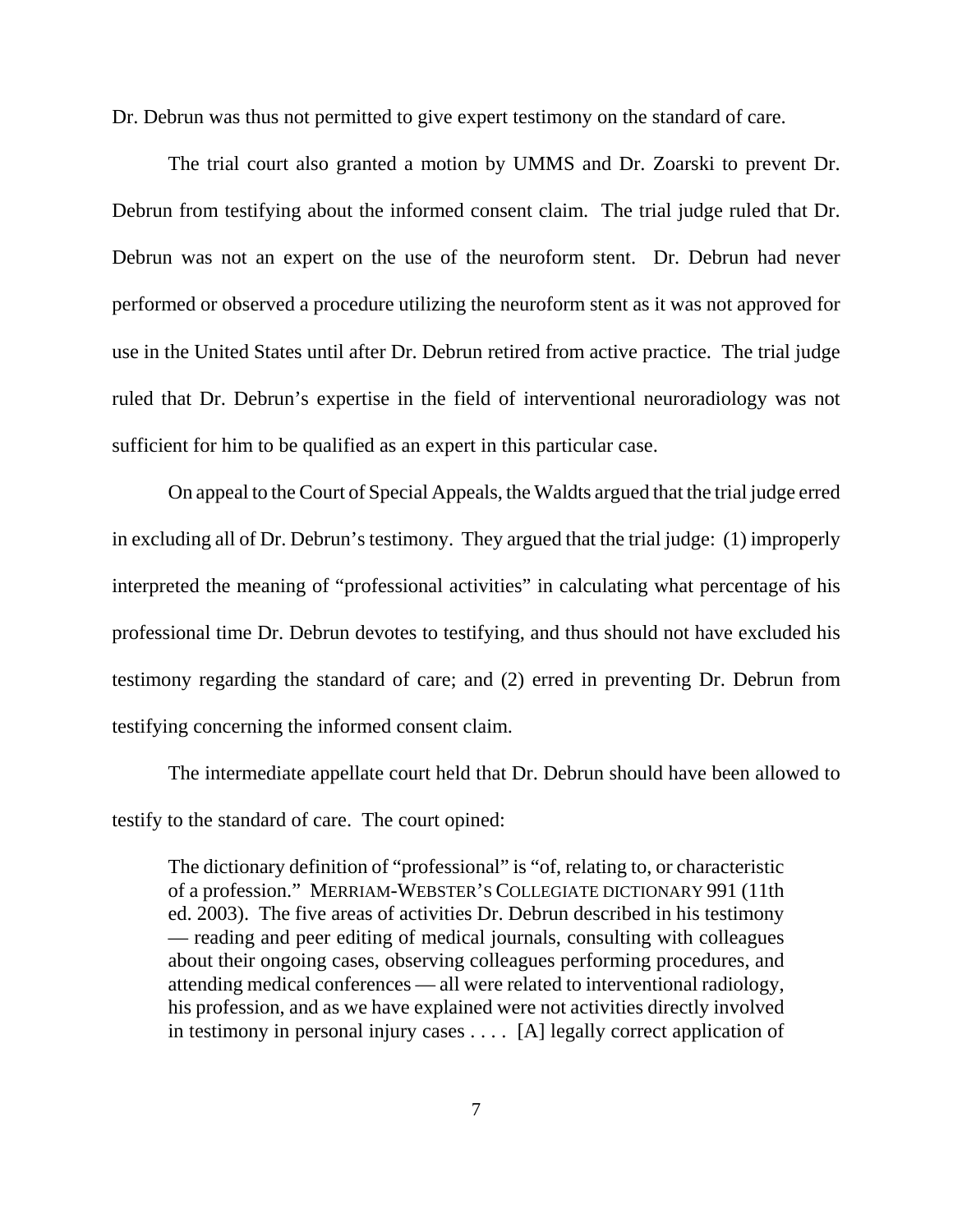Dr. Debrun was thus not permitted to give expert testimony on the standard of care.

The trial court also granted a motion by UMMS and Dr. Zoarski to prevent Dr. Debrun from testifying about the informed consent claim. The trial judge ruled that Dr. Debrun was not an expert on the use of the neuroform stent. Dr. Debrun had never performed or observed a procedure utilizing the neuroform stent as it was not approved for use in the United States until after Dr. Debrun retired from active practice. The trial judge ruled that Dr. Debrun's expertise in the field of interventional neuroradiology was not sufficient for him to be qualified as an expert in this particular case.

On appeal to the Court of Special Appeals, the Waldts argued that the trial judge erred in excluding all of Dr. Debrun's testimony. They argued that the trial judge: (1) improperly interpreted the meaning of "professional activities" in calculating what percentage of his professional time Dr. Debrun devotes to testifying, and thus should not have excluded his testimony regarding the standard of care; and (2) erred in preventing Dr. Debrun from testifying concerning the informed consent claim.

The intermediate appellate court held that Dr. Debrun should have been allowed to testify to the standard of care. The court opined:

The dictionary definition of "professional" is "of, relating to, or characteristic of a profession." MERRIAM-WEBSTER'S COLLEGIATE DICTIONARY 991 (11th ed. 2003). The five areas of activities Dr. Debrun described in his testimony — reading and peer editing of medical journals, consulting with colleagues about their ongoing cases, observing colleagues performing procedures, and attending medical conferences — all were related to interventional radiology, his profession, and as we have explained were not activities directly involved in testimony in personal injury cases . . . . [A] legally correct application of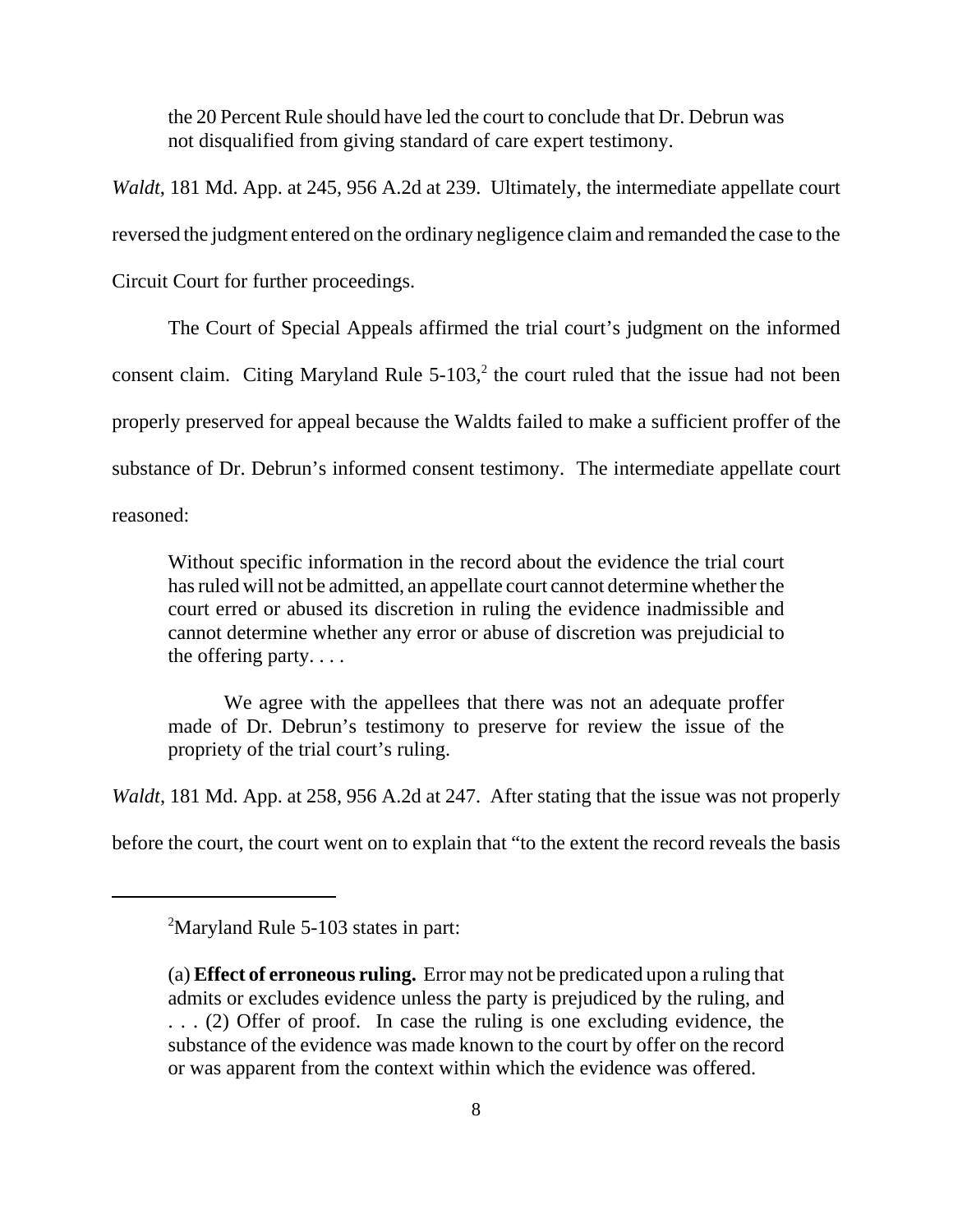the 20 Percent Rule should have led the court to conclude that Dr. Debrun was not disqualified from giving standard of care expert testimony.

*Waldt*, 181 Md. App. at 245, 956 A.2d at 239. Ultimately, the intermediate appellate court reversed the judgment entered on the ordinary negligence claim and remanded the case to the Circuit Court for further proceedings.

The Court of Special Appeals affirmed the trial court's judgment on the informed consent claim. Citing Maryland Rule  $5$ -103, $^2$  the court ruled that the issue had not been properly preserved for appeal because the Waldts failed to make a sufficient proffer of the substance of Dr. Debrun's informed consent testimony. The intermediate appellate court reasoned:

Without specific information in the record about the evidence the trial court has ruled will not be admitted, an appellate court cannot determine whether the court erred or abused its discretion in ruling the evidence inadmissible and cannot determine whether any error or abuse of discretion was prejudicial to the offering party. . . .

We agree with the appellees that there was not an adequate proffer made of Dr. Debrun's testimony to preserve for review the issue of the propriety of the trial court's ruling.

*Waldt*, 181 Md. App. at 258, 956 A.2d at 247. After stating that the issue was not properly

before the court, the court went on to explain that "to the extent the record reveals the basis

<sup>&</sup>lt;sup>2</sup>Maryland Rule 5-103 states in part:

<sup>(</sup>a) **Effect of erroneous ruling.** Error may not be predicated upon a ruling that admits or excludes evidence unless the party is prejudiced by the ruling, and . . . (2) Offer of proof. In case the ruling is one excluding evidence, the substance of the evidence was made known to the court by offer on the record or was apparent from the context within which the evidence was offered.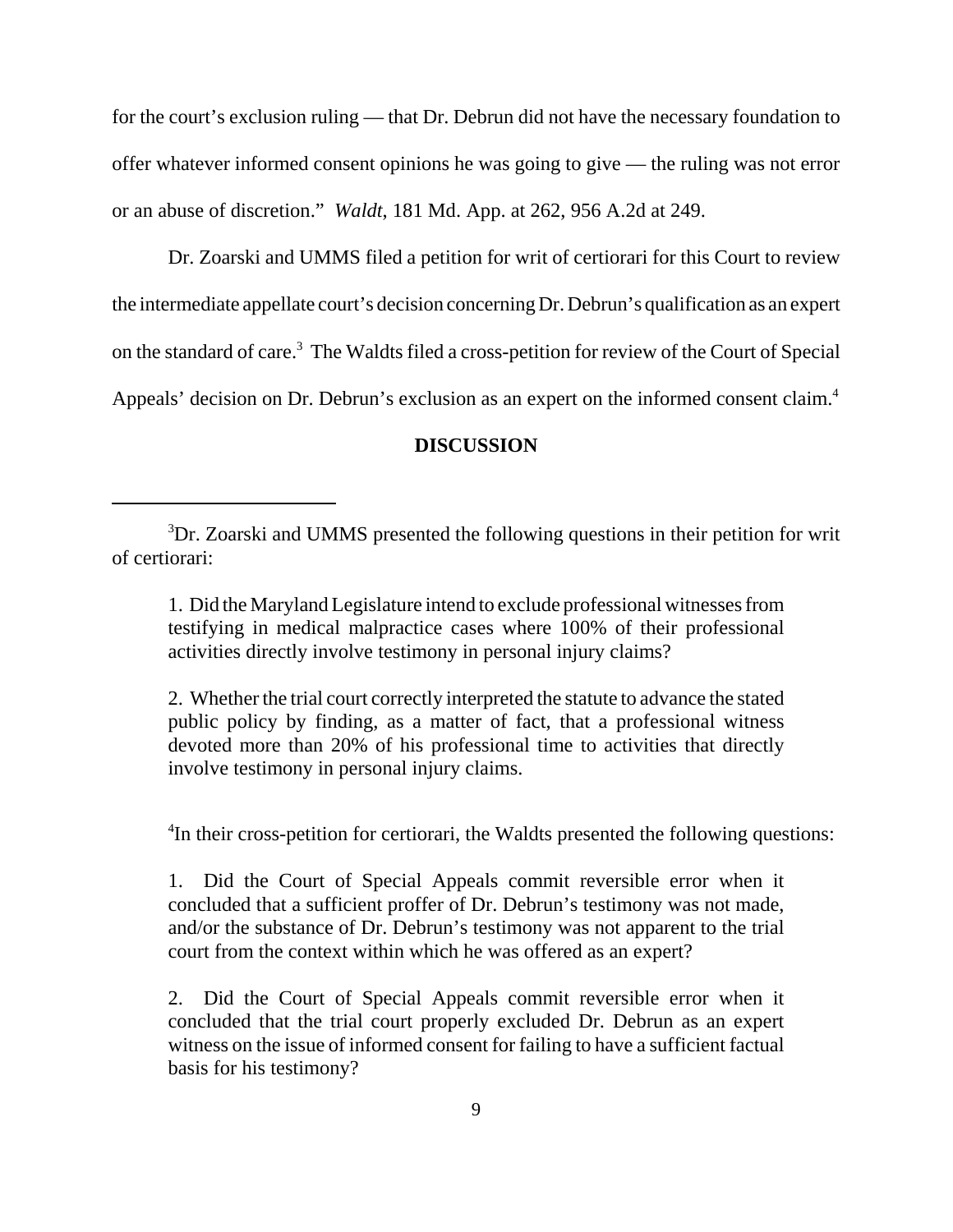for the court's exclusion ruling — that Dr. Debrun did not have the necessary foundation to offer whatever informed consent opinions he was going to give — the ruling was not error or an abuse of discretion." *Waldt*, 181 Md. App. at 262, 956 A.2d at 249.

Dr. Zoarski and UMMS filed a petition for writ of certiorari for this Court to review the intermediate appellate court's decision concerning Dr. Debrun's qualification as an expert on the standard of care.<sup>3</sup> The Waldts filed a cross-petition for review of the Court of Special Appeals' decision on Dr. Debrun's exclusion as an expert on the informed consent claim.<sup>4</sup>

### **DISCUSSION**

1. Did the Maryland Legislature intend to exclude professional witnesses from testifying in medical malpractice cases where 100% of their professional activities directly involve testimony in personal injury claims?

2. Whether the trial court correctly interpreted the statute to advance the stated public policy by finding, as a matter of fact, that a professional witness devoted more than 20% of his professional time to activities that directly involve testimony in personal injury claims.

<sup>4</sup>In their cross-petition for certiorari, the Waldts presented the following questions:

1. Did the Court of Special Appeals commit reversible error when it concluded that a sufficient proffer of Dr. Debrun's testimony was not made, and/or the substance of Dr. Debrun's testimony was not apparent to the trial court from the context within which he was offered as an expert?

2. Did the Court of Special Appeals commit reversible error when it concluded that the trial court properly excluded Dr. Debrun as an expert witness on the issue of informed consent for failing to have a sufficient factual basis for his testimony?

<sup>&</sup>lt;sup>3</sup>Dr. Zoarski and UMMS presented the following questions in their petition for writ of certiorari: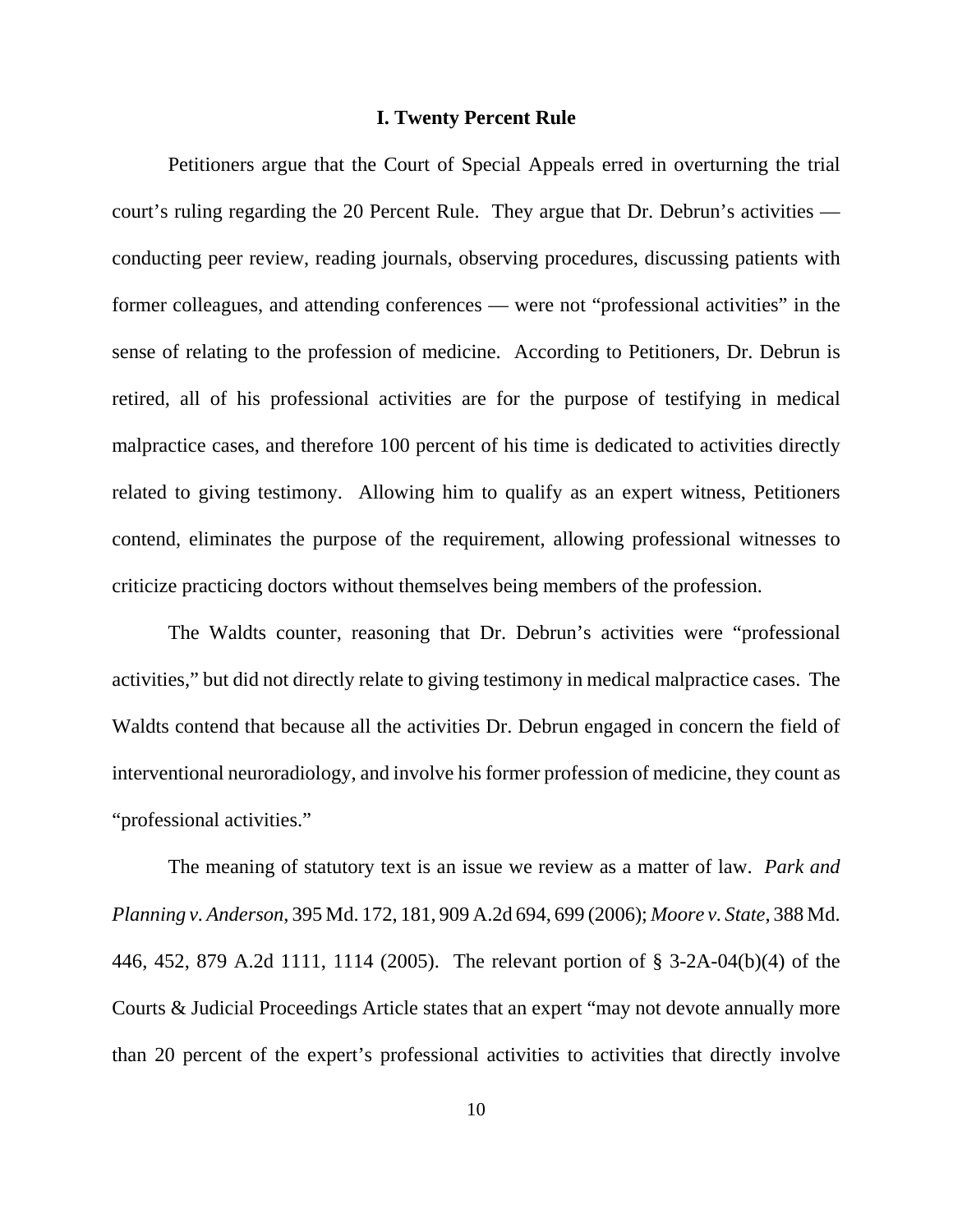### **I. Twenty Percent Rule**

Petitioners argue that the Court of Special Appeals erred in overturning the trial court's ruling regarding the 20 Percent Rule. They argue that Dr. Debrun's activities conducting peer review, reading journals, observing procedures, discussing patients with former colleagues, and attending conferences — were not "professional activities" in the sense of relating to the profession of medicine. According to Petitioners, Dr. Debrun is retired, all of his professional activities are for the purpose of testifying in medical malpractice cases, and therefore 100 percent of his time is dedicated to activities directly related to giving testimony. Allowing him to qualify as an expert witness, Petitioners contend, eliminates the purpose of the requirement, allowing professional witnesses to criticize practicing doctors without themselves being members of the profession.

The Waldts counter, reasoning that Dr. Debrun's activities were "professional activities," but did not directly relate to giving testimony in medical malpractice cases. The Waldts contend that because all the activities Dr. Debrun engaged in concern the field of interventional neuroradiology, and involve his former profession of medicine, they count as "professional activities."

The meaning of statutory text is an issue we review as a matter of law. *Park and Planning v. Anderson*, 395 Md. 172, 181, 909 A.2d 694, 699 (2006); *Moore v. State*, 388 Md. 446, 452, 879 A.2d 1111, 1114 (2005). The relevant portion of § 3-2A-04(b)(4) of the Courts & Judicial Proceedings Article states that an expert "may not devote annually more than 20 percent of the expert's professional activities to activities that directly involve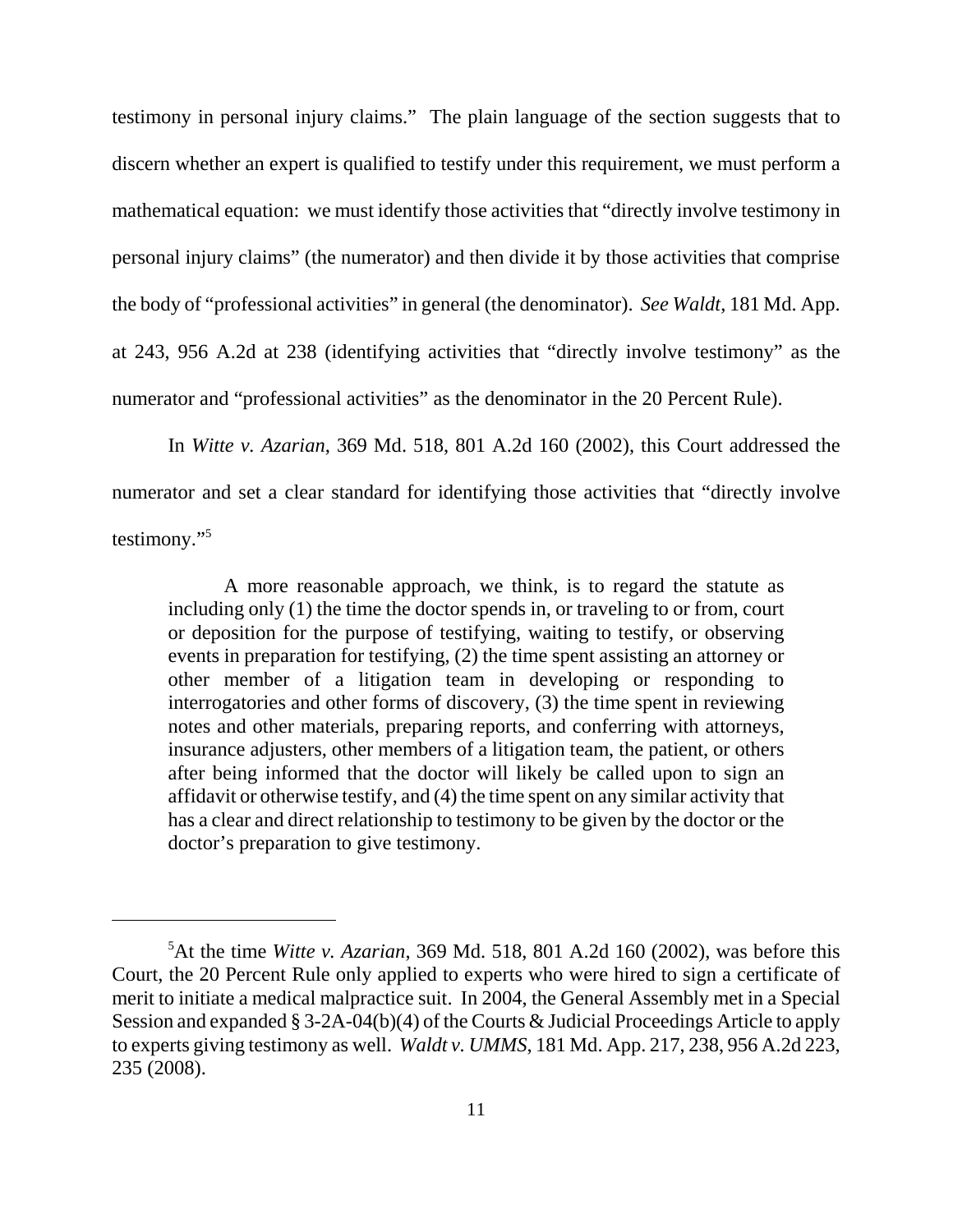testimony in personal injury claims." The plain language of the section suggests that to discern whether an expert is qualified to testify under this requirement, we must perform a mathematical equation: we must identify those activities that "directly involve testimony in personal injury claims" (the numerator) and then divide it by those activities that comprise the body of "professional activities" in general (the denominator). *See Waldt*, 181 Md. App. at 243, 956 A.2d at 238 (identifying activities that "directly involve testimony" as the numerator and "professional activities" as the denominator in the 20 Percent Rule).

In *Witte v. Azarian*, 369 Md. 518, 801 A.2d 160 (2002), this Court addressed the numerator and set a clear standard for identifying those activities that "directly involve testimony."5

A more reasonable approach, we think, is to regard the statute as including only (1) the time the doctor spends in, or traveling to or from, court or deposition for the purpose of testifying, waiting to testify, or observing events in preparation for testifying, (2) the time spent assisting an attorney or other member of a litigation team in developing or responding to interrogatories and other forms of discovery, (3) the time spent in reviewing notes and other materials, preparing reports, and conferring with attorneys, insurance adjusters, other members of a litigation team, the patient, or others after being informed that the doctor will likely be called upon to sign an affidavit or otherwise testify, and (4) the time spent on any similar activity that has a clear and direct relationship to testimony to be given by the doctor or the doctor's preparation to give testimony.

<sup>5</sup> At the time *Witte v. Azarian*, 369 Md. 518, 801 A.2d 160 (2002), was before this Court, the 20 Percent Rule only applied to experts who were hired to sign a certificate of merit to initiate a medical malpractice suit. In 2004, the General Assembly met in a Special Session and expanded § 3-2A-04(b)(4) of the Courts & Judicial Proceedings Article to apply to experts giving testimony as well. *Waldt v. UMMS*, 181 Md. App. 217, 238, 956 A.2d 223, 235 (2008).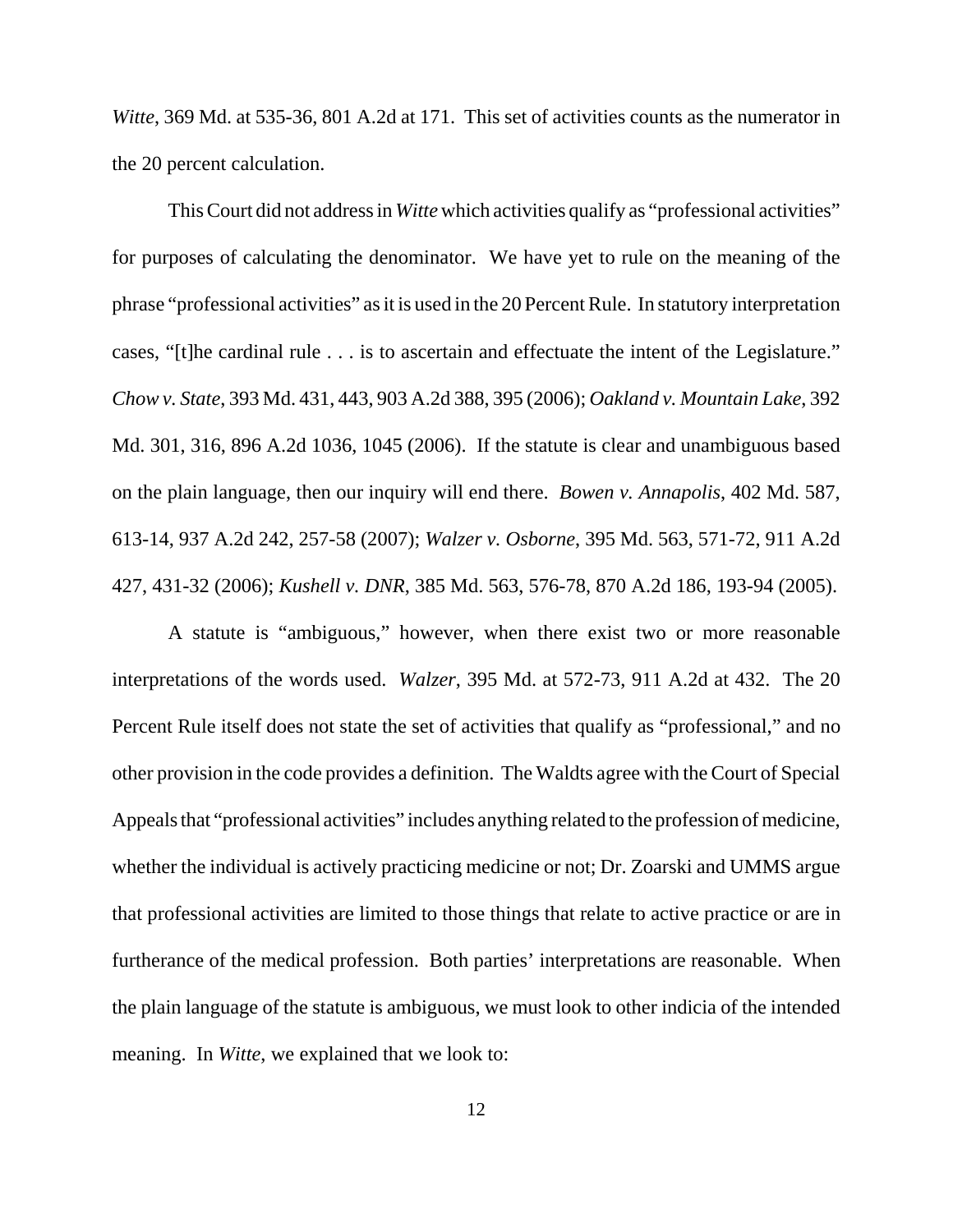*Witte*, 369 Md. at 535-36, 801 A.2d at 171. This set of activities counts as the numerator in the 20 percent calculation.

This Court did not address in *Witte* which activities qualify as "professional activities" for purposes of calculating the denominator. We have yet to rule on the meaning of the phrase "professional activities" as it is used in the 20 Percent Rule. In statutory interpretation cases, "[t]he cardinal rule . . . is to ascertain and effectuate the intent of the Legislature." *Chow v. State*, 393 Md. 431, 443, 903 A.2d 388, 395 (2006); *Oakland v. Mountain Lake*, 392 Md. 301, 316, 896 A.2d 1036, 1045 (2006). If the statute is clear and unambiguous based on the plain language, then our inquiry will end there. *Bowen v. Annapolis*, 402 Md. 587, 613-14, 937 A.2d 242, 257-58 (2007); *Walzer v. Osborne*, 395 Md. 563, 571-72, 911 A.2d 427, 431-32 (2006); *Kushell v. DNR*, 385 Md. 563, 576-78, 870 A.2d 186, 193-94 (2005).

A statute is "ambiguous," however, when there exist two or more reasonable interpretations of the words used. *Walzer*, 395 Md. at 572-73, 911 A.2d at 432. The 20 Percent Rule itself does not state the set of activities that qualify as "professional," and no other provision in the code provides a definition. The Waldts agree with the Court of Special Appeals that "professional activities" includes anything related to the profession of medicine, whether the individual is actively practicing medicine or not; Dr. Zoarski and UMMS argue that professional activities are limited to those things that relate to active practice or are in furtherance of the medical profession. Both parties' interpretations are reasonable. When the plain language of the statute is ambiguous, we must look to other indicia of the intended meaning. In *Witte*, we explained that we look to: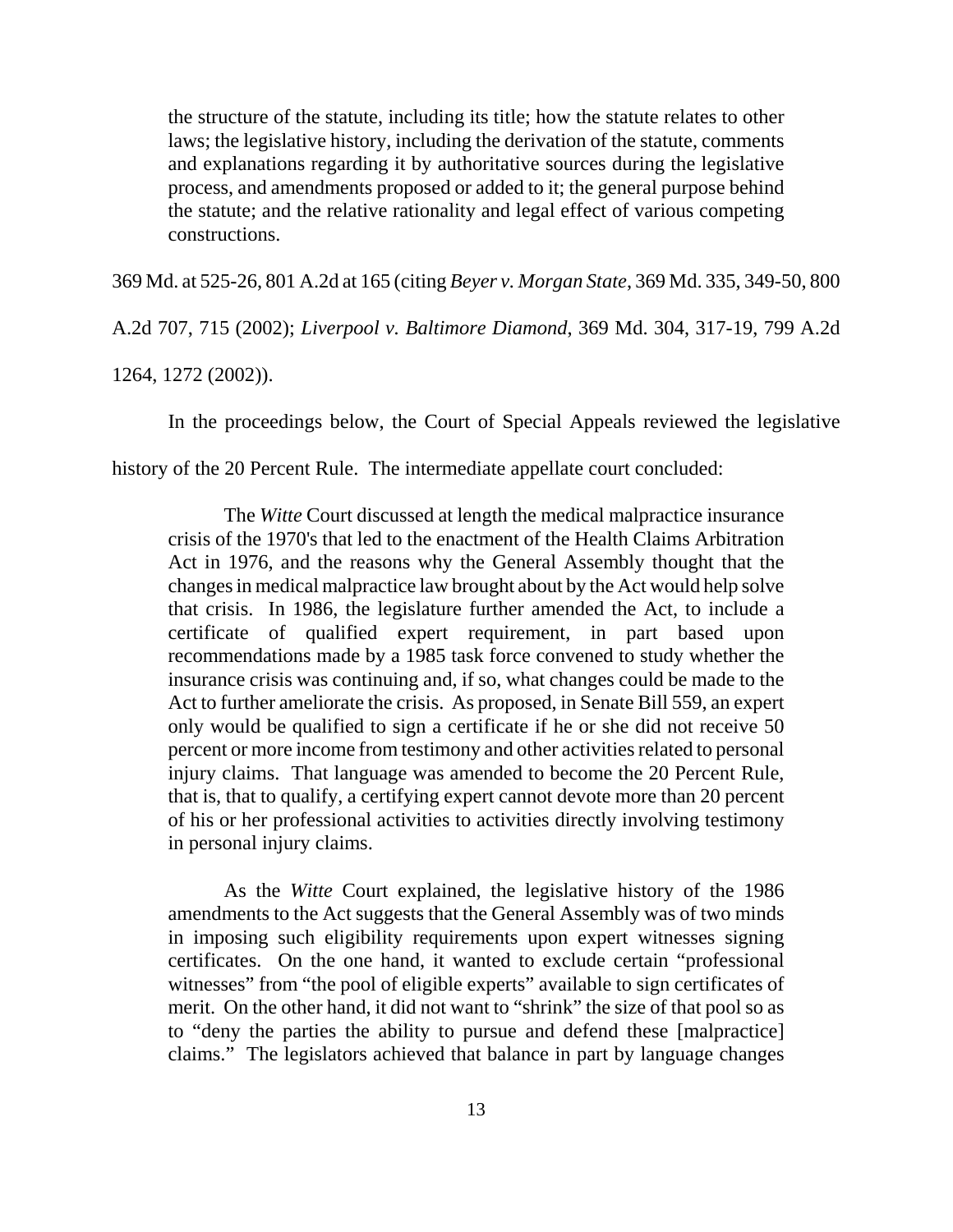the structure of the statute, including its title; how the statute relates to other laws; the legislative history, including the derivation of the statute, comments and explanations regarding it by authoritative sources during the legislative process, and amendments proposed or added to it; the general purpose behind the statute; and the relative rationality and legal effect of various competing constructions.

369 Md. at 525-26, 801 A.2d at 165 (citing *Beyer v. Morgan State*, 369 Md. 335, 349-50, 800

A.2d 707, 715 (2002); *Liverpool v. Baltimore Diamond*, 369 Md. 304, 317-19, 799 A.2d

1264, 1272 (2002)).

In the proceedings below, the Court of Special Appeals reviewed the legislative

history of the 20 Percent Rule. The intermediate appellate court concluded:

The *Witte* Court discussed at length the medical malpractice insurance crisis of the 1970's that led to the enactment of the Health Claims Arbitration Act in 1976, and the reasons why the General Assembly thought that the changes in medical malpractice law brought about by the Act would help solve that crisis. In 1986, the legislature further amended the Act, to include a certificate of qualified expert requirement, in part based upon recommendations made by a 1985 task force convened to study whether the insurance crisis was continuing and, if so, what changes could be made to the Act to further ameliorate the crisis. As proposed, in Senate Bill 559, an expert only would be qualified to sign a certificate if he or she did not receive 50 percent or more income from testimony and other activities related to personal injury claims. That language was amended to become the 20 Percent Rule, that is, that to qualify, a certifying expert cannot devote more than 20 percent of his or her professional activities to activities directly involving testimony in personal injury claims.

As the *Witte* Court explained, the legislative history of the 1986 amendments to the Act suggests that the General Assembly was of two minds in imposing such eligibility requirements upon expert witnesses signing certificates. On the one hand, it wanted to exclude certain "professional witnesses" from "the pool of eligible experts" available to sign certificates of merit. On the other hand, it did not want to "shrink" the size of that pool so as to "deny the parties the ability to pursue and defend these [malpractice] claims." The legislators achieved that balance in part by language changes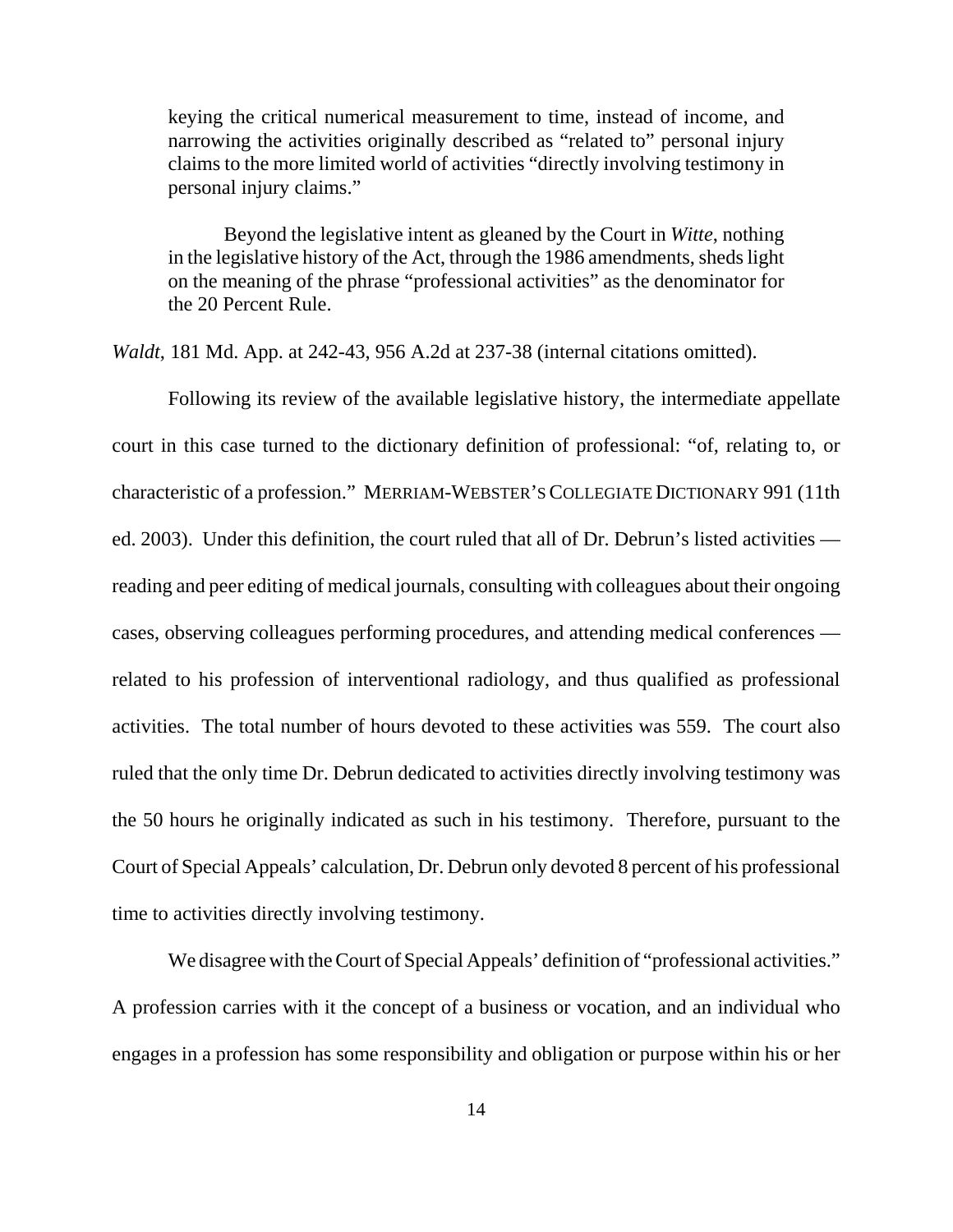keying the critical numerical measurement to time, instead of income, and narrowing the activities originally described as "related to" personal injury claims to the more limited world of activities "directly involving testimony in personal injury claims."

Beyond the legislative intent as gleaned by the Court in *Witte*, nothing in the legislative history of the Act, through the 1986 amendments, sheds light on the meaning of the phrase "professional activities" as the denominator for the 20 Percent Rule.

*Waldt*, 181 Md. App. at 242-43, 956 A.2d at 237-38 (internal citations omitted).

Following its review of the available legislative history, the intermediate appellate court in this case turned to the dictionary definition of professional: "of, relating to, or characteristic of a profession." MERRIAM-WEBSTER'S COLLEGIATE DICTIONARY 991 (11th ed. 2003). Under this definition, the court ruled that all of Dr. Debrun's listed activities reading and peer editing of medical journals, consulting with colleagues about their ongoing cases, observing colleagues performing procedures, and attending medical conferences related to his profession of interventional radiology, and thus qualified as professional activities. The total number of hours devoted to these activities was 559. The court also ruled that the only time Dr. Debrun dedicated to activities directly involving testimony was the 50 hours he originally indicated as such in his testimony. Therefore, pursuant to the Court of Special Appeals' calculation, Dr. Debrun only devoted 8 percent of his professional time to activities directly involving testimony.

We disagree with the Court of Special Appeals' definition of "professional activities." A profession carries with it the concept of a business or vocation, and an individual who engages in a profession has some responsibility and obligation or purpose within his or her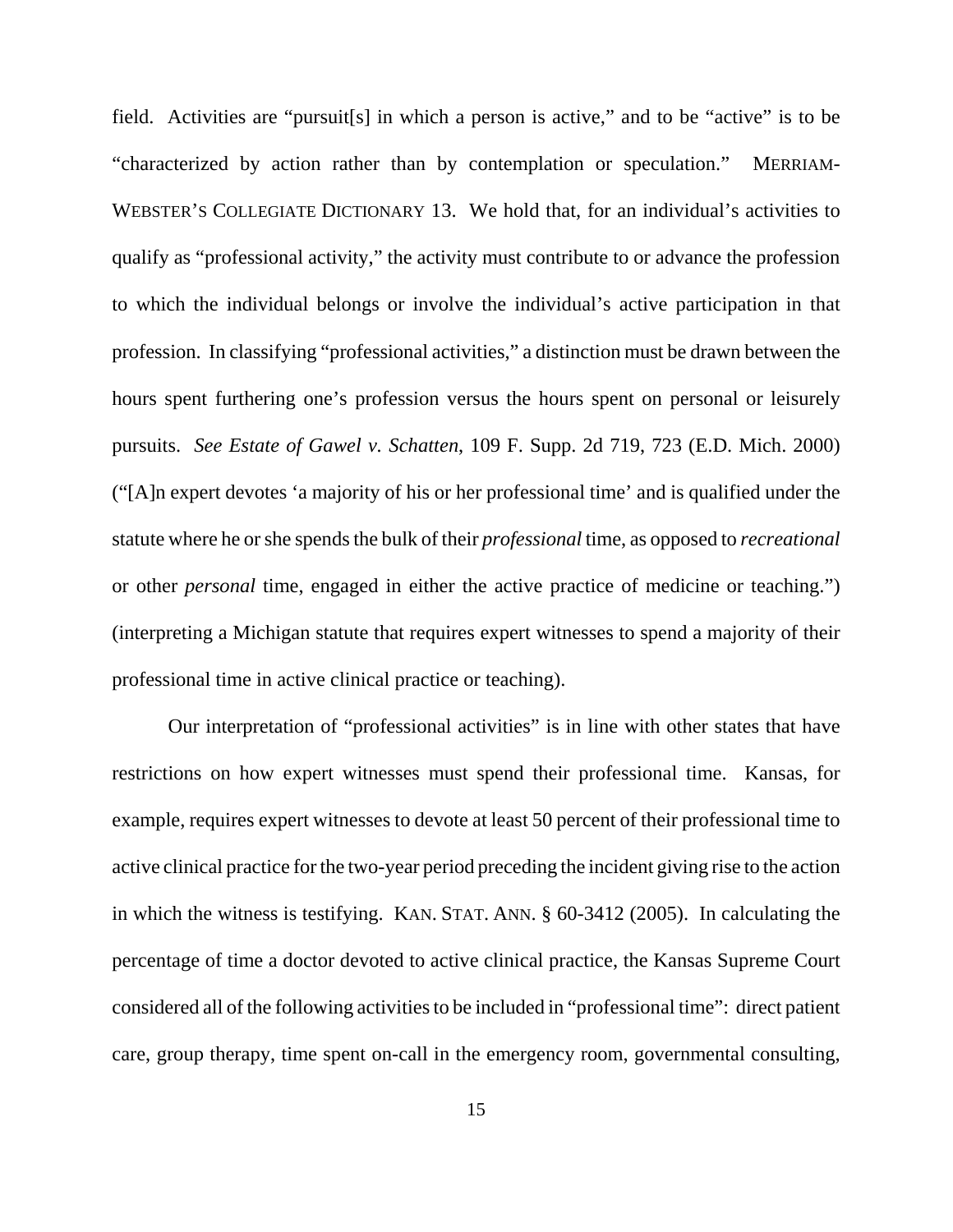field. Activities are "pursuit[s] in which a person is active," and to be "active" is to be "characterized by action rather than by contemplation or speculation." MERRIAM-WEBSTER'S COLLEGIATE DICTIONARY 13. We hold that, for an individual's activities to qualify as "professional activity," the activity must contribute to or advance the profession to which the individual belongs or involve the individual's active participation in that profession. In classifying "professional activities," a distinction must be drawn between the hours spent furthering one's profession versus the hours spent on personal or leisurely pursuits. *See Estate of Gawel v. Schatten*, 109 F. Supp. 2d 719, 723 (E.D. Mich. 2000) ("[A]n expert devotes 'a majority of his or her professional time' and is qualified under the statute where he or she spends the bulk of their *professional* time, as opposed to *recreational* or other *personal* time, engaged in either the active practice of medicine or teaching.") (interpreting a Michigan statute that requires expert witnesses to spend a majority of their professional time in active clinical practice or teaching).

Our interpretation of "professional activities" is in line with other states that have restrictions on how expert witnesses must spend their professional time. Kansas, for example, requires expert witnesses to devote at least 50 percent of their professional time to active clinical practice for the two-year period preceding the incident giving rise to the action in which the witness is testifying. KAN. STAT. ANN. § 60-3412 (2005). In calculating the percentage of time a doctor devoted to active clinical practice, the Kansas Supreme Court considered all of the following activities to be included in "professional time": direct patient care, group therapy, time spent on-call in the emergency room, governmental consulting,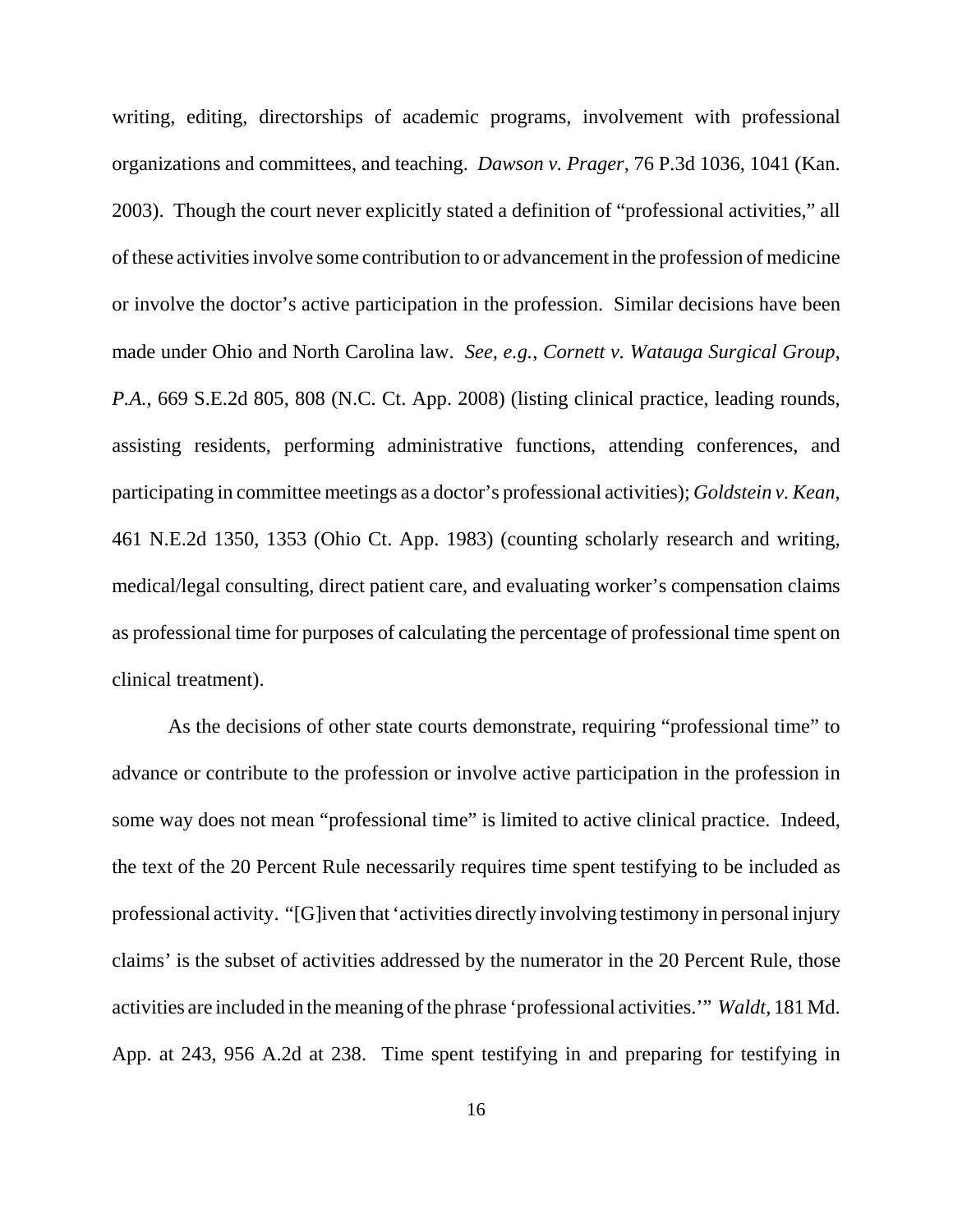writing, editing, directorships of academic programs, involvement with professional organizations and committees, and teaching. *Dawson v. Prager*, 76 P.3d 1036, 1041 (Kan. 2003). Though the court never explicitly stated a definition of "professional activities," all of these activities involve some contribution to or advancement in the profession of medicine or involve the doctor's active participation in the profession. Similar decisions have been made under Ohio and North Carolina law. *See, e.g.*, *Cornett v. Watauga Surgical Group, P.A.*, 669 S.E.2d 805, 808 (N.C. Ct. App. 2008) (listing clinical practice, leading rounds, assisting residents, performing administrative functions, attending conferences, and participating in committee meetings as a doctor's professional activities); *Goldstein v. Kean*, 461 N.E.2d 1350, 1353 (Ohio Ct. App. 1983) (counting scholarly research and writing, medical/legal consulting, direct patient care, and evaluating worker's compensation claims as professional time for purposes of calculating the percentage of professional time spent on clinical treatment).

As the decisions of other state courts demonstrate, requiring "professional time" to advance or contribute to the profession or involve active participation in the profession in some way does not mean "professional time" is limited to active clinical practice. Indeed, the text of the 20 Percent Rule necessarily requires time spent testifying to be included as professional activity. "[G]iven that 'activities directly involving testimony in personal injury claims' is the subset of activities addressed by the numerator in the 20 Percent Rule, those activities are included in the meaning of the phrase 'professional activities.'" *Waldt*, 181 Md. App. at 243, 956 A.2d at 238. Time spent testifying in and preparing for testifying in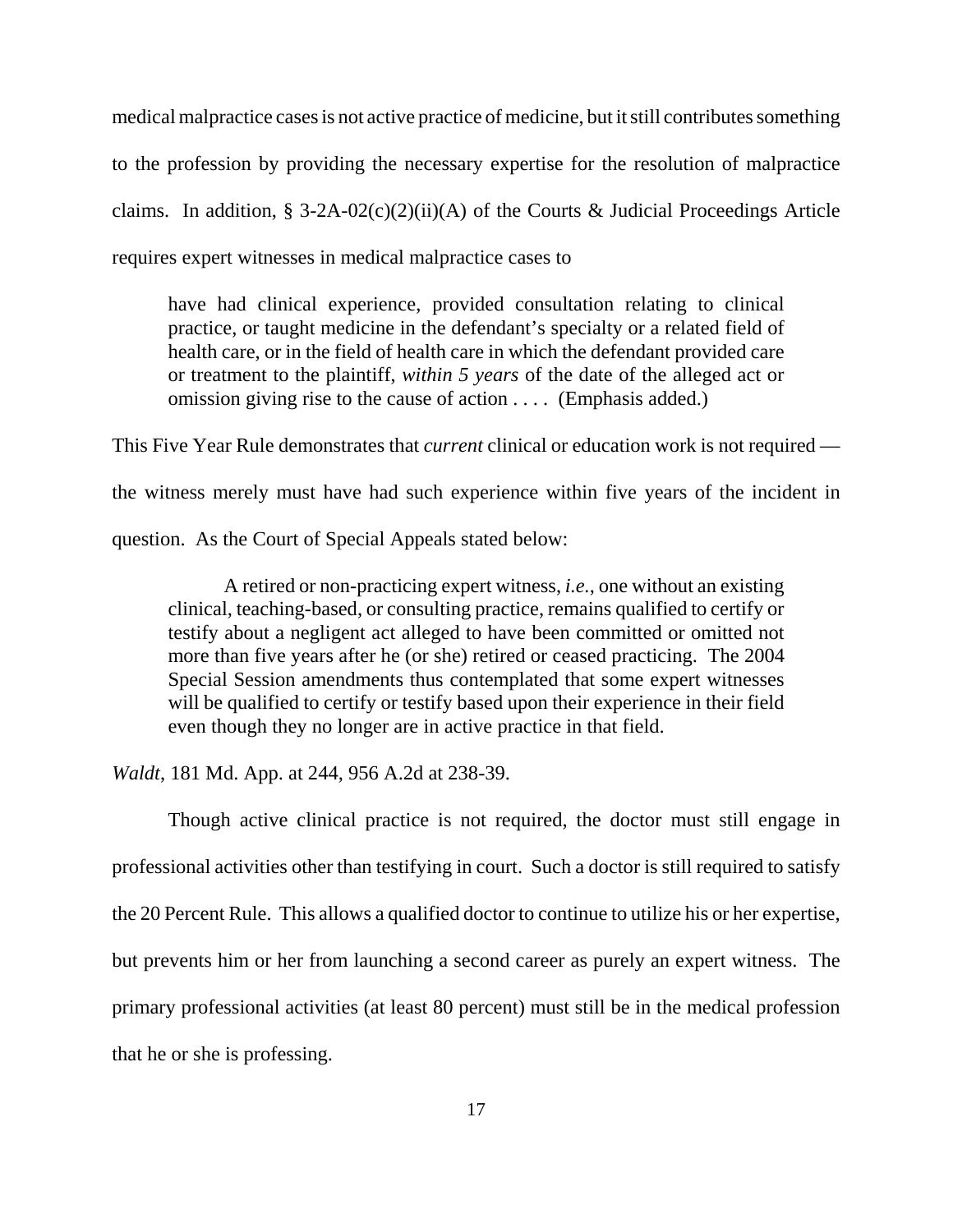medical malpractice cases is not active practice of medicine, but it still contributes something to the profession by providing the necessary expertise for the resolution of malpractice claims. In addition, § 3-2A-02(c)(2)(ii)(A) of the Courts & Judicial Proceedings Article requires expert witnesses in medical malpractice cases to

have had clinical experience, provided consultation relating to clinical practice, or taught medicine in the defendant's specialty or a related field of health care, or in the field of health care in which the defendant provided care or treatment to the plaintiff, *within 5 years* of the date of the alleged act or omission giving rise to the cause of action . . . . (Emphasis added.)

This Five Year Rule demonstrates that *current* clinical or education work is not required the witness merely must have had such experience within five years of the incident in question. As the Court of Special Appeals stated below:

A retired or non-practicing expert witness, *i.e.*, one without an existing clinical, teaching-based, or consulting practice, remains qualified to certify or testify about a negligent act alleged to have been committed or omitted not more than five years after he (or she) retired or ceased practicing. The 2004 Special Session amendments thus contemplated that some expert witnesses will be qualified to certify or testify based upon their experience in their field even though they no longer are in active practice in that field.

*Waldt*, 181 Md. App. at 244, 956 A.2d at 238-39.

Though active clinical practice is not required, the doctor must still engage in professional activities other than testifying in court. Such a doctor is still required to satisfy the 20 Percent Rule. This allows a qualified doctor to continue to utilize his or her expertise, but prevents him or her from launching a second career as purely an expert witness. The primary professional activities (at least 80 percent) must still be in the medical profession that he or she is professing.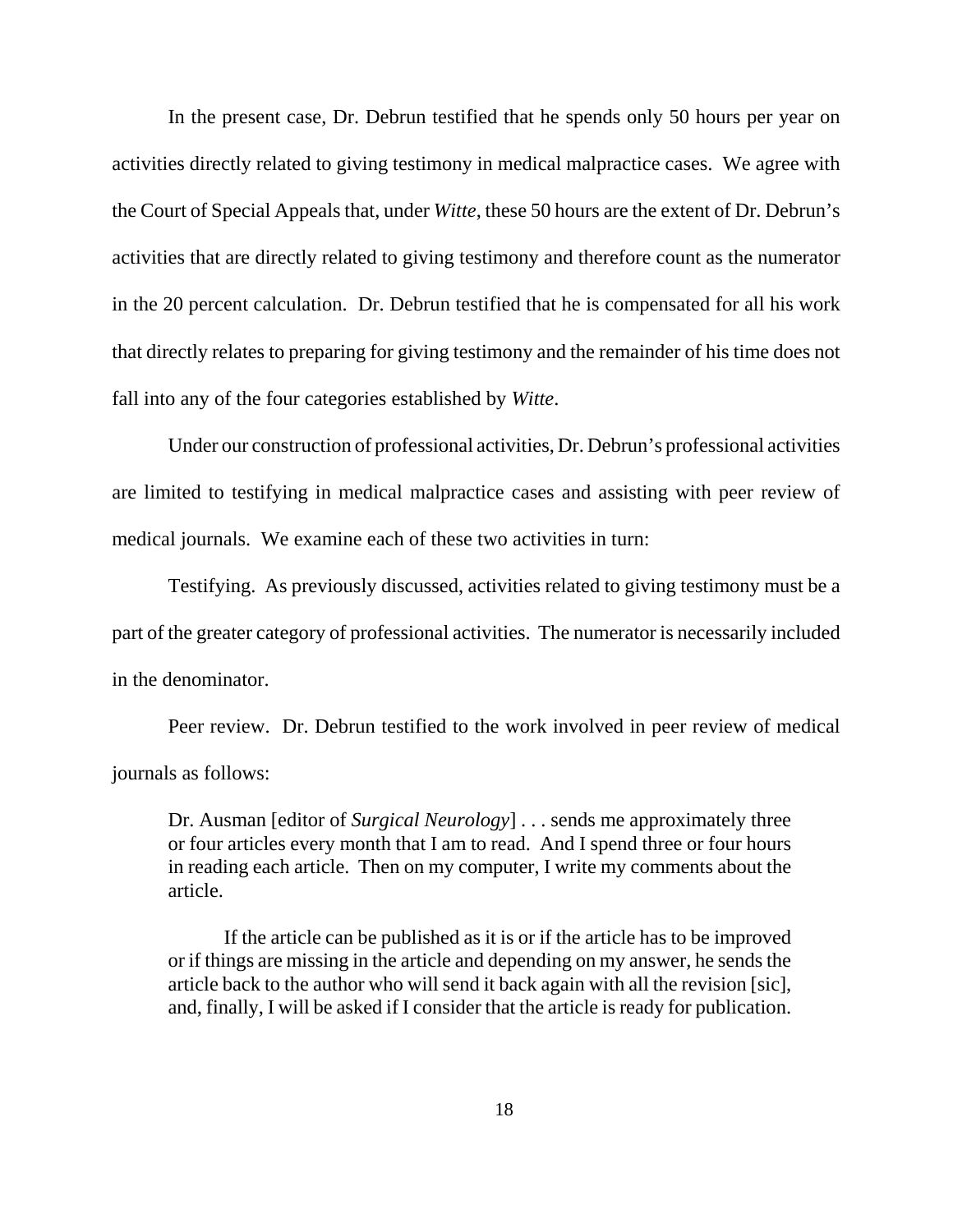In the present case, Dr. Debrun testified that he spends only 50 hours per year on activities directly related to giving testimony in medical malpractice cases. We agree with the Court of Special Appeals that, under *Witte*, these 50 hours are the extent of Dr. Debrun's activities that are directly related to giving testimony and therefore count as the numerator in the 20 percent calculation. Dr. Debrun testified that he is compensated for all his work that directly relates to preparing for giving testimony and the remainder of his time does not fall into any of the four categories established by *Witte*.

Under our construction of professional activities, Dr. Debrun's professional activities are limited to testifying in medical malpractice cases and assisting with peer review of medical journals. We examine each of these two activities in turn:

Testifying. As previously discussed, activities related to giving testimony must be a part of the greater category of professional activities. The numerator is necessarily included in the denominator.

Peer review. Dr. Debrun testified to the work involved in peer review of medical journals as follows:

Dr. Ausman [editor of *Surgical Neurology*] . . . sends me approximately three or four articles every month that I am to read. And I spend three or four hours in reading each article. Then on my computer, I write my comments about the article.

If the article can be published as it is or if the article has to be improved or if things are missing in the article and depending on my answer, he sends the article back to the author who will send it back again with all the revision [sic], and, finally, I will be asked if I consider that the article is ready for publication.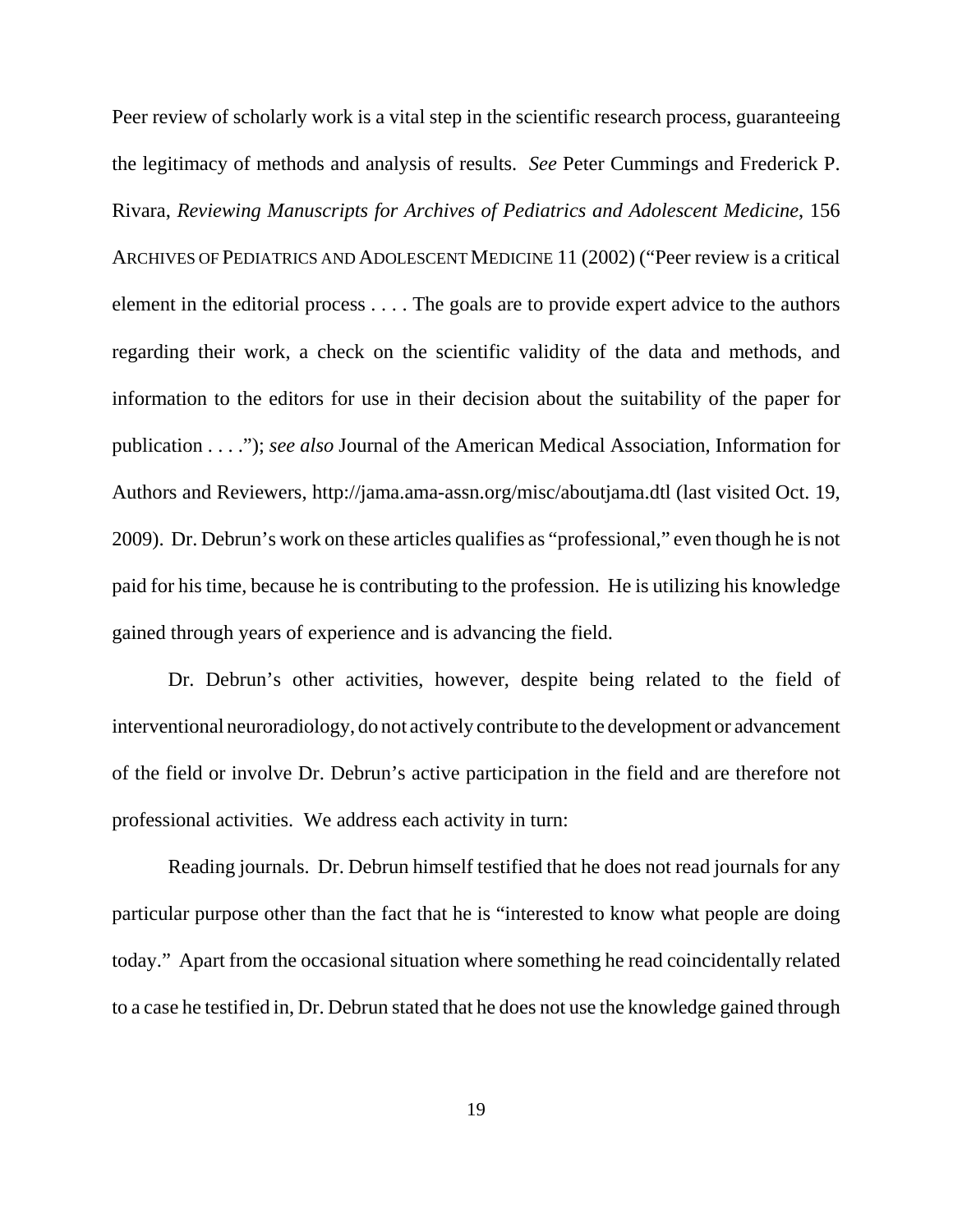Peer review of scholarly work is a vital step in the scientific research process, guaranteeing the legitimacy of methods and analysis of results. *See* Peter Cummings and Frederick P. Rivara, *Reviewing Manuscripts for Archives of Pediatrics and Adolescent Medicine*, 156 ARCHIVES OF PEDIATRICS AND ADOLESCENT MEDICINE 11 (2002) ("Peer review is a critical element in the editorial process . . . . The goals are to provide expert advice to the authors regarding their work, a check on the scientific validity of the data and methods, and information to the editors for use in their decision about the suitability of the paper for publication . . . ."); *see also* Journal of the American Medical Association, Information for Authors and Reviewers, http://jama.ama-assn.org/misc/aboutjama.dtl (last visited Oct. 19, 2009). Dr. Debrun's work on these articles qualifies as "professional," even though he is not paid for his time, because he is contributing to the profession. He is utilizing his knowledge gained through years of experience and is advancing the field.

Dr. Debrun's other activities, however, despite being related to the field of interventional neuroradiology, do not actively contribute to the development or advancement of the field or involve Dr. Debrun's active participation in the field and are therefore not professional activities. We address each activity in turn:

Reading journals. Dr. Debrun himself testified that he does not read journals for any particular purpose other than the fact that he is "interested to know what people are doing today." Apart from the occasional situation where something he read coincidentally related to a case he testified in, Dr. Debrun stated that he does not use the knowledge gained through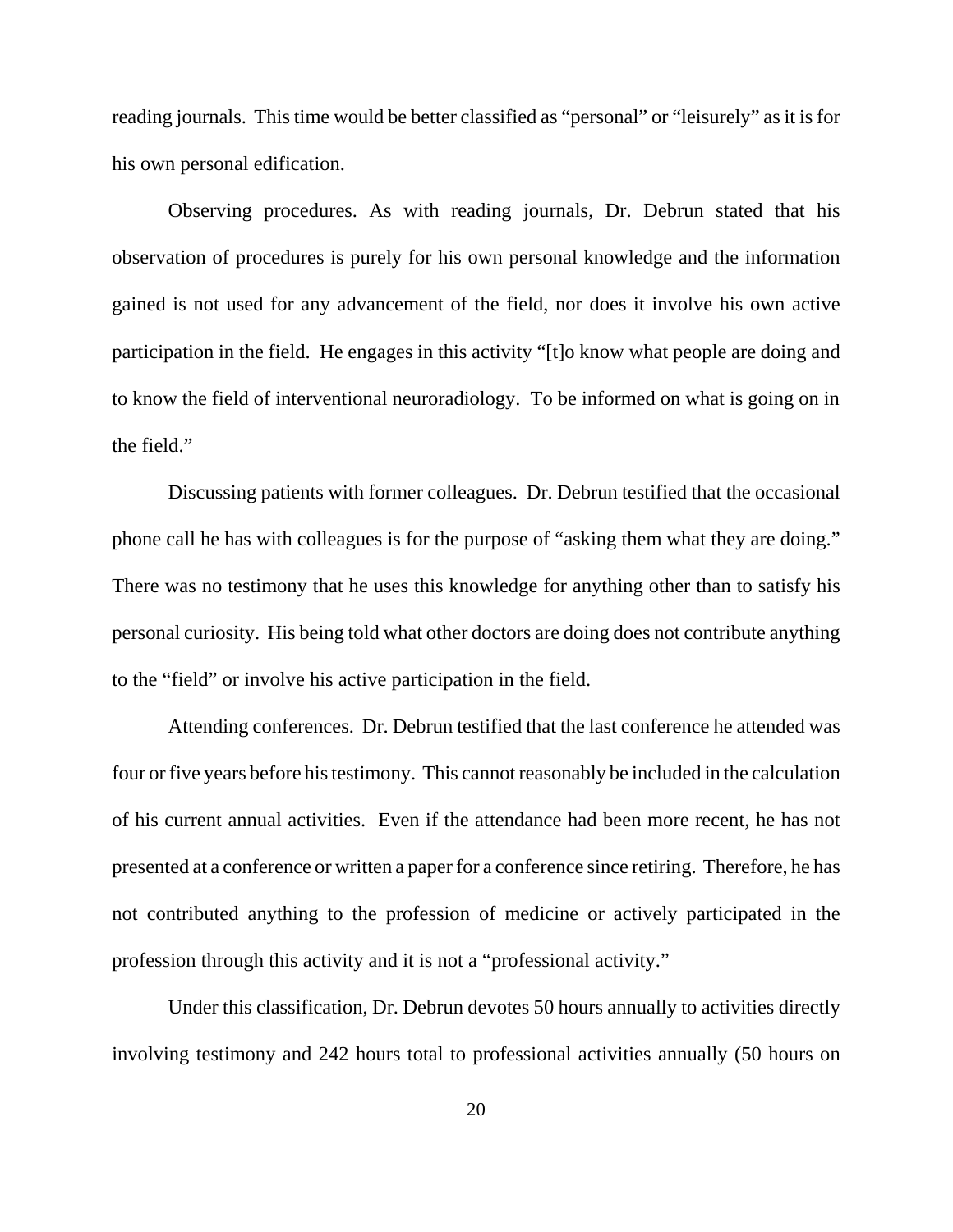reading journals. This time would be better classified as "personal" or "leisurely" as it is for his own personal edification.

Observing procedures. As with reading journals, Dr. Debrun stated that his observation of procedures is purely for his own personal knowledge and the information gained is not used for any advancement of the field, nor does it involve his own active participation in the field. He engages in this activity "[t]o know what people are doing and to know the field of interventional neuroradiology. To be informed on what is going on in the field."

Discussing patients with former colleagues. Dr. Debrun testified that the occasional phone call he has with colleagues is for the purpose of "asking them what they are doing." There was no testimony that he uses this knowledge for anything other than to satisfy his personal curiosity. His being told what other doctors are doing does not contribute anything to the "field" or involve his active participation in the field.

Attending conferences. Dr. Debrun testified that the last conference he attended was four or five years before his testimony. This cannot reasonably be included in the calculation of his current annual activities. Even if the attendance had been more recent, he has not presented at a conference or written a paper for a conference since retiring. Therefore, he has not contributed anything to the profession of medicine or actively participated in the profession through this activity and it is not a "professional activity."

Under this classification, Dr. Debrun devotes 50 hours annually to activities directly involving testimony and 242 hours total to professional activities annually (50 hours on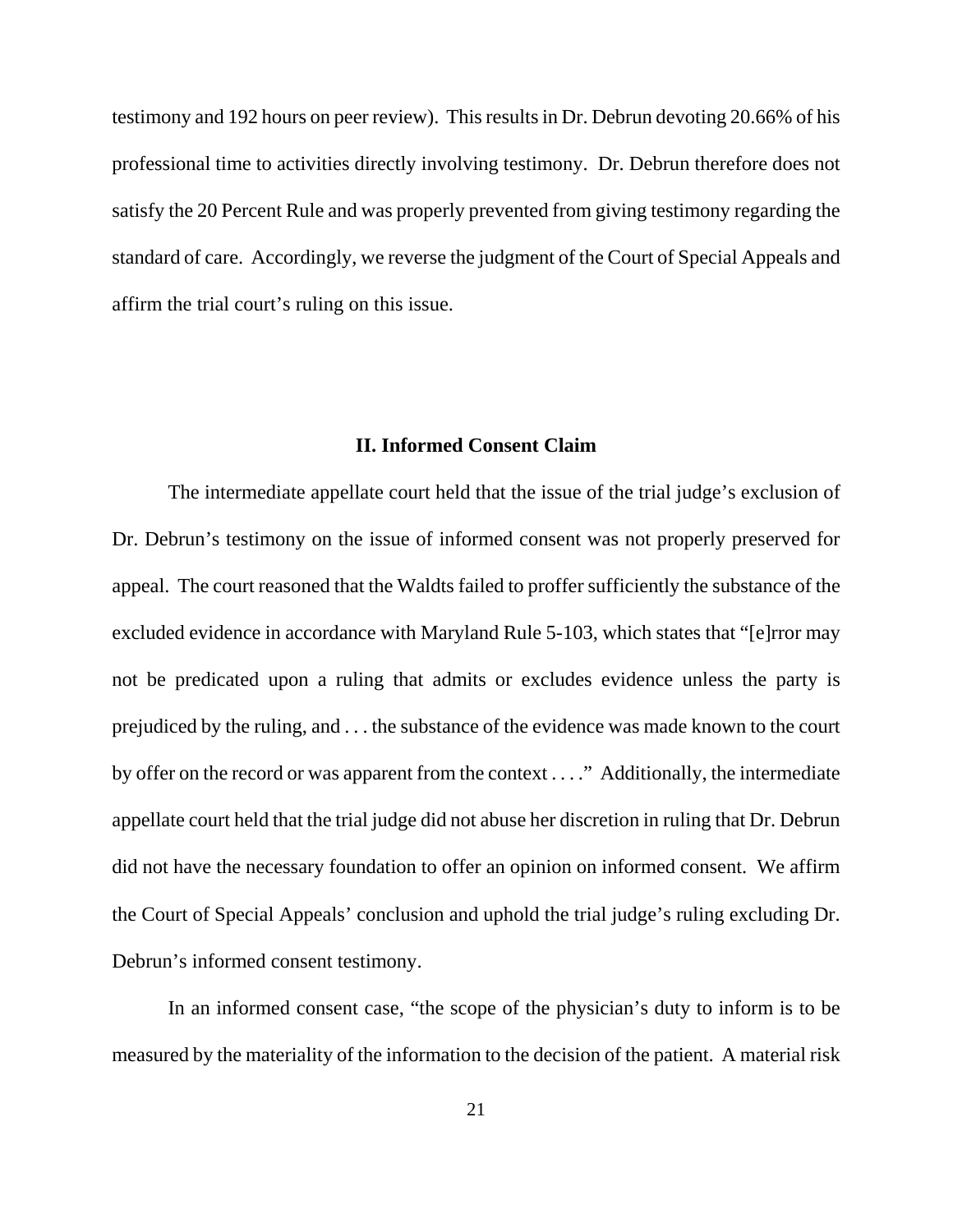testimony and 192 hours on peer review). This results in Dr. Debrun devoting 20.66% of his professional time to activities directly involving testimony. Dr. Debrun therefore does not satisfy the 20 Percent Rule and was properly prevented from giving testimony regarding the standard of care. Accordingly, we reverse the judgment of the Court of Special Appeals and affirm the trial court's ruling on this issue.

### **II. Informed Consent Claim**

The intermediate appellate court held that the issue of the trial judge's exclusion of Dr. Debrun's testimony on the issue of informed consent was not properly preserved for appeal. The court reasoned that the Waldts failed to proffer sufficiently the substance of the excluded evidence in accordance with Maryland Rule 5-103, which states that "[e]rror may not be predicated upon a ruling that admits or excludes evidence unless the party is prejudiced by the ruling, and . . . the substance of the evidence was made known to the court by offer on the record or was apparent from the context . . . ." Additionally, the intermediate appellate court held that the trial judge did not abuse her discretion in ruling that Dr. Debrun did not have the necessary foundation to offer an opinion on informed consent. We affirm the Court of Special Appeals' conclusion and uphold the trial judge's ruling excluding Dr. Debrun's informed consent testimony.

In an informed consent case, "the scope of the physician's duty to inform is to be measured by the materiality of the information to the decision of the patient. A material risk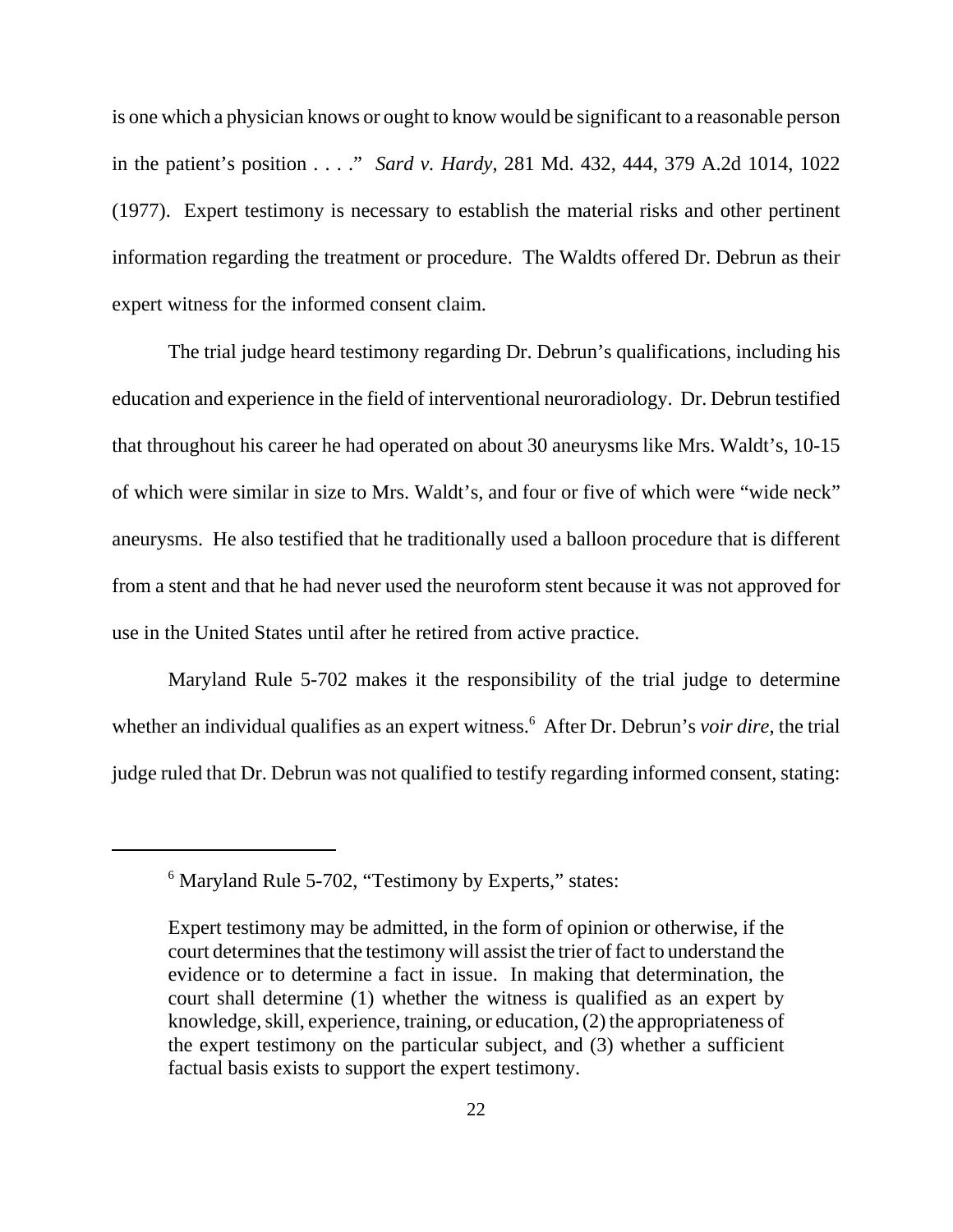is one which a physician knows or ought to know would be significant to a reasonable person in the patient's position . . . ." *Sard v. Hardy*, 281 Md. 432, 444, 379 A.2d 1014, 1022 (1977). Expert testimony is necessary to establish the material risks and other pertinent information regarding the treatment or procedure. The Waldts offered Dr. Debrun as their expert witness for the informed consent claim.

The trial judge heard testimony regarding Dr. Debrun's qualifications, including his education and experience in the field of interventional neuroradiology. Dr. Debrun testified that throughout his career he had operated on about 30 aneurysms like Mrs. Waldt's, 10-15 of which were similar in size to Mrs. Waldt's, and four or five of which were "wide neck" aneurysms. He also testified that he traditionally used a balloon procedure that is different from a stent and that he had never used the neuroform stent because it was not approved for use in the United States until after he retired from active practice.

Maryland Rule 5-702 makes it the responsibility of the trial judge to determine whether an individual qualifies as an expert witness.<sup>6</sup> After Dr. Debrun's *voir dire*, the trial judge ruled that Dr. Debrun was not qualified to testify regarding informed consent, stating:

<sup>&</sup>lt;sup>6</sup> Maryland Rule 5-702, "Testimony by Experts," states:

Expert testimony may be admitted, in the form of opinion or otherwise, if the court determines that the testimony will assist the trier of fact to understand the evidence or to determine a fact in issue. In making that determination, the court shall determine (1) whether the witness is qualified as an expert by knowledge, skill, experience, training, or education, (2) the appropriateness of the expert testimony on the particular subject, and (3) whether a sufficient factual basis exists to support the expert testimony.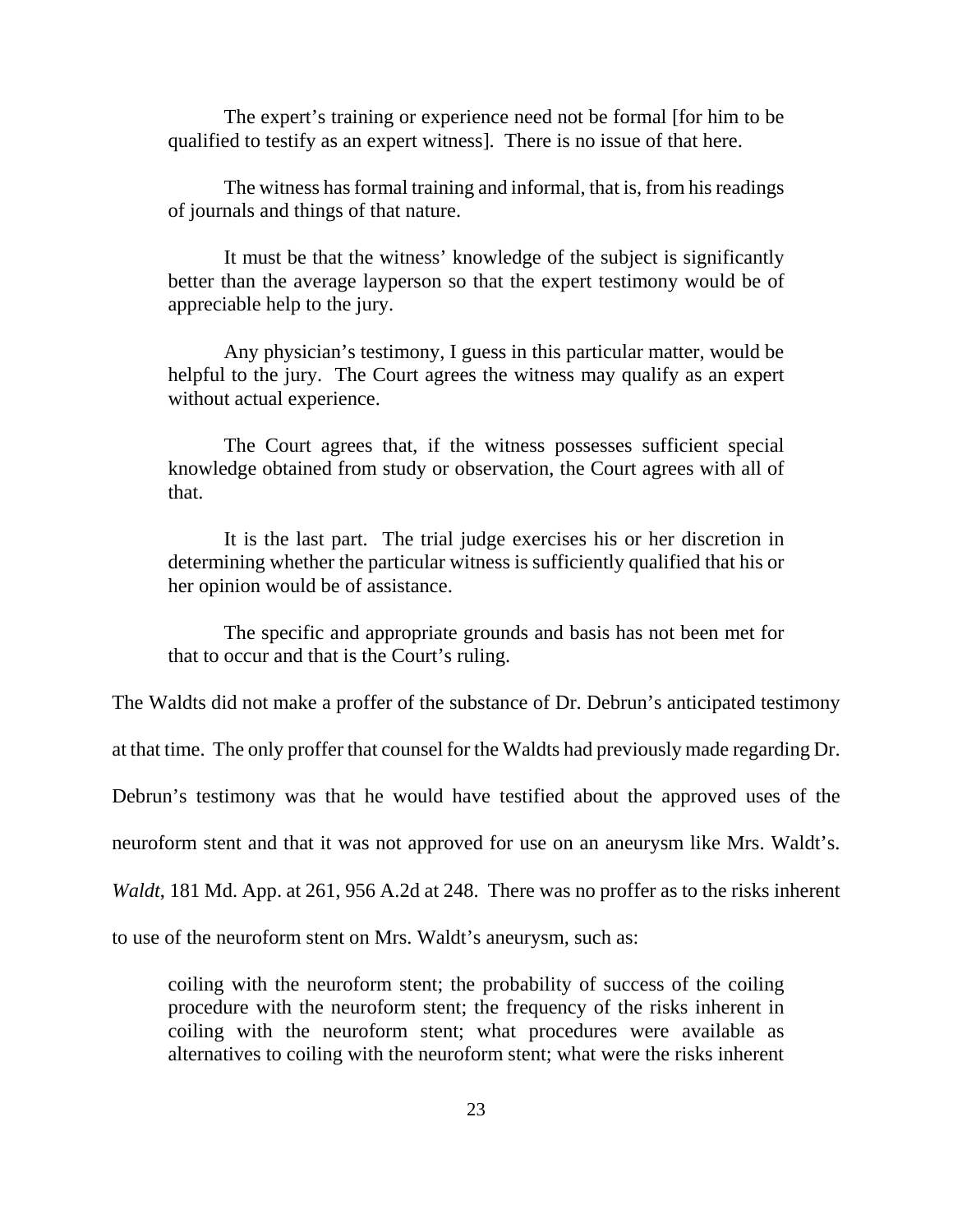The expert's training or experience need not be formal [for him to be qualified to testify as an expert witness]. There is no issue of that here.

The witness has formal training and informal, that is, from his readings of journals and things of that nature.

It must be that the witness' knowledge of the subject is significantly better than the average layperson so that the expert testimony would be of appreciable help to the jury.

Any physician's testimony, I guess in this particular matter, would be helpful to the jury. The Court agrees the witness may qualify as an expert without actual experience.

The Court agrees that, if the witness possesses sufficient special knowledge obtained from study or observation, the Court agrees with all of that.

It is the last part. The trial judge exercises his or her discretion in determining whether the particular witness is sufficiently qualified that his or her opinion would be of assistance.

The specific and appropriate grounds and basis has not been met for that to occur and that is the Court's ruling.

The Waldts did not make a proffer of the substance of Dr. Debrun's anticipated testimony

at that time. The only proffer that counsel for the Waldts had previously made regarding Dr.

Debrun's testimony was that he would have testified about the approved uses of the

neuroform stent and that it was not approved for use on an aneurysm like Mrs. Waldt's.

*Waldt*, 181 Md. App. at 261, 956 A.2d at 248. There was no proffer as to the risks inherent

to use of the neuroform stent on Mrs. Waldt's aneurysm, such as:

coiling with the neuroform stent; the probability of success of the coiling procedure with the neuroform stent; the frequency of the risks inherent in coiling with the neuroform stent; what procedures were available as alternatives to coiling with the neuroform stent; what were the risks inherent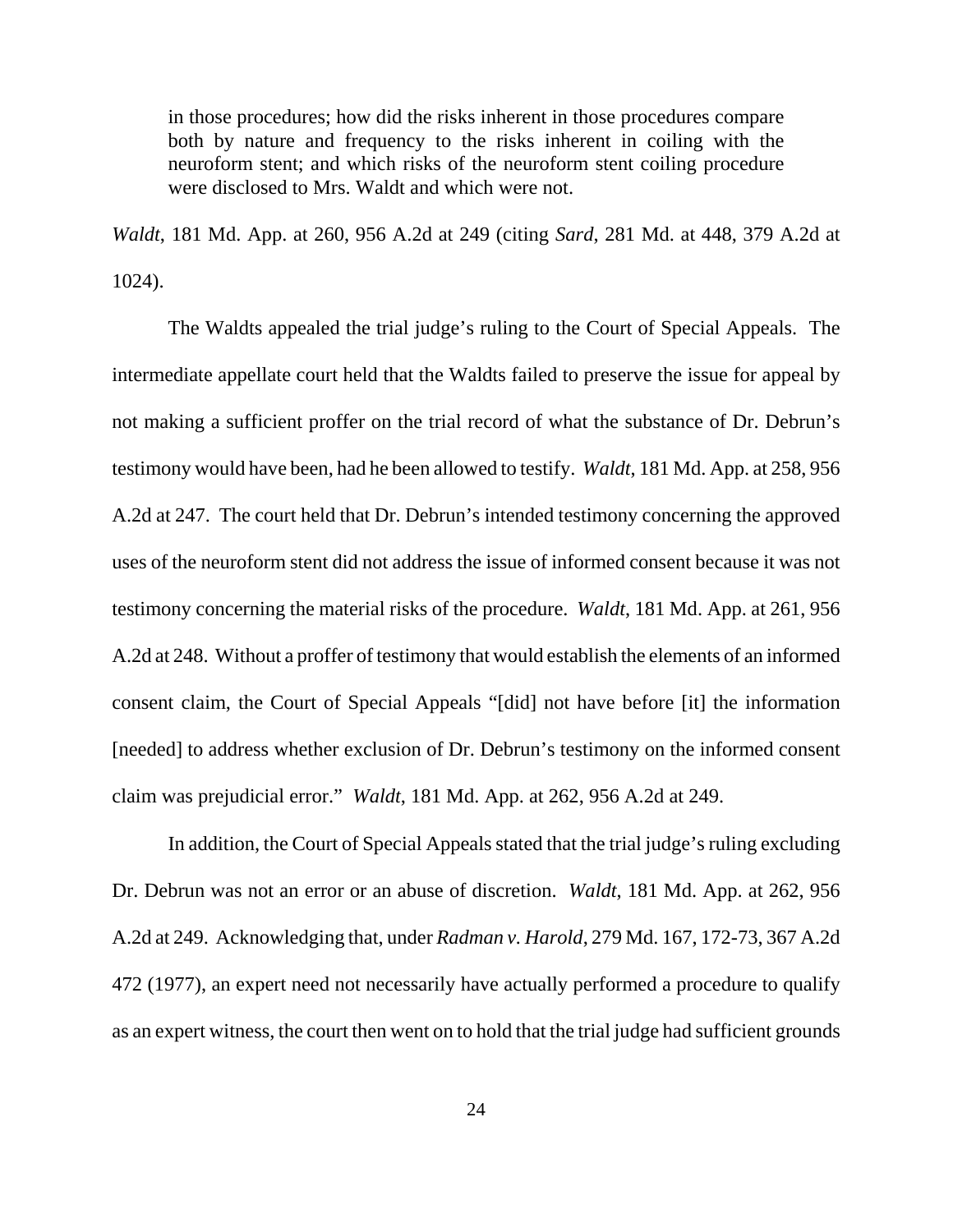in those procedures; how did the risks inherent in those procedures compare both by nature and frequency to the risks inherent in coiling with the neuroform stent; and which risks of the neuroform stent coiling procedure were disclosed to Mrs. Waldt and which were not.

*Waldt*, 181 Md. App. at 260, 956 A.2d at 249 (citing *Sard*, 281 Md. at 448, 379 A.2d at 1024).

The Waldts appealed the trial judge's ruling to the Court of Special Appeals. The intermediate appellate court held that the Waldts failed to preserve the issue for appeal by not making a sufficient proffer on the trial record of what the substance of Dr. Debrun's testimony would have been, had he been allowed to testify. *Waldt*, 181 Md. App. at 258, 956 A.2d at 247. The court held that Dr. Debrun's intended testimony concerning the approved uses of the neuroform stent did not address the issue of informed consent because it was not testimony concerning the material risks of the procedure. *Waldt*, 181 Md. App. at 261, 956 A.2d at 248. Without a proffer of testimony that would establish the elements of an informed consent claim, the Court of Special Appeals "[did] not have before [it] the information [needed] to address whether exclusion of Dr. Debrun's testimony on the informed consent claim was prejudicial error." *Waldt*, 181 Md. App. at 262, 956 A.2d at 249.

In addition, the Court of Special Appeals stated that the trial judge's ruling excluding Dr. Debrun was not an error or an abuse of discretion. *Waldt*, 181 Md. App. at 262, 956 A.2d at 249. Acknowledging that, under *Radman v. Harold*, 279 Md. 167, 172-73, 367 A.2d 472 (1977), an expert need not necessarily have actually performed a procedure to qualify as an expert witness, the court then went on to hold that the trial judge had sufficient grounds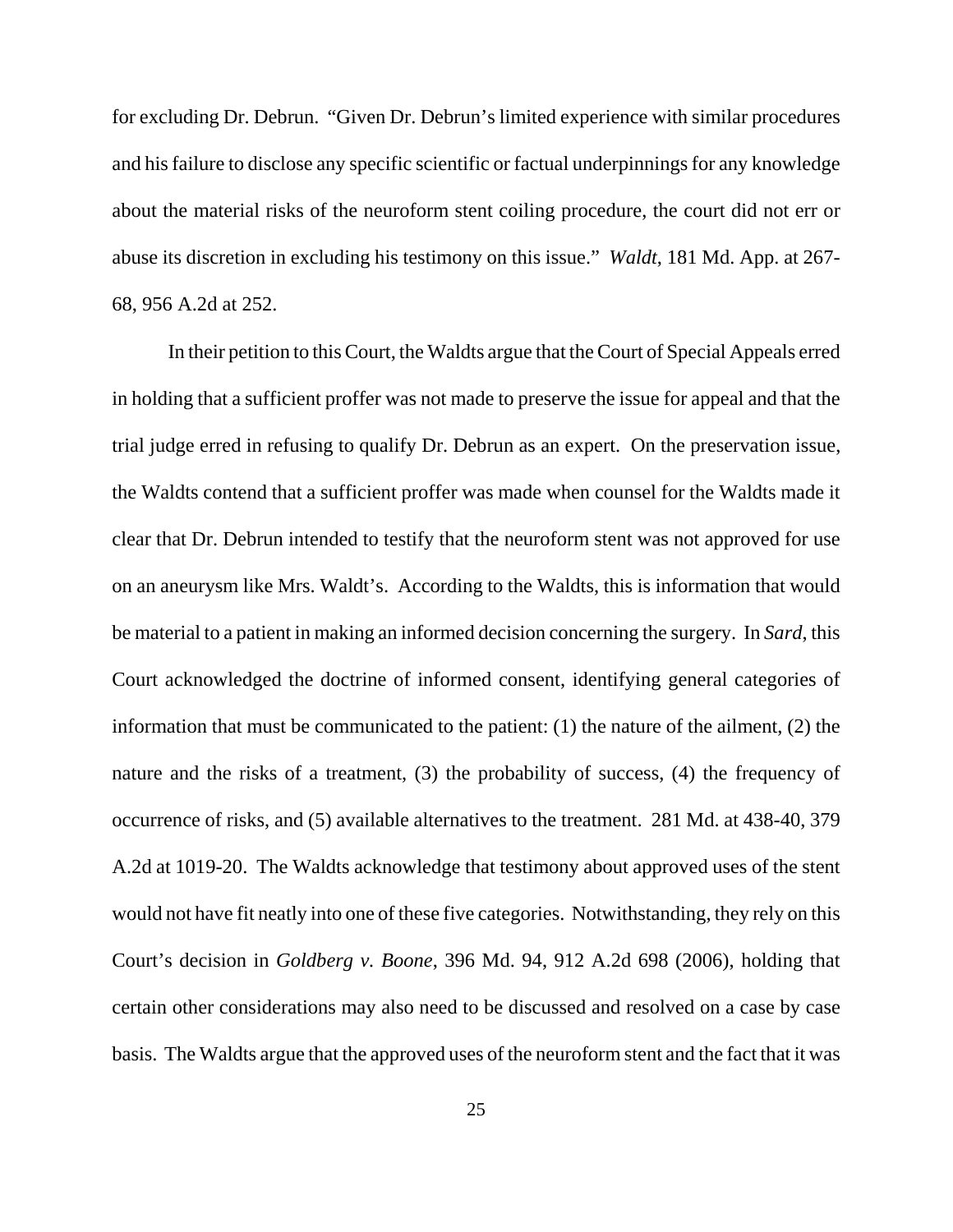for excluding Dr. Debrun. "Given Dr. Debrun's limited experience with similar procedures and his failure to disclose any specific scientific or factual underpinnings for any knowledge about the material risks of the neuroform stent coiling procedure, the court did not err or abuse its discretion in excluding his testimony on this issue." *Waldt*, 181 Md. App. at 267- 68, 956 A.2d at 252.

In their petition to this Court, the Waldts argue that the Court of Special Appeals erred in holding that a sufficient proffer was not made to preserve the issue for appeal and that the trial judge erred in refusing to qualify Dr. Debrun as an expert. On the preservation issue, the Waldts contend that a sufficient proffer was made when counsel for the Waldts made it clear that Dr. Debrun intended to testify that the neuroform stent was not approved for use on an aneurysm like Mrs. Waldt's. According to the Waldts, this is information that would be material to a patient in making an informed decision concerning the surgery. In *Sard*, this Court acknowledged the doctrine of informed consent, identifying general categories of information that must be communicated to the patient: (1) the nature of the ailment, (2) the nature and the risks of a treatment, (3) the probability of success, (4) the frequency of occurrence of risks, and (5) available alternatives to the treatment. 281 Md. at 438-40, 379 A.2d at 1019-20. The Waldts acknowledge that testimony about approved uses of the stent would not have fit neatly into one of these five categories. Notwithstanding, they rely on this Court's decision in *Goldberg v. Boone*, 396 Md. 94, 912 A.2d 698 (2006), holding that certain other considerations may also need to be discussed and resolved on a case by case basis. The Waldts argue that the approved uses of the neuroform stent and the fact that it was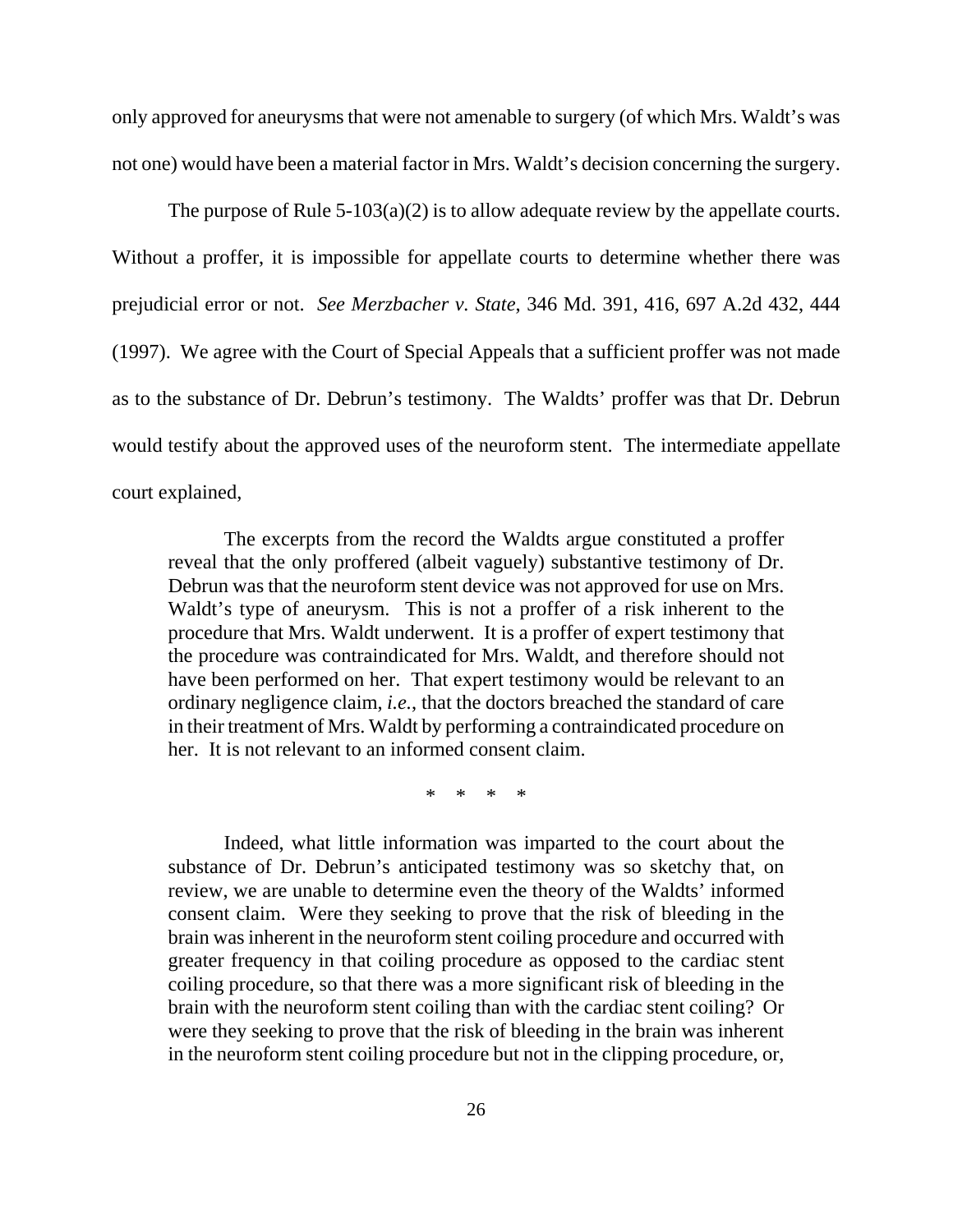only approved for aneurysms that were not amenable to surgery (of which Mrs. Waldt's was not one) would have been a material factor in Mrs. Waldt's decision concerning the surgery.

The purpose of Rule  $5-103(a)(2)$  is to allow adequate review by the appellate courts. Without a proffer, it is impossible for appellate courts to determine whether there was prejudicial error or not. *See Merzbacher v. State*, 346 Md. 391, 416, 697 A.2d 432, 444 (1997). We agree with the Court of Special Appeals that a sufficient proffer was not made as to the substance of Dr. Debrun's testimony. The Waldts' proffer was that Dr. Debrun would testify about the approved uses of the neuroform stent. The intermediate appellate court explained,

The excerpts from the record the Waldts argue constituted a proffer reveal that the only proffered (albeit vaguely) substantive testimony of Dr. Debrun was that the neuroform stent device was not approved for use on Mrs. Waldt's type of aneurysm. This is not a proffer of a risk inherent to the procedure that Mrs. Waldt underwent. It is a proffer of expert testimony that the procedure was contraindicated for Mrs. Waldt, and therefore should not have been performed on her. That expert testimony would be relevant to an ordinary negligence claim, *i.e.*, that the doctors breached the standard of care in their treatment of Mrs. Waldt by performing a contraindicated procedure on her. It is not relevant to an informed consent claim.

\* \* \* \*

Indeed, what little information was imparted to the court about the substance of Dr. Debrun's anticipated testimony was so sketchy that, on review, we are unable to determine even the theory of the Waldts' informed consent claim. Were they seeking to prove that the risk of bleeding in the brain was inherent in the neuroform stent coiling procedure and occurred with greater frequency in that coiling procedure as opposed to the cardiac stent coiling procedure, so that there was a more significant risk of bleeding in the brain with the neuroform stent coiling than with the cardiac stent coiling? Or were they seeking to prove that the risk of bleeding in the brain was inherent in the neuroform stent coiling procedure but not in the clipping procedure, or,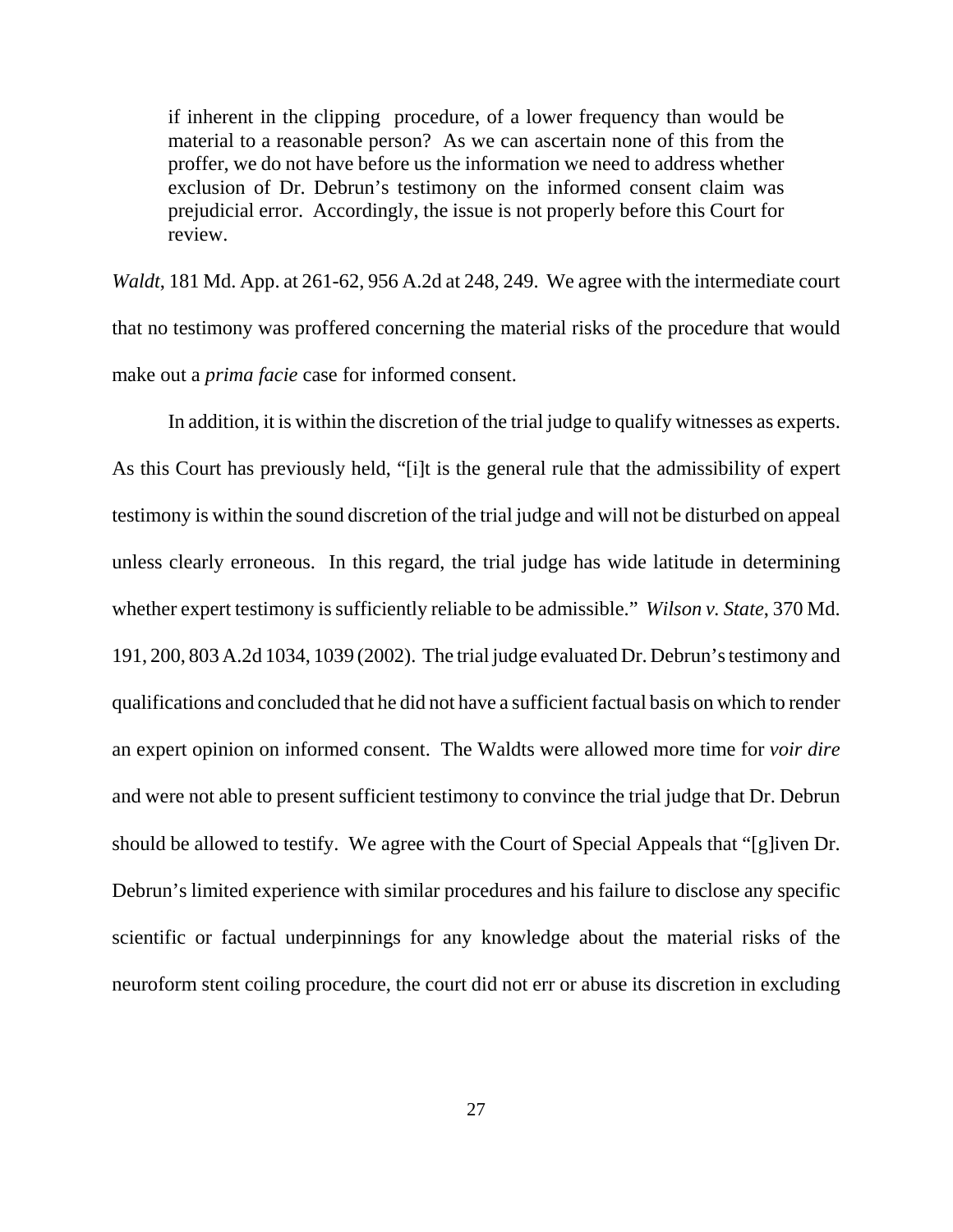if inherent in the clipping procedure, of a lower frequency than would be material to a reasonable person? As we can ascertain none of this from the proffer, we do not have before us the information we need to address whether exclusion of Dr. Debrun's testimony on the informed consent claim was prejudicial error. Accordingly, the issue is not properly before this Court for review.

*Waldt*, 181 Md. App. at 261-62, 956 A.2d at 248, 249. We agree with the intermediate court that no testimony was proffered concerning the material risks of the procedure that would make out a *prima facie* case for informed consent.

In addition, it is within the discretion of the trial judge to qualify witnesses as experts. As this Court has previously held, "[i]t is the general rule that the admissibility of expert testimony is within the sound discretion of the trial judge and will not be disturbed on appeal unless clearly erroneous. In this regard, the trial judge has wide latitude in determining whether expert testimony is sufficiently reliable to be admissible." *Wilson v. State*, 370 Md. 191, 200, 803 A.2d 1034, 1039 (2002). The trial judge evaluated Dr. Debrun's testimony and qualifications and concluded that he did not have a sufficient factual basis on which to render an expert opinion on informed consent. The Waldts were allowed more time for *voir dire* and were not able to present sufficient testimony to convince the trial judge that Dr. Debrun should be allowed to testify. We agree with the Court of Special Appeals that "[g]iven Dr. Debrun's limited experience with similar procedures and his failure to disclose any specific scientific or factual underpinnings for any knowledge about the material risks of the neuroform stent coiling procedure, the court did not err or abuse its discretion in excluding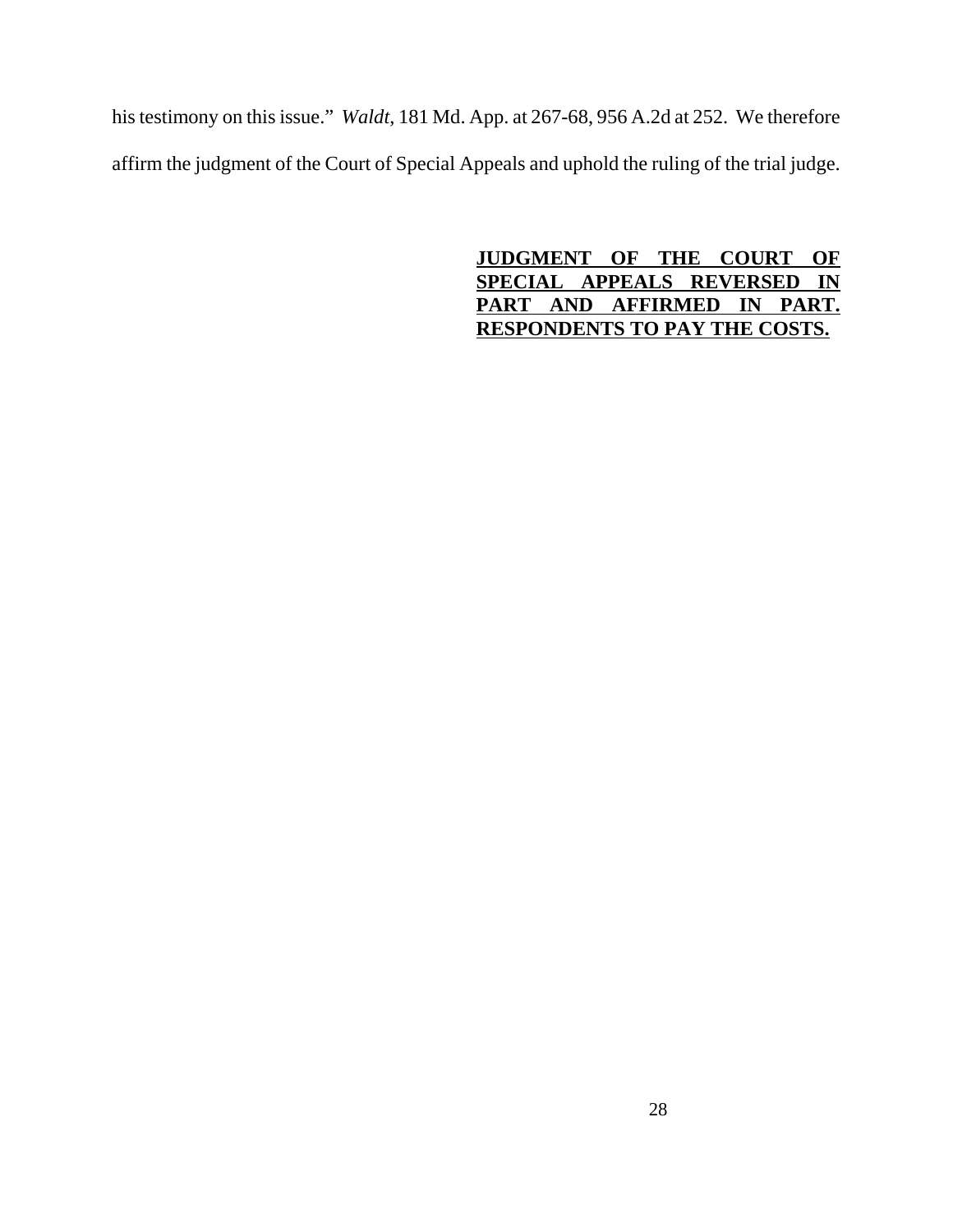his testimony on this issue." *Waldt*, 181 Md. App. at 267-68, 956 A.2d at 252. We therefore affirm the judgment of the Court of Special Appeals and uphold the ruling of the trial judge.

> **JUDGMENT OF THE COURT OF SPECIAL APPEALS REVERSED IN PART AND AFFIRMED IN PART. RESPONDENTS TO PAY THE COSTS.**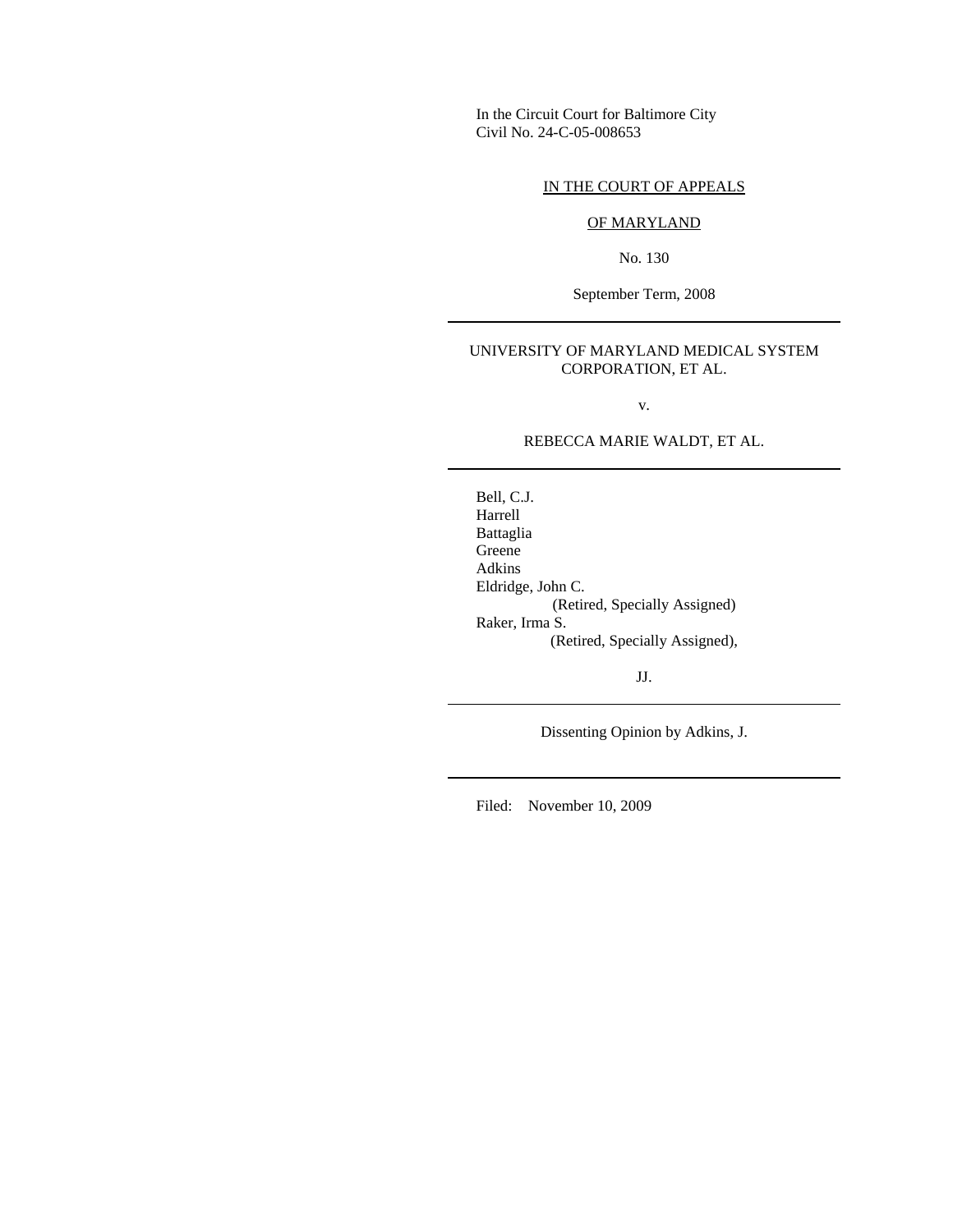In the Circuit Court for Baltimore City Civil No. 24-C-05-008653

### IN THE COURT OF APPEALS

#### OF MARYLAND

No. 130

September Term, 2008

#### UNIVERSITY OF MARYLAND MEDICAL SYSTEM CORPORATION, ET AL.

v.

REBECCA MARIE WALDT, ET AL.

Bell, C.J. Harrell Battaglia Greene Adkins Eldridge, John C. (Retired, Specially Assigned) Raker, Irma S. (Retired, Specially Assigned),

JJ.

Dissenting Opinion by Adkins, J.

Filed: November 10, 2009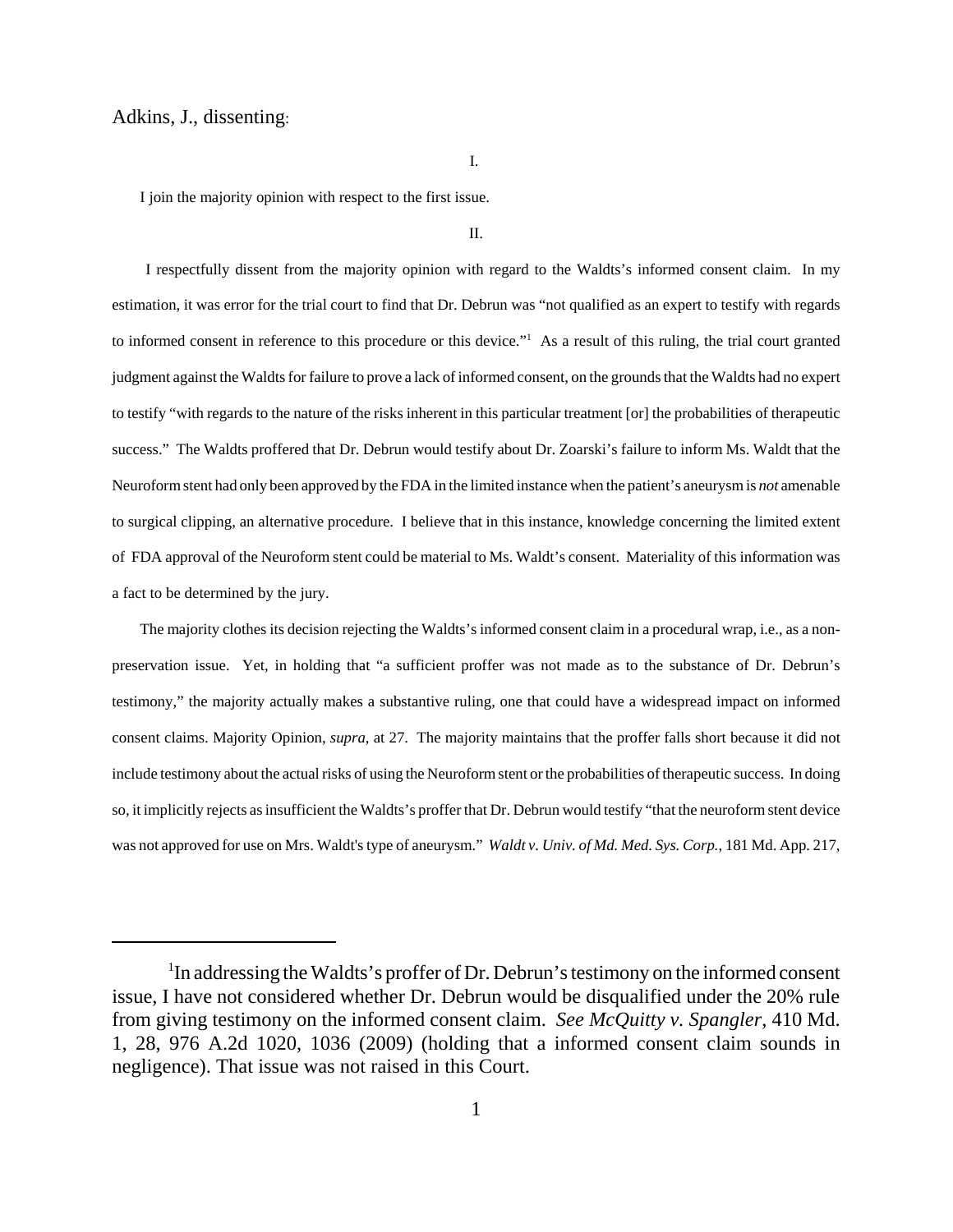#### Adkins, J., dissenting:

I.

I join the majority opinion with respect to the first issue.

II.

 I respectfully dissent from the majority opinion with regard to the Waldts's informed consent claim. In my estimation, it was error for the trial court to find that Dr. Debrun was "not qualified as an expert to testify with regards to informed consent in reference to this procedure or this device."<sup>1</sup> As a result of this ruling, the trial court granted judgment against the Waldts for failure to prove a lack of informed consent, on the grounds that the Waldts had no expert to testify "with regards to the nature of the risks inherent in this particular treatment [or] the probabilities of therapeutic success." The Waldts proffered that Dr. Debrun would testify about Dr. Zoarski's failure to inform Ms. Waldt that the Neuroform stent had only been approved by the FDA in the limited instance when the patient's aneurysm is *not* amenable to surgical clipping, an alternative procedure. I believe that in this instance, knowledge concerning the limited extent of FDA approval of the Neuroform stent could be material to Ms. Waldt's consent. Materiality of this information was a fact to be determined by the jury.

The majority clothes its decision rejecting the Waldts's informed consent claim in a procedural wrap, i.e., as a nonpreservation issue. Yet, in holding that "a sufficient proffer was not made as to the substance of Dr. Debrun's testimony," the majority actually makes a substantive ruling, one that could have a widespread impact on informed consent claims. Majority Opinion, *supra*, at 27. The majority maintains that the proffer falls short because it did not include testimony about the actual risks of using the Neuroform stent or the probabilities of therapeutic success. In doing so, it implicitly rejects as insufficient the Waldts's proffer that Dr. Debrun would testify "that the neuroform stent device was not approved for use on Mrs. Waldt's type of aneurysm." *Waldt v. Univ. of Md. Med. Sys. Corp.*, 181 Md. App. 217,

<sup>&</sup>lt;sup>1</sup>In addressing the Waldts's proffer of Dr. Debrun's testimony on the informed consent issue, I have not considered whether Dr. Debrun would be disqualified under the 20% rule from giving testimony on the informed consent claim. *See McQuitty v. Spangler*, 410 Md. 1, 28, 976 A.2d 1020, 1036 (2009) (holding that a informed consent claim sounds in negligence). That issue was not raised in this Court.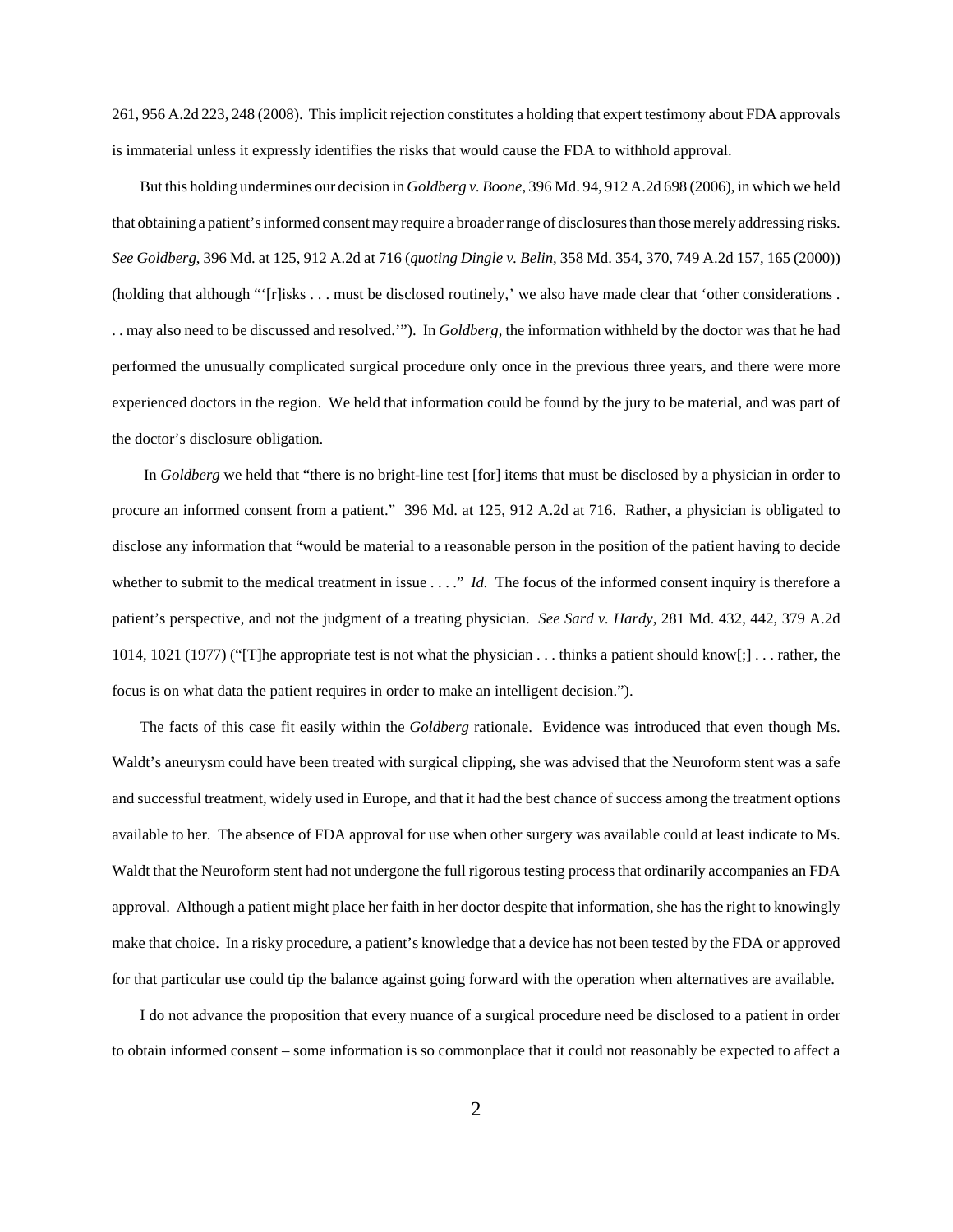261, 956 A.2d 223, 248 (2008). This implicit rejection constitutes a holding that expert testimony about FDA approvals is immaterial unless it expressly identifies the risks that would cause the FDA to withhold approval.

But this holding undermines our decision in *Goldberg v. Boone*, 396 Md. 94, 912 A.2d 698 (2006), in which we held that obtaining a patient's informed consent may require a broader range of disclosures than those merely addressing risks. *See Goldberg*, 396 Md. at 125, 912 A.2d at 716 (*quoting Dingle v. Belin*, 358 Md. 354, 370, 749 A.2d 157, 165 (2000)) (holding that although "'[r]isks . . . must be disclosed routinely,' we also have made clear that 'other considerations . . . may also need to be discussed and resolved.'"). In *Goldberg*, the information withheld by the doctor was that he had performed the unusually complicated surgical procedure only once in the previous three years, and there were more experienced doctors in the region. We held that information could be found by the jury to be material, and was part of the doctor's disclosure obligation.

 In *Goldberg* we held that "there is no bright-line test [for] items that must be disclosed by a physician in order to procure an informed consent from a patient." 396 Md. at 125, 912 A.2d at 716. Rather, a physician is obligated to disclose any information that "would be material to a reasonable person in the position of the patient having to decide whether to submit to the medical treatment in issue . . . ." *Id.* The focus of the informed consent inquiry is therefore a patient's perspective, and not the judgment of a treating physician. *See Sard v. Hardy*, 281 Md. 432, 442, 379 A.2d 1014, 1021 (1977) ("[T]he appropriate test is not what the physician . . . thinks a patient should know[;] . . . rather, the focus is on what data the patient requires in order to make an intelligent decision.").

The facts of this case fit easily within the *Goldberg* rationale. Evidence was introduced that even though Ms. Waldt's aneurysm could have been treated with surgical clipping, she was advised that the Neuroform stent was a safe and successful treatment, widely used in Europe, and that it had the best chance of success among the treatment options available to her. The absence of FDA approval for use when other surgery was available could at least indicate to Ms. Waldt that the Neuroform stent had not undergone the full rigorous testing process that ordinarily accompanies an FDA approval. Although a patient might place her faith in her doctor despite that information, she has the right to knowingly make that choice. In a risky procedure, a patient's knowledge that a device has not been tested by the FDA or approved for that particular use could tip the balance against going forward with the operation when alternatives are available.

I do not advance the proposition that every nuance of a surgical procedure need be disclosed to a patient in order to obtain informed consent – some information is so commonplace that it could not reasonably be expected to affect a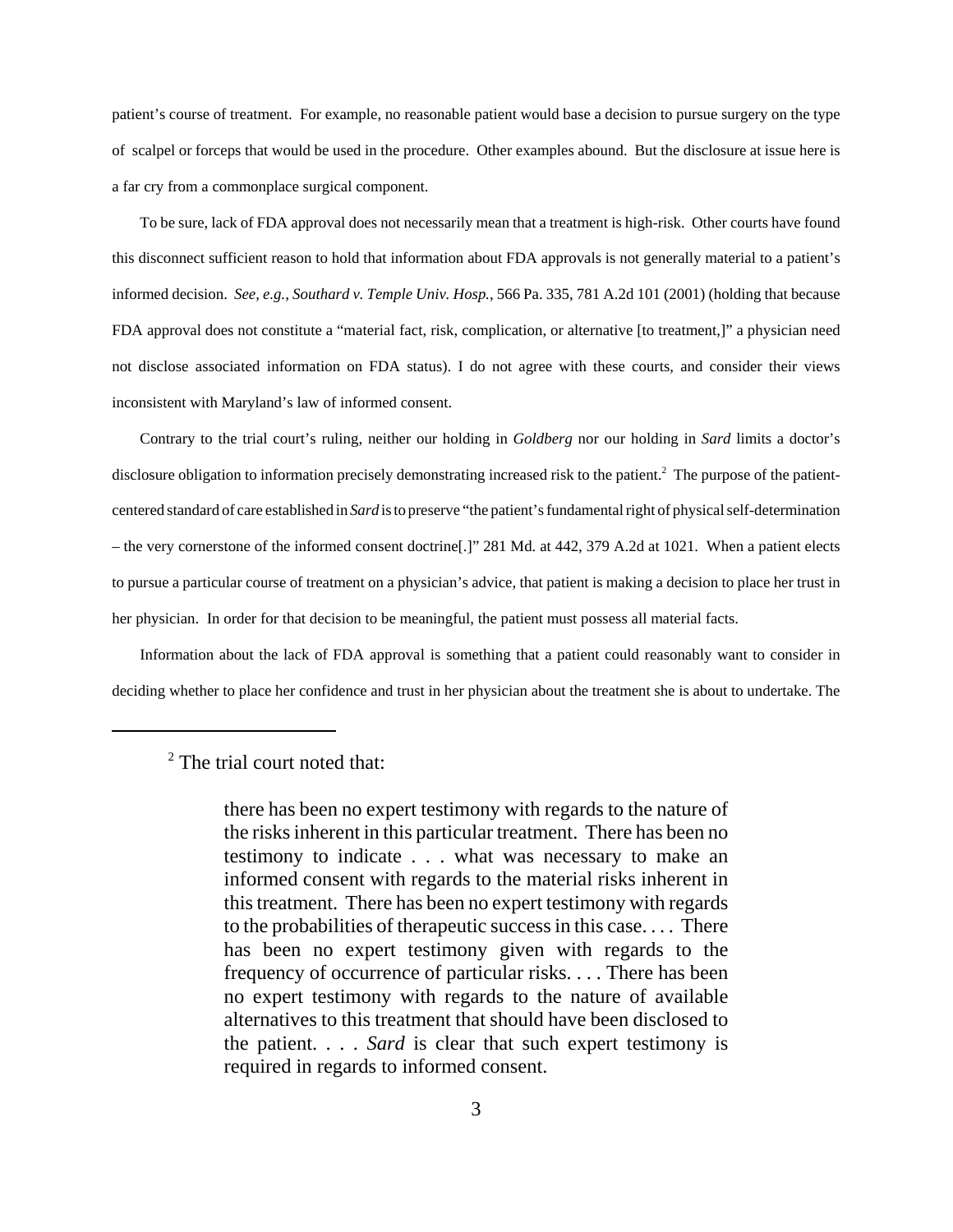patient's course of treatment. For example, no reasonable patient would base a decision to pursue surgery on the type of scalpel or forceps that would be used in the procedure. Other examples abound. But the disclosure at issue here is a far cry from a commonplace surgical component.

To be sure, lack of FDA approval does not necessarily mean that a treatment is high-risk. Other courts have found this disconnect sufficient reason to hold that information about FDA approvals is not generally material to a patient's informed decision. *See, e.g.*, *Southard v. Temple Univ. Hosp.*, 566 Pa. 335, 781 A.2d 101 (2001) (holding that because FDA approval does not constitute a "material fact, risk, complication, or alternative [to treatment,]" a physician need not disclose associated information on FDA status). I do not agree with these courts, and consider their views inconsistent with Maryland's law of informed consent.

Contrary to the trial court's ruling, neither our holding in *Goldberg* nor our holding in *Sard* limits a doctor's disclosure obligation to information precisely demonstrating increased risk to the patient.<sup>2</sup> The purpose of the patientcentered standard of care established in *Sard* is to preserve "the patient's fundamental right of physical self-determination – the very cornerstone of the informed consent doctrine[.]" 281 Md. at 442, 379 A.2d at 1021. When a patient elects to pursue a particular course of treatment on a physician's advice, that patient is making a decision to place her trust in her physician. In order for that decision to be meaningful, the patient must possess all material facts.

Information about the lack of FDA approval is something that a patient could reasonably want to consider in deciding whether to place her confidence and trust in her physician about the treatment she is about to undertake. The

<sup>&</sup>lt;sup>2</sup> The trial court noted that:

there has been no expert testimony with regards to the nature of the risks inherent in this particular treatment. There has been no testimony to indicate . . . what was necessary to make an informed consent with regards to the material risks inherent in this treatment. There has been no expert testimony with regards to the probabilities of therapeutic success in this case. . . . There has been no expert testimony given with regards to the frequency of occurrence of particular risks. . . . There has been no expert testimony with regards to the nature of available alternatives to this treatment that should have been disclosed to the patient. . . . *Sard* is clear that such expert testimony is required in regards to informed consent.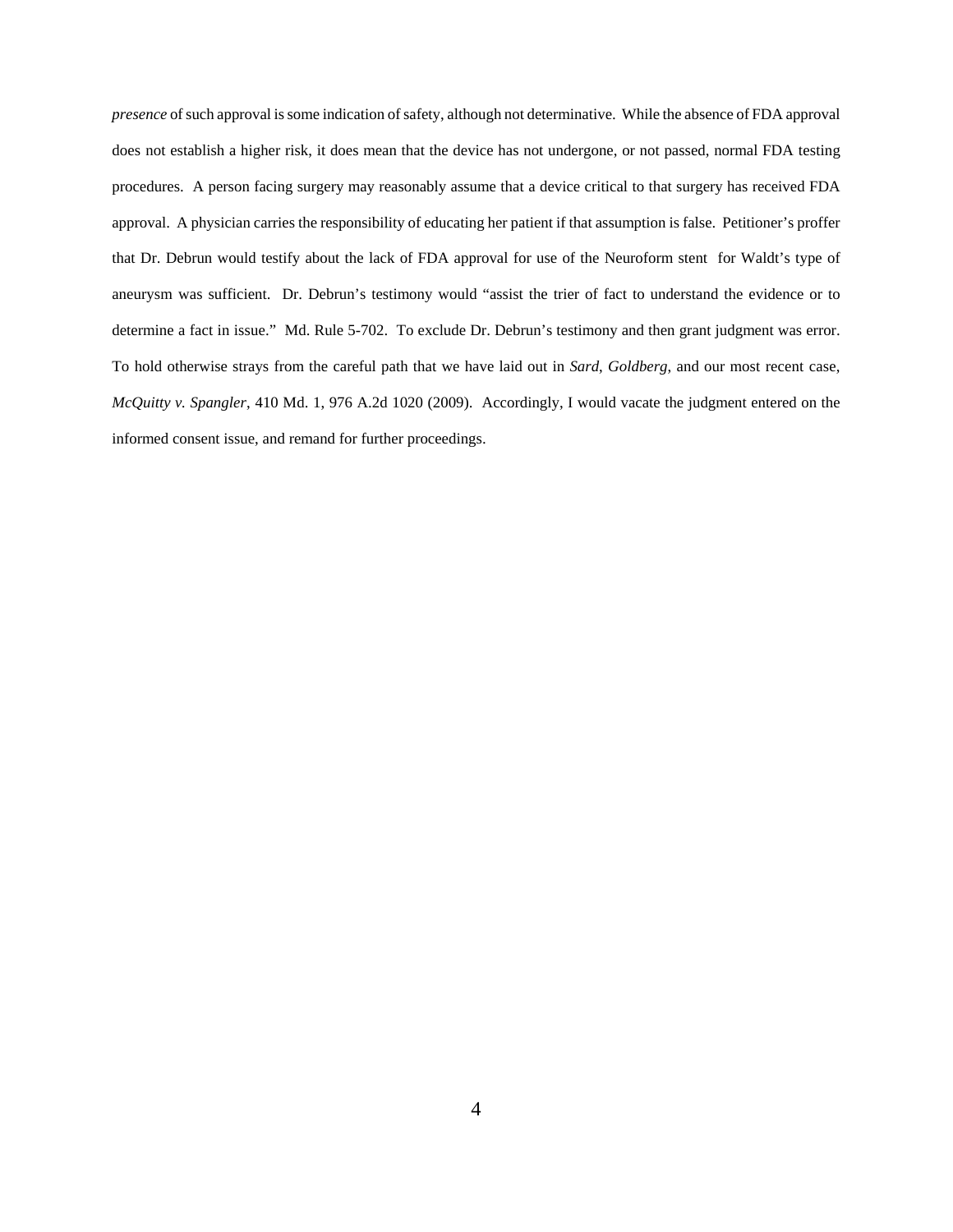*presence* of such approval is some indication of safety, although not determinative. While the absence of FDA approval does not establish a higher risk, it does mean that the device has not undergone, or not passed, normal FDA testing procedures. A person facing surgery may reasonably assume that a device critical to that surgery has received FDA approval. A physician carries the responsibility of educating her patient if that assumption is false. Petitioner's proffer that Dr. Debrun would testify about the lack of FDA approval for use of the Neuroform stent for Waldt's type of aneurysm was sufficient. Dr. Debrun's testimony would "assist the trier of fact to understand the evidence or to determine a fact in issue." Md. Rule 5-702. To exclude Dr. Debrun's testimony and then grant judgment was error. To hold otherwise strays from the careful path that we have laid out in *Sard*, *Goldberg*, and our most recent case, *McQuitty v. Spangler*, 410 Md. 1, 976 A.2d 1020 (2009). Accordingly, I would vacate the judgment entered on the informed consent issue, and remand for further proceedings.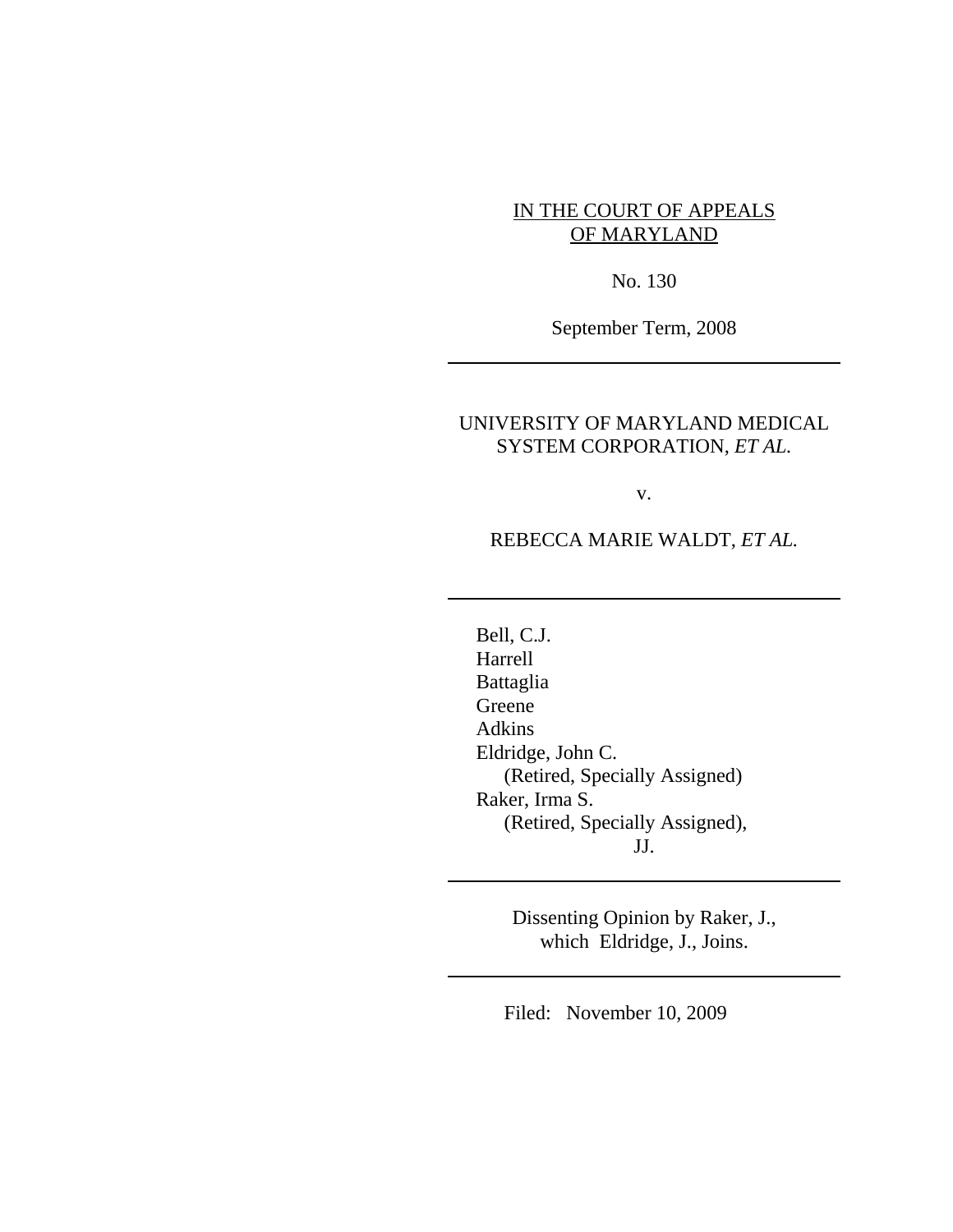## IN THE COURT OF APPEALS OF MARYLAND

No. 130

September Term, 2008

## UNIVERSITY OF MARYLAND MEDICAL SYSTEM CORPORATION, *ET AL.*

v.

## REBECCA MARIE WALDT, *ET AL.*

Bell, C.J. Harrell Battaglia Greene Adkins Eldridge, John C. (Retired, Specially Assigned) Raker, Irma S. (Retired, Specially Assigned), JJ.

> Dissenting Opinion by Raker, J., which Eldridge, J., Joins.

Filed: November 10, 2009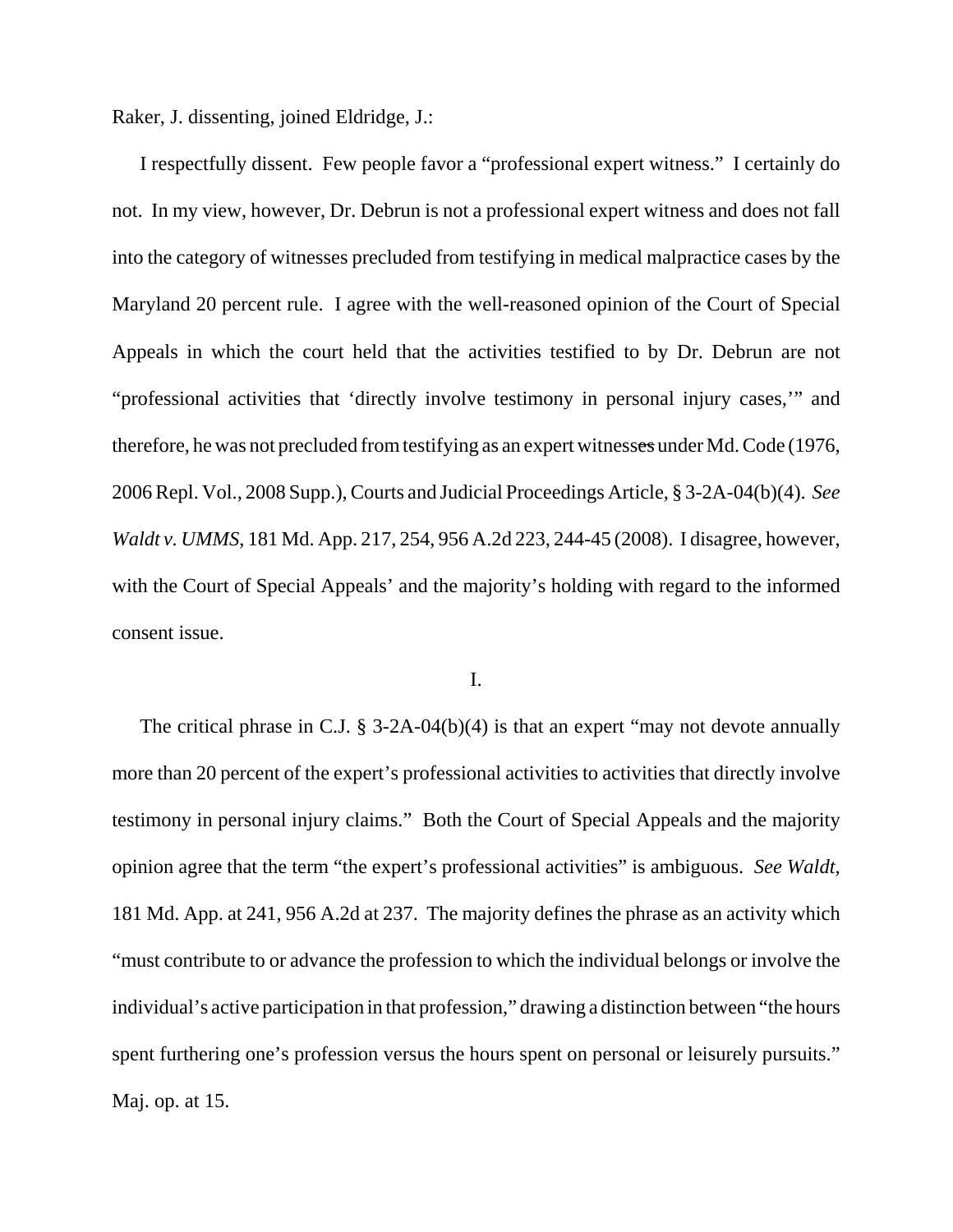Raker, J. dissenting, joined Eldridge, J.:

I respectfully dissent. Few people favor a "professional expert witness." I certainly do not. In my view, however, Dr. Debrun is not a professional expert witness and does not fall into the category of witnesses precluded from testifying in medical malpractice cases by the Maryland 20 percent rule. I agree with the well-reasoned opinion of the Court of Special Appeals in which the court held that the activities testified to by Dr. Debrun are not "professional activities that 'directly involve testimony in personal injury cases,'" and therefore, he was not precluded from testifying as an expert witnesses under Md. Code (1976, 2006 Repl. Vol., 2008 Supp.), Courts and Judicial Proceedings Article, § 3-2A-04(b)(4). *See Waldt v. UMMS*, 181 Md. App. 217, 254, 956 A.2d 223, 244-45 (2008). I disagree, however, with the Court of Special Appeals' and the majority's holding with regard to the informed consent issue.

I.

The critical phrase in C.J.  $\S$  3-2A-04(b)(4) is that an expert "may not devote annually more than 20 percent of the expert's professional activities to activities that directly involve testimony in personal injury claims." Both the Court of Special Appeals and the majority opinion agree that the term "the expert's professional activities" is ambiguous. *See Waldt,* 181 Md. App. at 241, 956 A.2d at 237. The majority defines the phrase as an activity which "must contribute to or advance the profession to which the individual belongs or involve the individual's active participation in that profession," drawing a distinction between "the hours spent furthering one's profession versus the hours spent on personal or leisurely pursuits." Maj. op. at 15.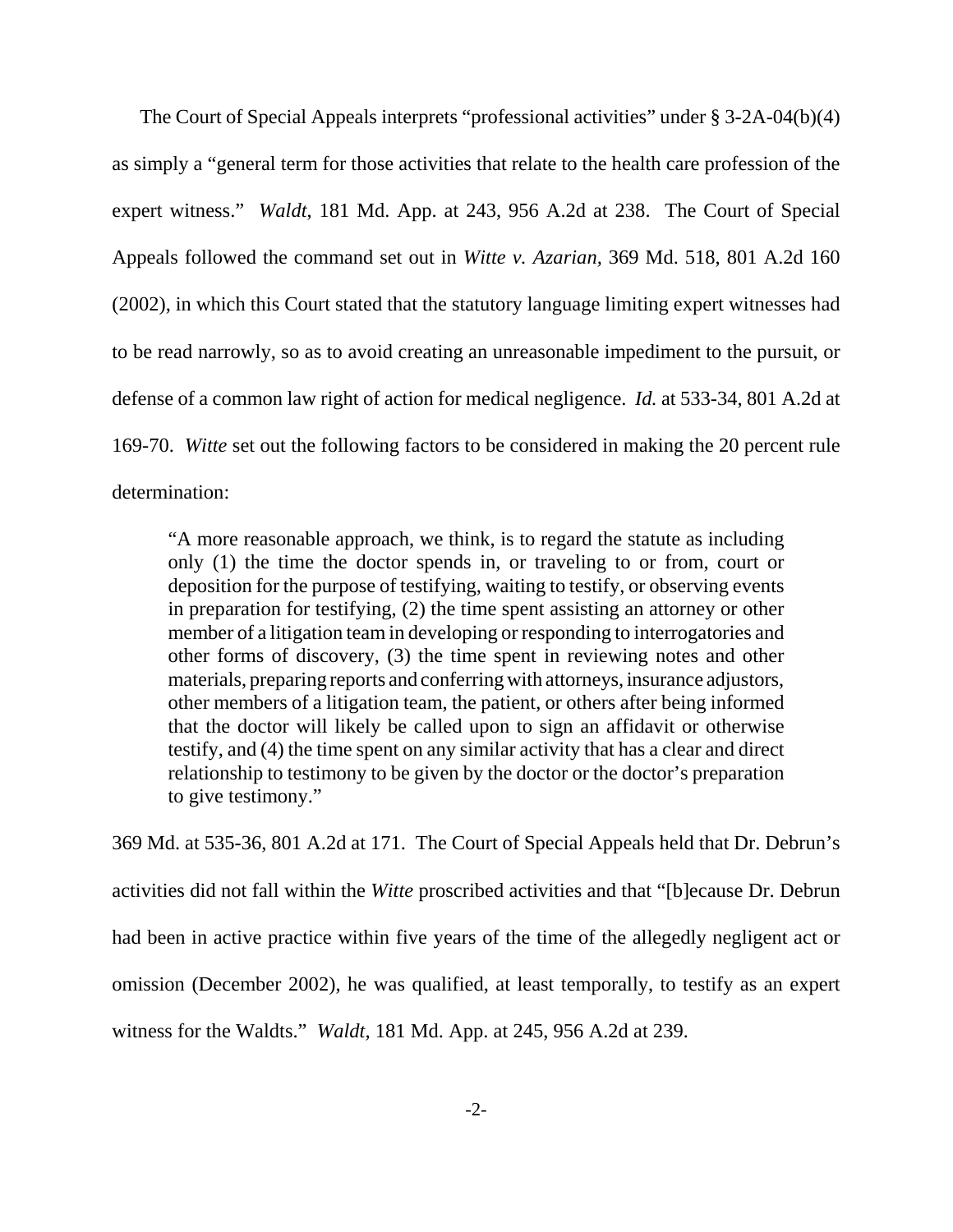The Court of Special Appeals interprets "professional activities" under § 3-2A-04(b)(4) as simply a "general term for those activities that relate to the health care profession of the expert witness." *Waldt*, 181 Md. App. at 243, 956 A.2d at 238. The Court of Special Appeals followed the command set out in *Witte v. Azarian,* 369 Md. 518, 801 A.2d 160 (2002), in which this Court stated that the statutory language limiting expert witnesses had to be read narrowly, so as to avoid creating an unreasonable impediment to the pursuit, or defense of a common law right of action for medical negligence. *Id.* at 533-34, 801 A.2d at 169-70. *Witte* set out the following factors to be considered in making the 20 percent rule determination:

"A more reasonable approach, we think, is to regard the statute as including only (1) the time the doctor spends in, or traveling to or from, court or deposition for the purpose of testifying, waiting to testify, or observing events in preparation for testifying, (2) the time spent assisting an attorney or other member of a litigation team in developing or responding to interrogatories and other forms of discovery, (3) the time spent in reviewing notes and other materials, preparing reports and conferring with attorneys, insurance adjustors, other members of a litigation team, the patient, or others after being informed that the doctor will likely be called upon to sign an affidavit or otherwise testify, and (4) the time spent on any similar activity that has a clear and direct relationship to testimony to be given by the doctor or the doctor's preparation to give testimony."

369 Md. at 535-36, 801 A.2d at 171. The Court of Special Appeals held that Dr. Debrun's activities did not fall within the *Witte* proscribed activities and that "[b]ecause Dr. Debrun had been in active practice within five years of the time of the allegedly negligent act or omission (December 2002), he was qualified, at least temporally, to testify as an expert witness for the Waldts." *Waldt,* 181 Md. App. at 245, 956 A.2d at 239.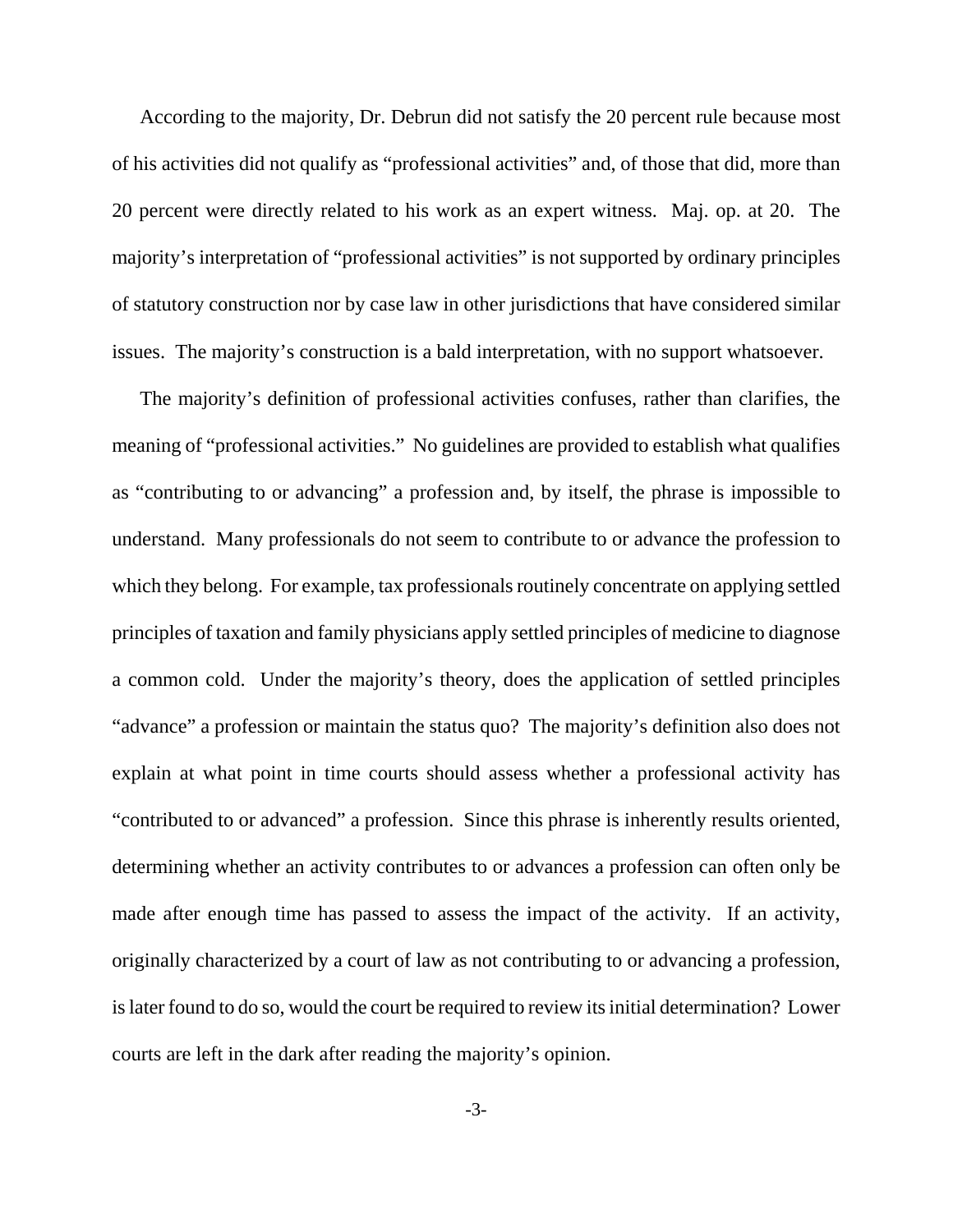According to the majority, Dr. Debrun did not satisfy the 20 percent rule because most of his activities did not qualify as "professional activities" and, of those that did, more than 20 percent were directly related to his work as an expert witness. Maj. op. at 20. The majority's interpretation of "professional activities" is not supported by ordinary principles of statutory construction nor by case law in other jurisdictions that have considered similar issues. The majority's construction is a bald interpretation, with no support whatsoever.

The majority's definition of professional activities confuses, rather than clarifies, the meaning of "professional activities." No guidelines are provided to establish what qualifies as "contributing to or advancing" a profession and, by itself, the phrase is impossible to understand. Many professionals do not seem to contribute to or advance the profession to which they belong. For example, tax professionals routinely concentrate on applying settled principles of taxation and family physicians apply settled principles of medicine to diagnose a common cold. Under the majority's theory, does the application of settled principles "advance" a profession or maintain the status quo? The majority's definition also does not explain at what point in time courts should assess whether a professional activity has "contributed to or advanced" a profession. Since this phrase is inherently results oriented, determining whether an activity contributes to or advances a profession can often only be made after enough time has passed to assess the impact of the activity. If an activity, originally characterized by a court of law as not contributing to or advancing a profession, is later found to do so, would the court be required to review its initial determination? Lower courts are left in the dark after reading the majority's opinion.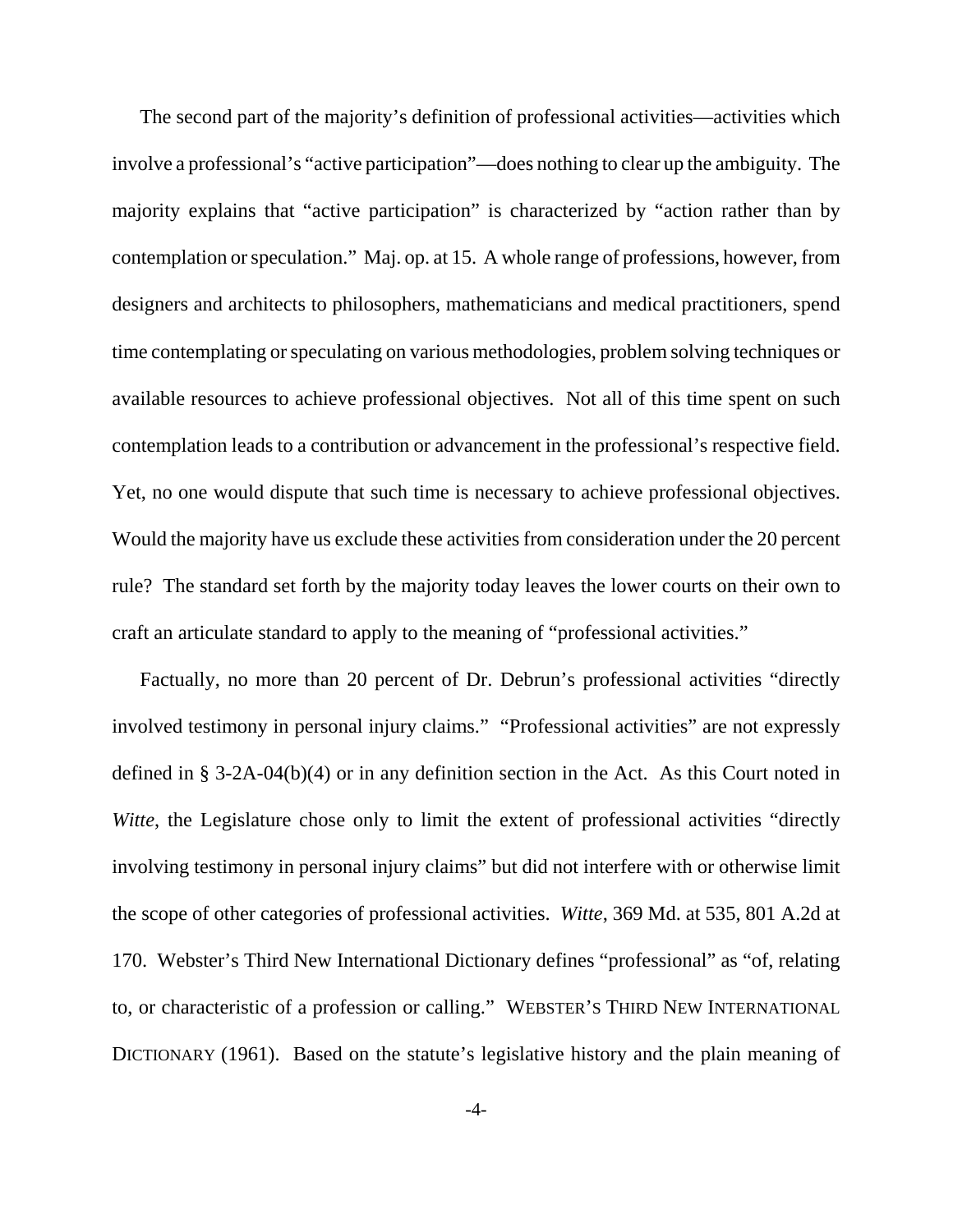The second part of the majority's definition of professional activities—activities which involve a professional's "active participation"—does nothing to clear up the ambiguity. The majority explains that "active participation" is characterized by "action rather than by contemplation or speculation." Maj. op. at 15. A whole range of professions, however, from designers and architects to philosophers, mathematicians and medical practitioners, spend time contemplating or speculating on various methodologies, problem solving techniques or available resources to achieve professional objectives. Not all of this time spent on such contemplation leads to a contribution or advancement in the professional's respective field. Yet, no one would dispute that such time is necessary to achieve professional objectives. Would the majority have us exclude these activities from consideration under the 20 percent rule? The standard set forth by the majority today leaves the lower courts on their own to craft an articulate standard to apply to the meaning of "professional activities."

Factually, no more than 20 percent of Dr. Debrun's professional activities "directly involved testimony in personal injury claims." "Professional activities" are not expressly defined in § 3-2A-04(b)(4) or in any definition section in the Act. As this Court noted in *Witte*, the Legislature chose only to limit the extent of professional activities "directly involving testimony in personal injury claims" but did not interfere with or otherwise limit the scope of other categories of professional activities. *Witte*, 369 Md. at 535, 801 A.2d at 170. Webster's Third New International Dictionary defines "professional" as "of, relating to, or characteristic of a profession or calling." WEBSTER'S THIRD NEW INTERNATIONAL DICTIONARY (1961). Based on the statute's legislative history and the plain meaning of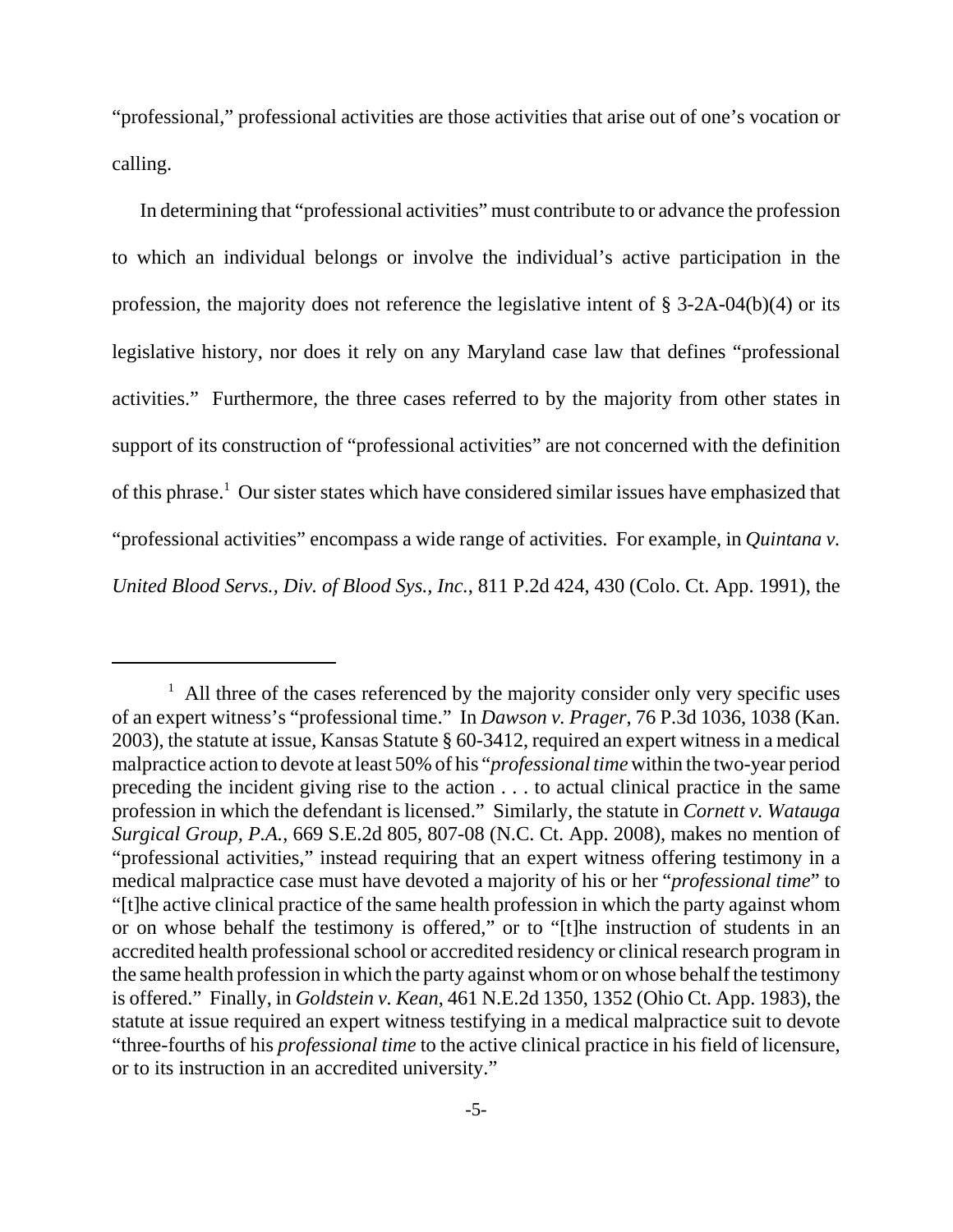"professional," professional activities are those activities that arise out of one's vocation or calling.

In determining that "professional activities" must contribute to or advance the profession to which an individual belongs or involve the individual's active participation in the profession, the majority does not reference the legislative intent of § 3-2A-04(b)(4) or its legislative history, nor does it rely on any Maryland case law that defines "professional activities." Furthermore, the three cases referred to by the majority from other states in support of its construction of "professional activities" are not concerned with the definition of this phrase.<sup>1</sup> Our sister states which have considered similar issues have emphasized that "professional activities" encompass a wide range of activities. For example, in *Quintana v. United Blood Servs., Div. of Blood Sys., Inc.*, 811 P.2d 424, 430 (Colo. Ct. App. 1991), the

<sup>&</sup>lt;sup>1</sup> All three of the cases referenced by the majority consider only very specific uses of an expert witness's "professional time." In *Dawson v. Prager*, 76 P.3d 1036, 1038 (Kan. 2003), the statute at issue, Kansas Statute § 60-3412, required an expert witness in a medical malpractice action to devote at least 50% of his "*professional time* within the two-year period preceding the incident giving rise to the action . . . to actual clinical practice in the same profession in which the defendant is licensed." Similarly, the statute in *Cornett v. Watauga Surgical Group, P.A.*, 669 S.E.2d 805, 807-08 (N.C. Ct. App. 2008), makes no mention of "professional activities," instead requiring that an expert witness offering testimony in a medical malpractice case must have devoted a majority of his or her "*professional time*" to "[t]he active clinical practice of the same health profession in which the party against whom or on whose behalf the testimony is offered," or to "[t]he instruction of students in an accredited health professional school or accredited residency or clinical research program in the same health profession in which the party against whom or on whose behalf the testimony is offered." Finally, in *Goldstein v. Kean*, 461 N.E.2d 1350, 1352 (Ohio Ct. App. 1983), the statute at issue required an expert witness testifying in a medical malpractice suit to devote "three-fourths of his *professional time* to the active clinical practice in his field of licensure, or to its instruction in an accredited university."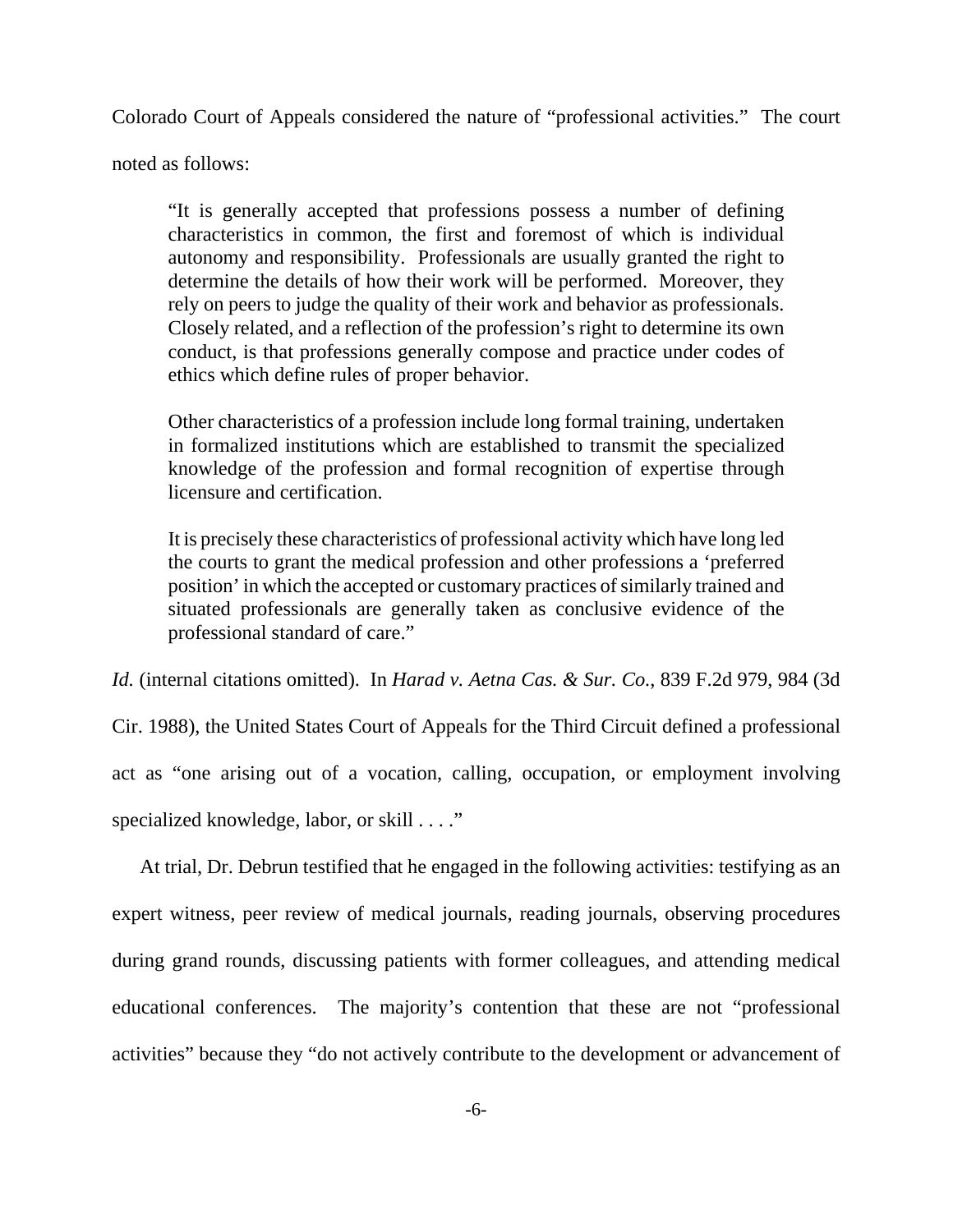Colorado Court of Appeals considered the nature of "professional activities." The court

noted as follows:

"It is generally accepted that professions possess a number of defining characteristics in common, the first and foremost of which is individual autonomy and responsibility. Professionals are usually granted the right to determine the details of how their work will be performed. Moreover, they rely on peers to judge the quality of their work and behavior as professionals. Closely related, and a reflection of the profession's right to determine its own conduct, is that professions generally compose and practice under codes of ethics which define rules of proper behavior.

Other characteristics of a profession include long formal training, undertaken in formalized institutions which are established to transmit the specialized knowledge of the profession and formal recognition of expertise through licensure and certification.

It is precisely these characteristics of professional activity which have long led the courts to grant the medical profession and other professions a 'preferred position' in which the accepted or customary practices of similarly trained and situated professionals are generally taken as conclusive evidence of the professional standard of care."

*Id.* (internal citations omitted). In *Harad v. Aetna Cas. & Sur. Co.*, 839 F.2d 979, 984 (3d Cir. 1988), the United States Court of Appeals for the Third Circuit defined a professional act as "one arising out of a vocation, calling, occupation, or employment involving specialized knowledge, labor, or skill . . . ."

At trial, Dr. Debrun testified that he engaged in the following activities: testifying as an expert witness, peer review of medical journals, reading journals, observing procedures during grand rounds, discussing patients with former colleagues, and attending medical educational conferences. The majority's contention that these are not "professional activities" because they "do not actively contribute to the development or advancement of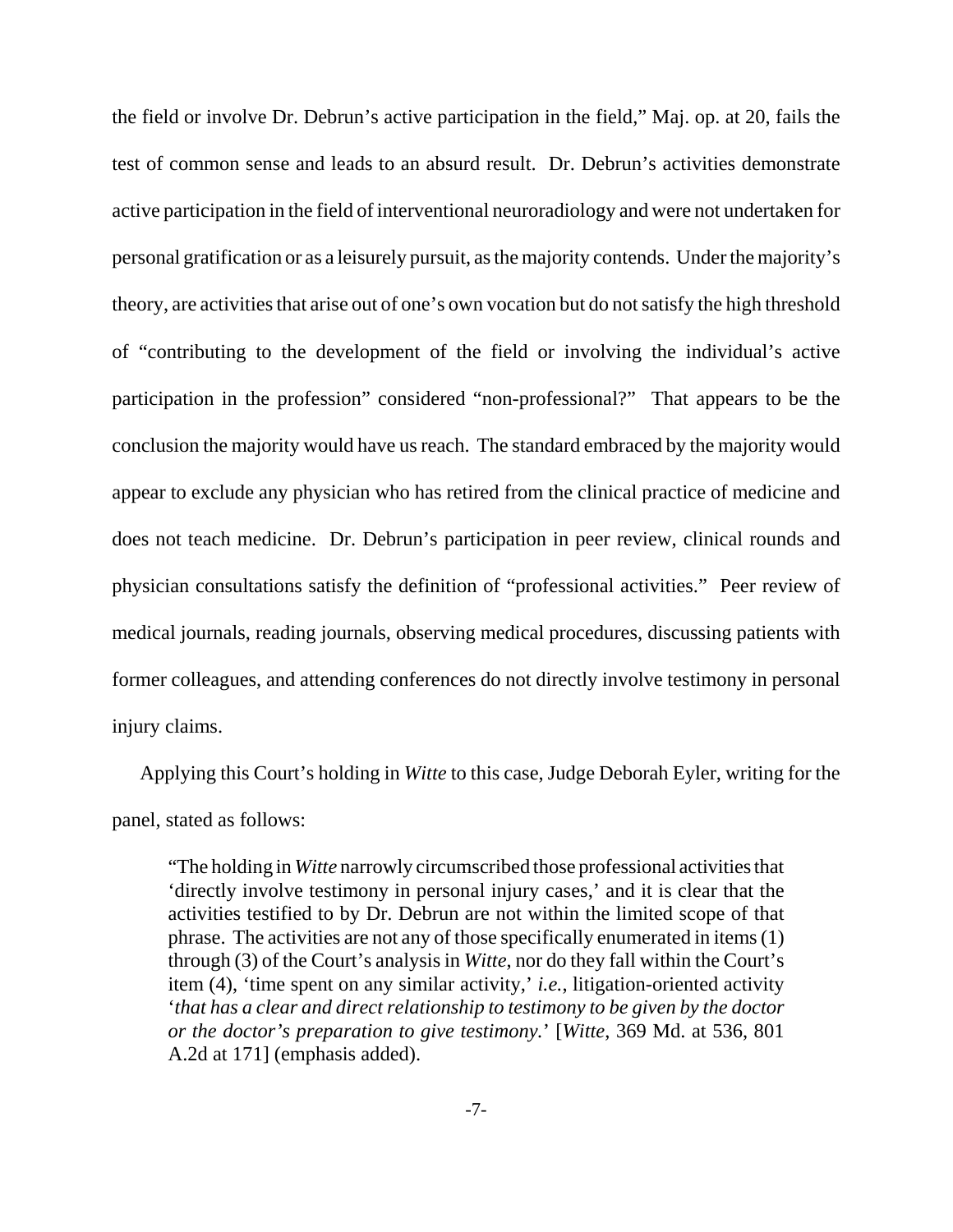the field or involve Dr. Debrun's active participation in the field," Maj. op. at 20, fails the test of common sense and leads to an absurd result. Dr. Debrun's activities demonstrate active participation in the field of interventional neuroradiology and were not undertaken for personal gratification or as a leisurely pursuit, as the majority contends. Under the majority's theory, are activities that arise out of one's own vocation but do not satisfy the high threshold of "contributing to the development of the field or involving the individual's active participation in the profession" considered "non-professional?" That appears to be the conclusion the majority would have us reach. The standard embraced by the majority would appear to exclude any physician who has retired from the clinical practice of medicine and does not teach medicine. Dr. Debrun's participation in peer review, clinical rounds and physician consultations satisfy the definition of "professional activities." Peer review of medical journals, reading journals, observing medical procedures, discussing patients with former colleagues, and attending conferences do not directly involve testimony in personal injury claims.

Applying this Court's holding in *Witte* to this case, Judge Deborah Eyler, writing for the panel, stated as follows:

"The holding in *Witte* narrowly circumscribed those professional activities that 'directly involve testimony in personal injury cases,' and it is clear that the activities testified to by Dr. Debrun are not within the limited scope of that phrase. The activities are not any of those specifically enumerated in items (1) through (3) of the Court's analysis in *Witte*, nor do they fall within the Court's item (4), 'time spent on any similar activity,' *i.e.*, litigation-oriented activity '*that has a clear and direct relationship to testimony to be given by the doctor or the doctor's preparation to give testimony.*' [*Witte*, 369 Md. at 536, 801 A.2d at 171] (emphasis added).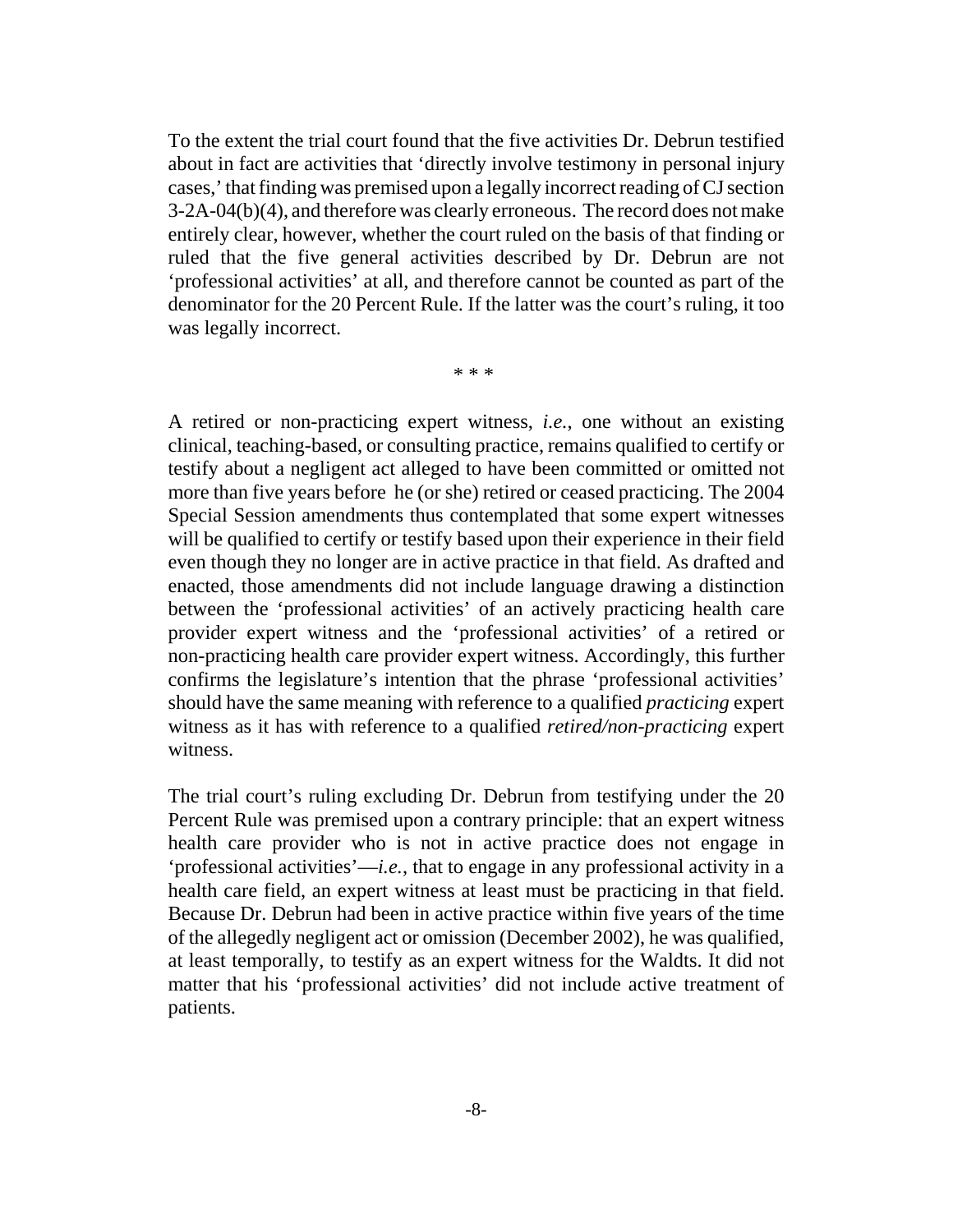To the extent the trial court found that the five activities Dr. Debrun testified about in fact are activities that 'directly involve testimony in personal injury cases,' that finding was premised upon a legally incorrect reading of CJ section 3-2A-04(b)(4), and therefore was clearly erroneous. The record does not make entirely clear, however, whether the court ruled on the basis of that finding or ruled that the five general activities described by Dr. Debrun are not 'professional activities' at all, and therefore cannot be counted as part of the denominator for the 20 Percent Rule. If the latter was the court's ruling, it too was legally incorrect.

\* \* \*

A retired or non-practicing expert witness, *i.e.*, one without an existing clinical, teaching-based, or consulting practice, remains qualified to certify or testify about a negligent act alleged to have been committed or omitted not more than five years before he (or she) retired or ceased practicing. The 2004 Special Session amendments thus contemplated that some expert witnesses will be qualified to certify or testify based upon their experience in their field even though they no longer are in active practice in that field. As drafted and enacted, those amendments did not include language drawing a distinction between the 'professional activities' of an actively practicing health care provider expert witness and the 'professional activities' of a retired or non-practicing health care provider expert witness. Accordingly, this further confirms the legislature's intention that the phrase 'professional activities' should have the same meaning with reference to a qualified *practicing* expert witness as it has with reference to a qualified *retired/non-practicing* expert witness.

The trial court's ruling excluding Dr. Debrun from testifying under the 20 Percent Rule was premised upon a contrary principle: that an expert witness health care provider who is not in active practice does not engage in 'professional activities'—*i.e.*, that to engage in any professional activity in a health care field, an expert witness at least must be practicing in that field. Because Dr. Debrun had been in active practice within five years of the time of the allegedly negligent act or omission (December 2002), he was qualified, at least temporally, to testify as an expert witness for the Waldts. It did not matter that his 'professional activities' did not include active treatment of patients.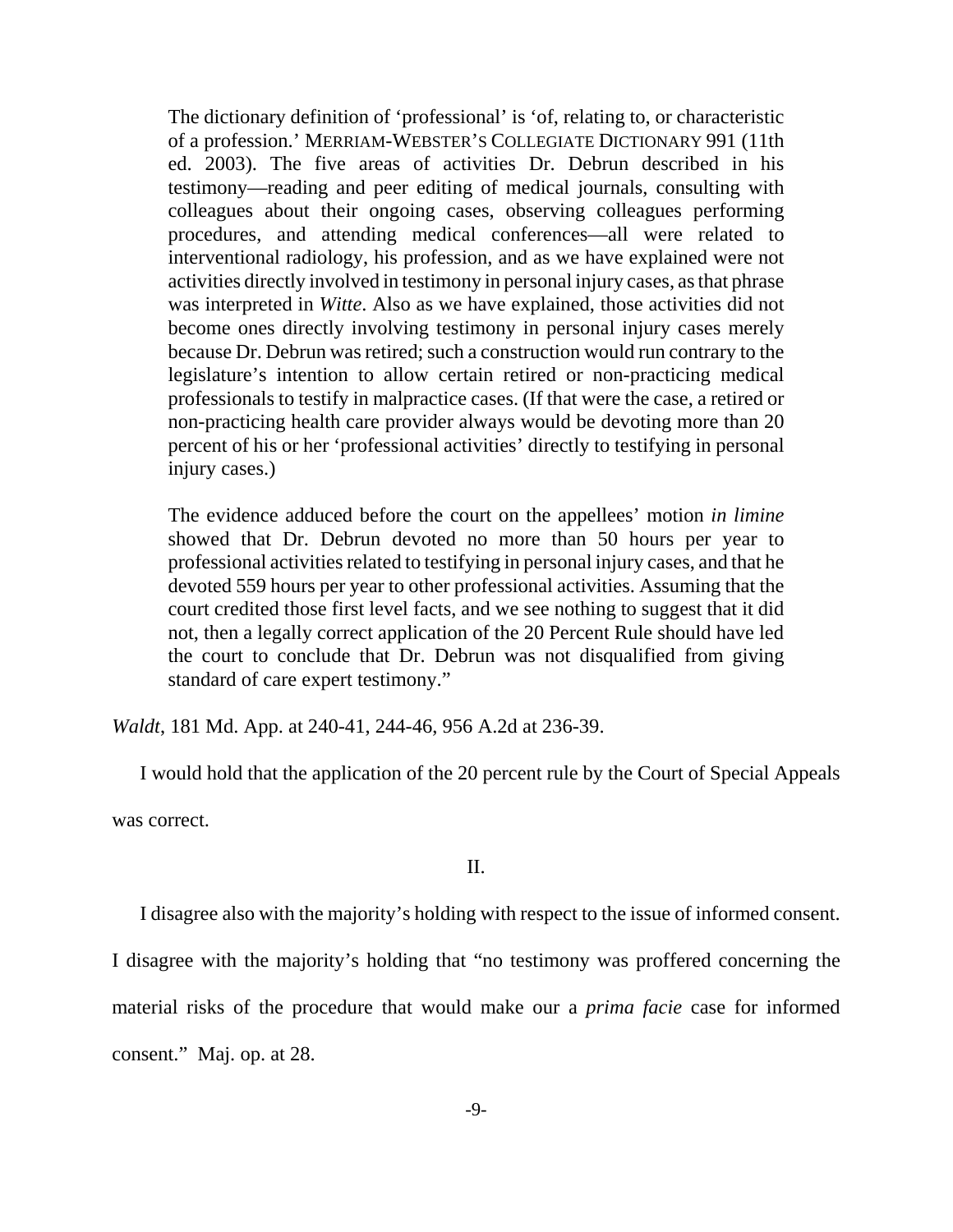The dictionary definition of 'professional' is 'of, relating to, or characteristic of a profession.' MERRIAM-WEBSTER'S COLLEGIATE DICTIONARY 991 (11th ed. 2003). The five areas of activities Dr. Debrun described in his testimony—reading and peer editing of medical journals, consulting with colleagues about their ongoing cases, observing colleagues performing procedures, and attending medical conferences—all were related to interventional radiology, his profession, and as we have explained were not activities directly involved in testimony in personal injury cases, as that phrase was interpreted in *Witte*. Also as we have explained, those activities did not become ones directly involving testimony in personal injury cases merely because Dr. Debrun was retired; such a construction would run contrary to the legislature's intention to allow certain retired or non-practicing medical professionals to testify in malpractice cases. (If that were the case, a retired or non-practicing health care provider always would be devoting more than 20 percent of his or her 'professional activities' directly to testifying in personal injury cases.)

The evidence adduced before the court on the appellees' motion *in limine* showed that Dr. Debrun devoted no more than 50 hours per year to professional activities related to testifying in personal injury cases, and that he devoted 559 hours per year to other professional activities. Assuming that the court credited those first level facts, and we see nothing to suggest that it did not, then a legally correct application of the 20 Percent Rule should have led the court to conclude that Dr. Debrun was not disqualified from giving standard of care expert testimony."

*Waldt*, 181 Md. App. at 240-41, 244-46, 956 A.2d at 236-39.

I would hold that the application of the 20 percent rule by the Court of Special Appeals was correct.

### II.

I disagree also with the majority's holding with respect to the issue of informed consent.

I disagree with the majority's holding that "no testimony was proffered concerning the

material risks of the procedure that would make our a *prima facie* case for informed

consent." Maj. op. at 28.